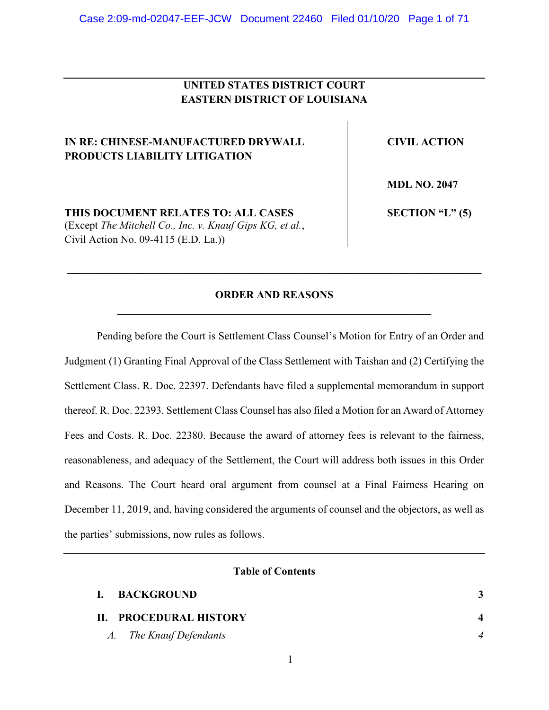# **UNITED STATES DISTRICT COURT EASTERN DISTRICT OF LOUISIANA**

# **IN RE: CHINESE-MANUFACTURED DRYWALL PRODUCTS LIABILITY LITIGATION**

**CIVIL ACTION**

**MDL NO. 2047**

**THIS DOCUMENT RELATES TO: ALL CASES**

(Except *The Mitchell Co., Inc. v. Knauf Gips KG, et al.*, Civil Action No. 09-4115 (E.D. La.))

**SECTION "L" (5)**

# **ORDER AND REASONS \_\_\_\_\_\_\_\_\_\_\_\_\_\_\_\_\_\_\_\_\_\_\_\_\_\_\_\_\_\_\_\_\_\_\_\_\_\_\_\_\_\_\_\_\_\_\_\_\_\_**

**\_\_\_\_\_\_\_\_\_\_\_\_\_\_\_\_\_\_\_\_\_\_\_\_\_\_\_\_\_\_\_\_\_\_\_\_\_\_\_\_\_\_\_\_\_\_\_\_\_\_\_\_\_\_\_\_\_\_\_\_\_\_\_\_\_\_**

Pending before the Court is Settlement Class Counsel's Motion for Entry of an Order and Judgment (1) Granting Final Approval of the Class Settlement with Taishan and (2) Certifying the Settlement Class. R. Doc. 22397. Defendants have filed a supplemental memorandum in support thereof. R. Doc. 22393. Settlement Class Counsel has also filed a Motion for an Award of Attorney Fees and Costs. R. Doc. 22380. Because the award of attorney fees is relevant to the fairness, reasonableness, and adequacy of the Settlement, the Court will address both issues in this Order and Reasons. The Court heard oral argument from counsel at a Final Fairness Hearing on December 11, 2019, and, having considered the arguments of counsel and the objectors, as well as the parties' submissions, now rules as follows.

## **Table of Contents**

| <b>BACKGROUND</b>       |  |
|-------------------------|--|
| II. PROCEDURAL HISTORY  |  |
| A. The Knauf Defendants |  |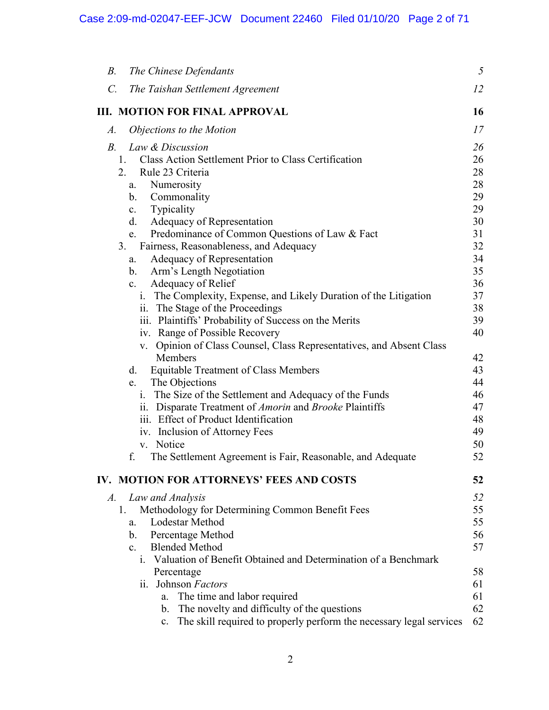| The Chinese Defendants<br><i>B</i> .                                                                   | 5        |
|--------------------------------------------------------------------------------------------------------|----------|
| $\mathcal{C}$ .<br>The Taishan Settlement Agreement                                                    | 12       |
| <b>III. MOTION FOR FINAL APPROVAL</b>                                                                  | 16       |
| Objections to the Motion<br>$A$ .                                                                      | 17       |
| $B_{\cdot}$<br>Law & Discussion                                                                        | 26       |
| Class Action Settlement Prior to Class Certification<br>1.                                             | 26       |
| Rule 23 Criteria<br>2.                                                                                 | 28       |
| Numerosity<br>a.                                                                                       | 28       |
| Commonality<br>b.                                                                                      | 29       |
| Typicality<br>c.                                                                                       | 29       |
| Adequacy of Representation<br>d.                                                                       | 30       |
| Predominance of Common Questions of Law & Fact<br>e.                                                   | 31       |
| Fairness, Reasonableness, and Adequacy<br>3.                                                           | 32       |
| Adequacy of Representation<br>a.                                                                       | 34       |
| Arm's Length Negotiation<br>b.                                                                         | 35       |
| c. Adequacy of Relief                                                                                  | 36       |
| i. The Complexity, Expense, and Likely Duration of the Litigation                                      | 37       |
| ii. The Stage of the Proceedings                                                                       | 38       |
| iii. Plaintiffs' Probability of Success on the Merits                                                  | 39<br>40 |
| iv. Range of Possible Recovery<br>v. Opinion of Class Counsel, Class Representatives, and Absent Class |          |
| Members                                                                                                | 42       |
| <b>Equitable Treatment of Class Members</b><br>d.                                                      | 43       |
| The Objections<br>e.                                                                                   | 44       |
| i. The Size of the Settlement and Adequacy of the Funds                                                | 46       |
| ii. Disparate Treatment of <i>Amorin</i> and <i>Brooke</i> Plaintiffs                                  | 47       |
| iii. Effect of Product Identification                                                                  | 48       |
| iv. Inclusion of Attorney Fees                                                                         | 49       |
| v. Notice                                                                                              | 50       |
| f.<br>The Settlement Agreement is Fair, Reasonable, and Adequate                                       | 52       |
| IV. MOTION FOR ATTORNEYS' FEES AND COSTS                                                               | 52       |
| Law and Analysis<br>$A$ .                                                                              | 52       |
| Methodology for Determining Common Benefit Fees<br>1.                                                  | 55       |
| <b>Lodestar Method</b><br>a.                                                                           | 55       |
| <b>Percentage Method</b><br>$\mathbf{b}$ .                                                             | 56       |
| c. Blended Method                                                                                      | 57       |
| i. Valuation of Benefit Obtained and Determination of a Benchmark                                      |          |
| Percentage                                                                                             | 58       |
| ii. Johnson Factors                                                                                    | 61       |
| The time and labor required<br>a.                                                                      | 61       |
| The novelty and difficulty of the questions<br>$\mathbf{b}$ .                                          | 62       |
| The skill required to properly perform the necessary legal services<br>c.                              | 62       |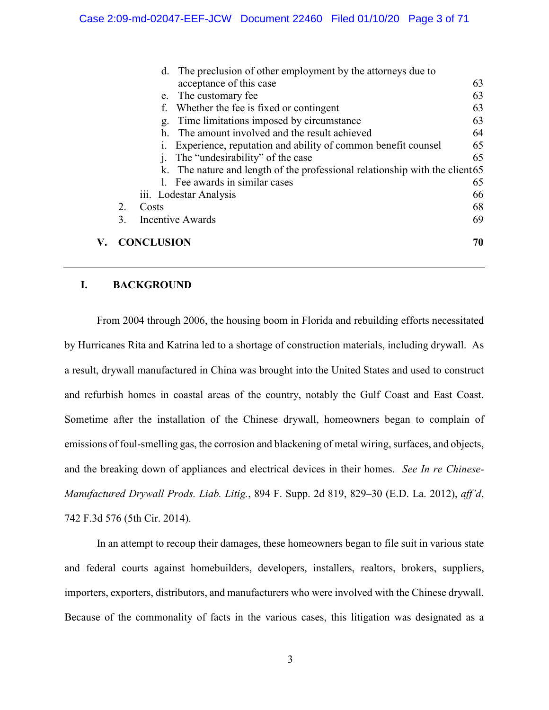|    | d. The preclusion of other employment by the attorneys due to                |    |
|----|------------------------------------------------------------------------------|----|
|    | acceptance of this case                                                      | 63 |
|    | The customary fee<br>e.                                                      | 63 |
|    | Whether the fee is fixed or contingent                                       | 63 |
|    | Time limitations imposed by circumstance<br>g.                               | 63 |
|    | The amount involved and the result achieved                                  | 64 |
|    | Experience, reputation and ability of common benefit counsel                 | 65 |
|    | The "undesirability" of the case                                             | 65 |
|    | k. The nature and length of the professional relationship with the client 65 |    |
|    | 1. Fee awards in similar cases                                               | 65 |
|    | iii. Lodestar Analysis                                                       | 66 |
| 2. | Costs                                                                        | 68 |
| 3. | <b>Incentive Awards</b>                                                      | 69 |
|    | <b>CONCLUSION</b>                                                            | 70 |

## **I. BACKGROUND**

From 2004 through 2006, the housing boom in Florida and rebuilding efforts necessitated by Hurricanes Rita and Katrina led to a shortage of construction materials, including drywall. As a result, drywall manufactured in China was brought into the United States and used to construct and refurbish homes in coastal areas of the country, notably the Gulf Coast and East Coast. Sometime after the installation of the Chinese drywall, homeowners began to complain of emissions of foul-smelling gas, the corrosion and blackening of metal wiring, surfaces, and objects, and the breaking down of appliances and electrical devices in their homes. *See In re Chinese-Manufactured Drywall Prods. Liab. Litig.*, 894 F. Supp. 2d 819, 829–30 (E.D. La. 2012), *aff'd*, 742 F.3d 576 (5th Cir. 2014).

In an attempt to recoup their damages, these homeowners began to file suit in various state and federal courts against homebuilders, developers, installers, realtors, brokers, suppliers, importers, exporters, distributors, and manufacturers who were involved with the Chinese drywall. Because of the commonality of facts in the various cases, this litigation was designated as a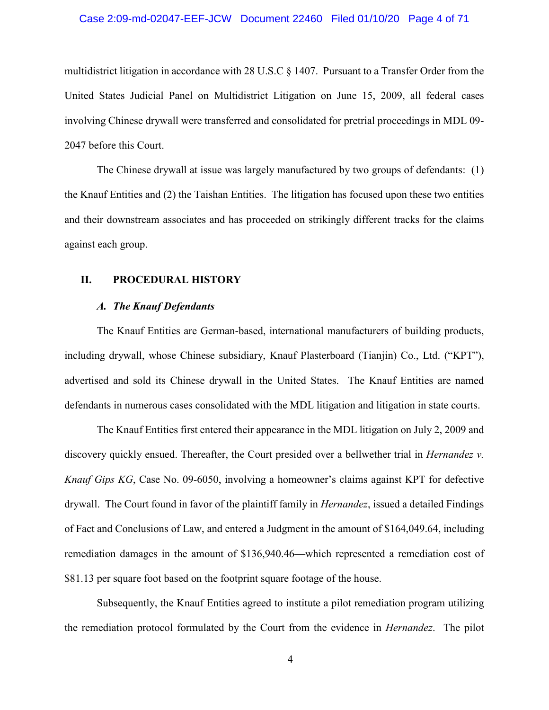## Case 2:09-md-02047-EEF-JCW Document 22460 Filed 01/10/20 Page 4 of 71

multidistrict litigation in accordance with 28 U.S.C § 1407. Pursuant to a Transfer Order from the United States Judicial Panel on Multidistrict Litigation on June 15, 2009, all federal cases involving Chinese drywall were transferred and consolidated for pretrial proceedings in MDL 09- 2047 before this Court.

The Chinese drywall at issue was largely manufactured by two groups of defendants: (1) the Knauf Entities and (2) the Taishan Entities. The litigation has focused upon these two entities and their downstream associates and has proceeded on strikingly different tracks for the claims against each group.

## **II. PROCEDURAL HISTORY**

## *A. The Knauf Defendants*

The Knauf Entities are German-based, international manufacturers of building products, including drywall, whose Chinese subsidiary, Knauf Plasterboard (Tianjin) Co., Ltd. ("KPT"), advertised and sold its Chinese drywall in the United States. The Knauf Entities are named defendants in numerous cases consolidated with the MDL litigation and litigation in state courts.

The Knauf Entities first entered their appearance in the MDL litigation on July 2, 2009 and discovery quickly ensued. Thereafter, the Court presided over a bellwether trial in *Hernandez v. Knauf Gips KG*, Case No. 09-6050, involving a homeowner's claims against KPT for defective drywall. The Court found in favor of the plaintiff family in *Hernandez*, issued a detailed Findings of Fact and Conclusions of Law, and entered a Judgment in the amount of \$164,049.64, including remediation damages in the amount of \$136,940.46—which represented a remediation cost of \$81.13 per square foot based on the footprint square footage of the house.

Subsequently, the Knauf Entities agreed to institute a pilot remediation program utilizing the remediation protocol formulated by the Court from the evidence in *Hernandez*. The pilot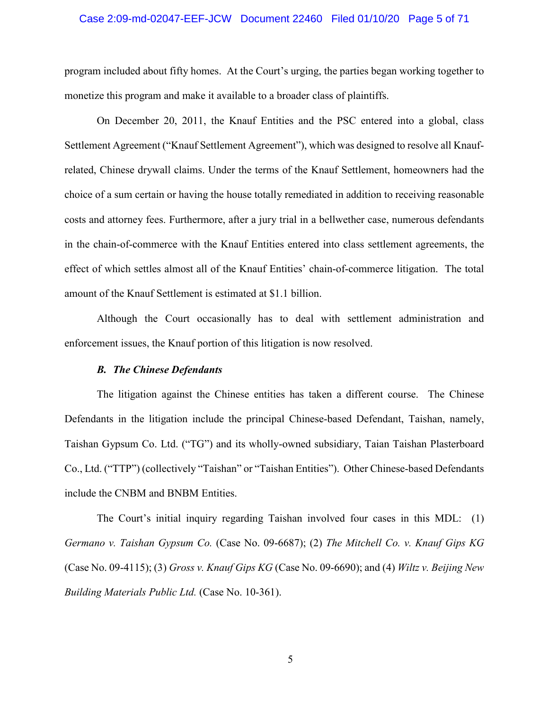## Case 2:09-md-02047-EEF-JCW Document 22460 Filed 01/10/20 Page 5 of 71

program included about fifty homes. At the Court's urging, the parties began working together to monetize this program and make it available to a broader class of plaintiffs.

On December 20, 2011, the Knauf Entities and the PSC entered into a global, class Settlement Agreement ("Knauf Settlement Agreement"), which was designed to resolve all Knaufrelated, Chinese drywall claims. Under the terms of the Knauf Settlement, homeowners had the choice of a sum certain or having the house totally remediated in addition to receiving reasonable costs and attorney fees. Furthermore, after a jury trial in a bellwether case, numerous defendants in the chain-of-commerce with the Knauf Entities entered into class settlement agreements, the effect of which settles almost all of the Knauf Entities' chain-of-commerce litigation. The total amount of the Knauf Settlement is estimated at \$1.1 billion.

Although the Court occasionally has to deal with settlement administration and enforcement issues, the Knauf portion of this litigation is now resolved.

## *B. The Chinese Defendants*

The litigation against the Chinese entities has taken a different course. The Chinese Defendants in the litigation include the principal Chinese-based Defendant, Taishan, namely, Taishan Gypsum Co. Ltd. ("TG") and its wholly-owned subsidiary, Taian Taishan Plasterboard Co., Ltd. ("TTP") (collectively "Taishan" or "Taishan Entities"). Other Chinese-based Defendants include the CNBM and BNBM Entities.

The Court's initial inquiry regarding Taishan involved four cases in this MDL: (1) *Germano v. Taishan Gypsum Co.* (Case No. 09-6687); (2) *The Mitchell Co. v. Knauf Gips KG* (Case No. 09-4115); (3) *Gross v. Knauf Gips KG* (Case No. 09-6690); and (4) *Wiltz v. Beijing New Building Materials Public Ltd.* (Case No. 10-361).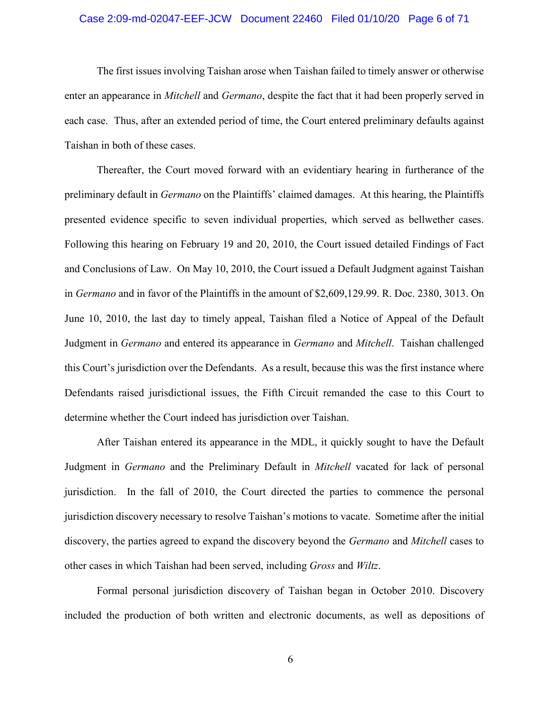## Case 2:09-md-02047-EEF-JCW Document 22460 Filed 01/10/20 Page 6 of 71

The first issues involving Taishan arose when Taishan failed to timely answer or otherwise enter an appearance in *Mitchell* and *Germano*, despite the fact that it had been properly served in each case. Thus, after an extended period of time, the Court entered preliminary defaults against Taishan in both of these cases.

Thereafter, the Court moved forward with an evidentiary hearing in furtherance of the preliminary default in *Germano* on the Plaintiffs' claimed damages. At this hearing, the Plaintiffs presented evidence specific to seven individual properties, which served as bellwether cases. Following this hearing on February 19 and 20, 2010, the Court issued detailed Findings of Fact and Conclusions of Law. On May 10, 2010, the Court issued a Default Judgment against Taishan in *Germano* and in favor of the Plaintiffs in the amount of \$2,609,129.99. R. Doc. 2380, 3013. On June 10, 2010, the last day to timely appeal, Taishan filed a Notice of Appeal of the Default Judgment in *Germano* and entered its appearance in *Germano* and *Mitchell*. Taishan challenged this Court's jurisdiction over the Defendants. As a result, because this was the first instance where Defendants raised jurisdictional issues, the Fifth Circuit remanded the case to this Court to determine whether the Court indeed has jurisdiction over Taishan.

After Taishan entered its appearance in the MDL, it quickly sought to have the Default Judgment in *Germano* and the Preliminary Default in *Mitchell* vacated for lack of personal jurisdiction. In the fall of 2010, the Court directed the parties to commence the personal jurisdiction discovery necessary to resolve Taishan's motions to vacate. Sometime after the initial discovery, the parties agreed to expand the discovery beyond the *Germano* and *Mitchell* cases to other cases in which Taishan had been served, including *Gross* and *Wiltz*.

Formal personal jurisdiction discovery of Taishan began in October 2010. Discovery included the production of both written and electronic documents, as well as depositions of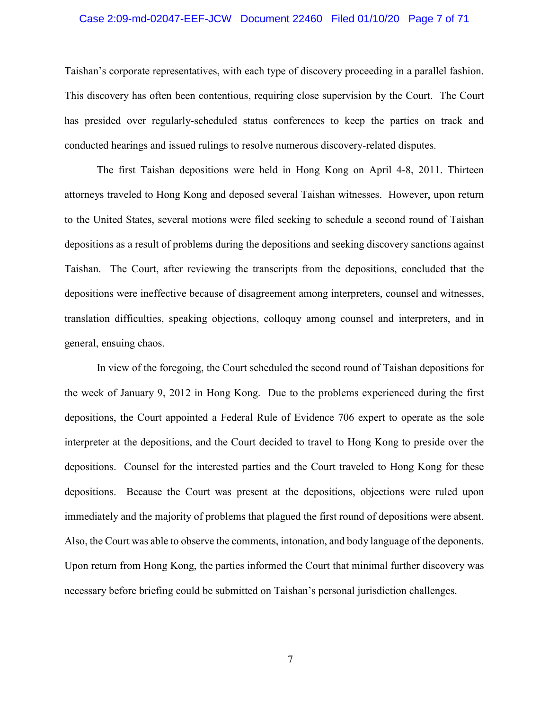## Case 2:09-md-02047-EEF-JCW Document 22460 Filed 01/10/20 Page 7 of 71

Taishan's corporate representatives, with each type of discovery proceeding in a parallel fashion. This discovery has often been contentious, requiring close supervision by the Court. The Court has presided over regularly-scheduled status conferences to keep the parties on track and conducted hearings and issued rulings to resolve numerous discovery-related disputes.

The first Taishan depositions were held in Hong Kong on April 4-8, 2011. Thirteen attorneys traveled to Hong Kong and deposed several Taishan witnesses. However, upon return to the United States, several motions were filed seeking to schedule a second round of Taishan depositions as a result of problems during the depositions and seeking discovery sanctions against Taishan. The Court, after reviewing the transcripts from the depositions, concluded that the depositions were ineffective because of disagreement among interpreters, counsel and witnesses, translation difficulties, speaking objections, colloquy among counsel and interpreters, and in general, ensuing chaos.

In view of the foregoing, the Court scheduled the second round of Taishan depositions for the week of January 9, 2012 in Hong Kong. Due to the problems experienced during the first depositions, the Court appointed a Federal Rule of Evidence 706 expert to operate as the sole interpreter at the depositions, and the Court decided to travel to Hong Kong to preside over the depositions. Counsel for the interested parties and the Court traveled to Hong Kong for these depositions. Because the Court was present at the depositions, objections were ruled upon immediately and the majority of problems that plagued the first round of depositions were absent. Also, the Court was able to observe the comments, intonation, and body language of the deponents. Upon return from Hong Kong, the parties informed the Court that minimal further discovery was necessary before briefing could be submitted on Taishan's personal jurisdiction challenges.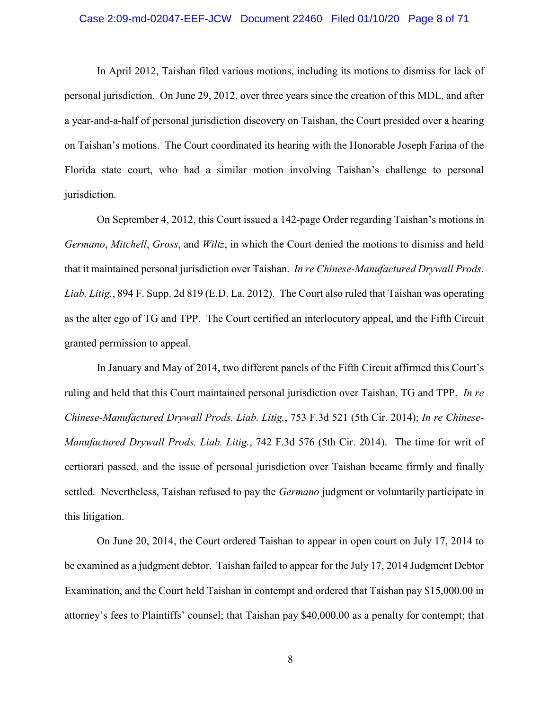## Case 2:09-md-02047-EEF-JCW Document 22460 Filed 01/10/20 Page 8 of 71

In April 2012, Taishan filed various motions, including its motions to dismiss for lack of personal jurisdiction. On June 29, 2012, over three years since the creation of this MDL, and after a year-and-a-half of personal jurisdiction discovery on Taishan, the Court presided over a hearing on Taishan's motions. The Court coordinated its hearing with the Honorable Joseph Farina of the Florida state court, who had a similar motion involving Taishan's challenge to personal jurisdiction.

On September 4, 2012, this Court issued a 142-page Order regarding Taishan's motions in *Germano*, *Mitchell*, *Gross*, and *Wiltz*, in which the Court denied the motions to dismiss and held that it maintained personal jurisdiction over Taishan. *In re Chinese-Manufactured Drywall Prods. Liab. Litig.*, 894 F. Supp. 2d 819 (E.D. La. 2012). The Court also ruled that Taishan was operating as the alter ego of TG and TPP. The Court certified an interlocutory appeal, and the Fifth Circuit granted permission to appeal.

In January and May of 2014, two different panels of the Fifth Circuit affirmed this Court's ruling and held that this Court maintained personal jurisdiction over Taishan, TG and TPP. *In re Chinese-Manufactured Drywall Prods. Liab. Litig.*, 753 F.3d 521 (5th Cir. 2014); *In re Chinese-Manufactured Drywall Prods. Liab. Litig.*, 742 F.3d 576 (5th Cir. 2014). The time for writ of certiorari passed, and the issue of personal jurisdiction over Taishan became firmly and finally settled. Nevertheless, Taishan refused to pay the *Germano* judgment or voluntarily participate in this litigation.

On June 20, 2014, the Court ordered Taishan to appear in open court on July 17, 2014 to be examined as a judgment debtor. Taishan failed to appear for the July 17, 2014 Judgment Debtor Examination, and the Court held Taishan in contempt and ordered that Taishan pay \$15,000.00 in attorney's fees to Plaintiffs' counsel; that Taishan pay \$40,000.00 as a penalty for contempt; that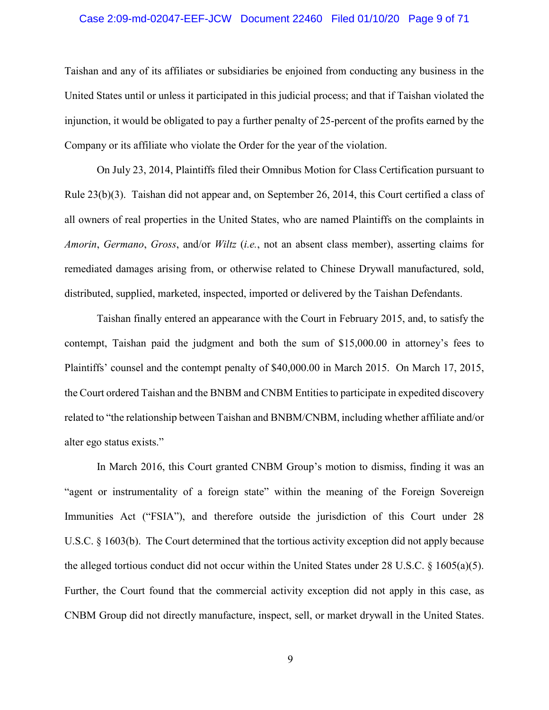## Case 2:09-md-02047-EEF-JCW Document 22460 Filed 01/10/20 Page 9 of 71

Taishan and any of its affiliates or subsidiaries be enjoined from conducting any business in the United States until or unless it participated in this judicial process; and that if Taishan violated the injunction, it would be obligated to pay a further penalty of 25-percent of the profits earned by the Company or its affiliate who violate the Order for the year of the violation.

On July 23, 2014, Plaintiffs filed their Omnibus Motion for Class Certification pursuant to Rule 23(b)(3). Taishan did not appear and, on September 26, 2014, this Court certified a class of all owners of real properties in the United States, who are named Plaintiffs on the complaints in *Amorin*, *Germano*, *Gross*, and/or *Wiltz* (*i.e.*, not an absent class member), asserting claims for remediated damages arising from, or otherwise related to Chinese Drywall manufactured, sold, distributed, supplied, marketed, inspected, imported or delivered by the Taishan Defendants.

Taishan finally entered an appearance with the Court in February 2015, and, to satisfy the contempt, Taishan paid the judgment and both the sum of \$15,000.00 in attorney's fees to Plaintiffs' counsel and the contempt penalty of \$40,000.00 in March 2015. On March 17, 2015, the Court ordered Taishan and the BNBM and CNBM Entities to participate in expedited discovery related to "the relationship between Taishan and BNBM/CNBM, including whether affiliate and/or alter ego status exists."

In March 2016, this Court granted CNBM Group's motion to dismiss, finding it was an "agent or instrumentality of a foreign state" within the meaning of the Foreign Sovereign Immunities Act ("FSIA"), and therefore outside the jurisdiction of this Court under 28 U.S.C. § 1603(b). The Court determined that the tortious activity exception did not apply because the alleged tortious conduct did not occur within the United States under 28 U.S.C.  $\S$  1605(a)(5). Further, the Court found that the commercial activity exception did not apply in this case, as CNBM Group did not directly manufacture, inspect, sell, or market drywall in the United States.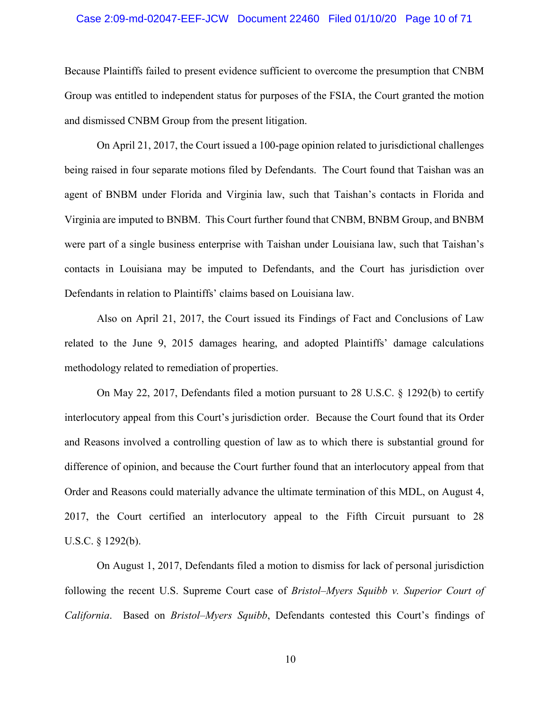## Case 2:09-md-02047-EEF-JCW Document 22460 Filed 01/10/20 Page 10 of 71

Because Plaintiffs failed to present evidence sufficient to overcome the presumption that CNBM Group was entitled to independent status for purposes of the FSIA, the Court granted the motion and dismissed CNBM Group from the present litigation.

On April 21, 2017, the Court issued a 100-page opinion related to jurisdictional challenges being raised in four separate motions filed by Defendants. The Court found that Taishan was an agent of BNBM under Florida and Virginia law, such that Taishan's contacts in Florida and Virginia are imputed to BNBM. This Court further found that CNBM, BNBM Group, and BNBM were part of a single business enterprise with Taishan under Louisiana law, such that Taishan's contacts in Louisiana may be imputed to Defendants, and the Court has jurisdiction over Defendants in relation to Plaintiffs' claims based on Louisiana law.

Also on April 21, 2017, the Court issued its Findings of Fact and Conclusions of Law related to the June 9, 2015 damages hearing, and adopted Plaintiffs' damage calculations methodology related to remediation of properties.

On May 22, 2017, Defendants filed a motion pursuant to 28 U.S.C. § 1292(b) to certify interlocutory appeal from this Court's jurisdiction order. Because the Court found that its Order and Reasons involved a controlling question of law as to which there is substantial ground for difference of opinion, and because the Court further found that an interlocutory appeal from that Order and Reasons could materially advance the ultimate termination of this MDL, on August 4, 2017, the Court certified an interlocutory appeal to the Fifth Circuit pursuant to 28 U.S.C. § 1292(b).

On August 1, 2017, Defendants filed a motion to dismiss for lack of personal jurisdiction following the recent U.S. Supreme Court case of *Bristol–Myers Squibb v. Superior Court of California*. Based on *Bristol*–*Myers Squibb*, Defendants contested this Court's findings of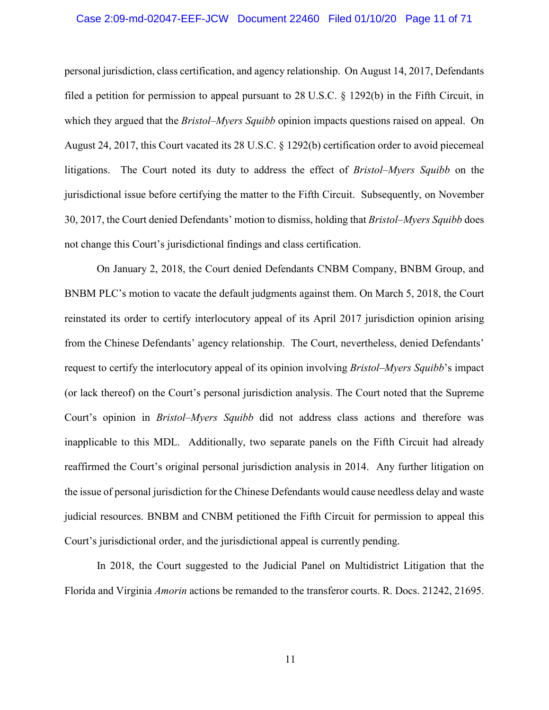## Case 2:09-md-02047-EEF-JCW Document 22460 Filed 01/10/20 Page 11 of 71

personal jurisdiction, class certification, and agency relationship. On August 14, 2017, Defendants filed a petition for permission to appeal pursuant to 28 U.S.C. § 1292(b) in the Fifth Circuit, in which they argued that the *Bristol*–*Myers Squibb* opinion impacts questions raised on appeal. On August 24, 2017, this Court vacated its 28 U.S.C. § 1292(b) certification order to avoid piecemeal litigations. The Court noted its duty to address the effect of *Bristol*–*Myers Squibb* on the jurisdictional issue before certifying the matter to the Fifth Circuit. Subsequently, on November 30, 2017, the Court denied Defendants' motion to dismiss, holding that *Bristol*–*Myers Squibb* does not change this Court's jurisdictional findings and class certification.

On January 2, 2018, the Court denied Defendants CNBM Company, BNBM Group, and BNBM PLC's motion to vacate the default judgments against them. On March 5, 2018, the Court reinstated its order to certify interlocutory appeal of its April 2017 jurisdiction opinion arising from the Chinese Defendants' agency relationship. The Court, nevertheless, denied Defendants' request to certify the interlocutory appeal of its opinion involving *Bristol*–*Myers Squibb*'s impact (or lack thereof) on the Court's personal jurisdiction analysis. The Court noted that the Supreme Court's opinion in *Bristol*–*Myers Squibb* did not address class actions and therefore was inapplicable to this MDL. Additionally, two separate panels on the Fifth Circuit had already reaffirmed the Court's original personal jurisdiction analysis in 2014. Any further litigation on the issue of personal jurisdiction for the Chinese Defendants would cause needless delay and waste judicial resources. BNBM and CNBM petitioned the Fifth Circuit for permission to appeal this Court's jurisdictional order, and the jurisdictional appeal is currently pending.

In 2018, the Court suggested to the Judicial Panel on Multidistrict Litigation that the Florida and Virginia *Amorin* actions be remanded to the transferor courts. R. Docs. 21242, 21695.

11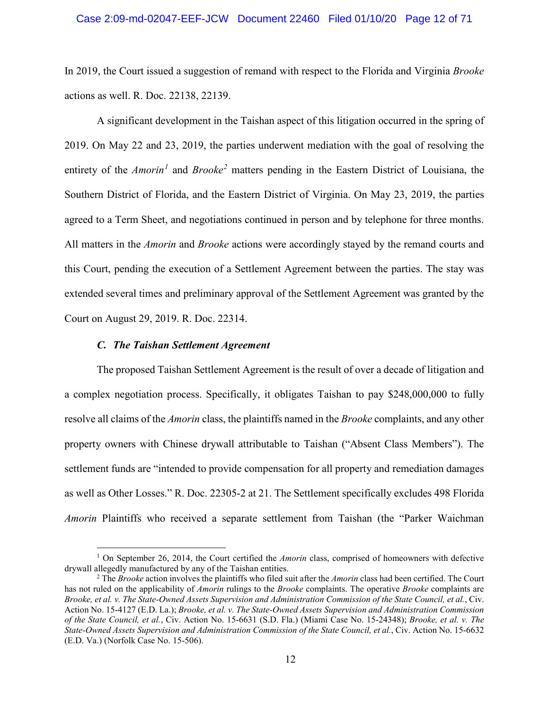## Case 2:09-md-02047-EEF-JCW Document 22460 Filed 01/10/20 Page 12 of 71

In 2019, the Court issued a suggestion of remand with respect to the Florida and Virginia *Brooke* actions as well. R. Doc. 22138, 22139.

 A significant development in the Taishan aspect of this litigation occurred in the spring of 2019. On May 22 and 23, 2019, the parties underwent mediation with the goal of resolving the entirety of the *Amorin<sup>1</sup>* and *Brooke<sup>2</sup>* matters pending in the Eastern District of Louisiana, the Southern District of Florida, and the Eastern District of Virginia. On May 23, 2019, the parties agreed to a Term Sheet, and negotiations continued in person and by telephone for three months. All matters in the *Amorin* and *Brooke* actions were accordingly stayed by the remand courts and this Court, pending the execution of a Settlement Agreement between the parties. The stay was extended several times and preliminary approval of the Settlement Agreement was granted by the Court on August 29, 2019. R. Doc. 22314.

## *C. The Taishan Settlement Agreement*

 $\overline{a}$ 

The proposed Taishan Settlement Agreement is the result of over a decade of litigation and a complex negotiation process. Specifically, it obligates Taishan to pay \$248,000,000 to fully resolve all claims of the *Amorin* class, the plaintiffs named in the *Brooke* complaints, and any other property owners with Chinese drywall attributable to Taishan ("Absent Class Members"). The settlement funds are "intended to provide compensation for all property and remediation damages as well as Other Losses." R. Doc. 22305-2 at 21. The Settlement specifically excludes 498 Florida *Amorin* Plaintiffs who received a separate settlement from Taishan (the "Parker Waichman

<sup>&</sup>lt;sup>1</sup> On September 26, 2014, the Court certified the *Amorin* class, comprised of homeowners with defective drywall allegedly manufactured by any of the Taishan entities.

<sup>2</sup> The *Brooke* action involves the plaintiffs who filed suit after the *Amorin* class had been certified. The Court has not ruled on the applicability of *Amorin* rulings to the *Brooke* complaints. The operative *Brooke* complaints are *Brooke, et al. v. The State-Owned Assets Supervision and Administration Commission of the State Council, et al.*, Civ. Action No. 15-4127 (E.D. La.); *Brooke, et al. v. The State-Owned Assets Supervision and Administration Commission of the State Council, et al.*, Civ. Action No. 15-6631 (S.D. Fla.) (Miami Case No. 15-24348); *Brooke, et al. v. The State-Owned Assets Supervision and Administration Commission of the State Council, et al.*, Civ. Action No. 15-6632 (E.D. Va.) (Norfolk Case No. 15-506).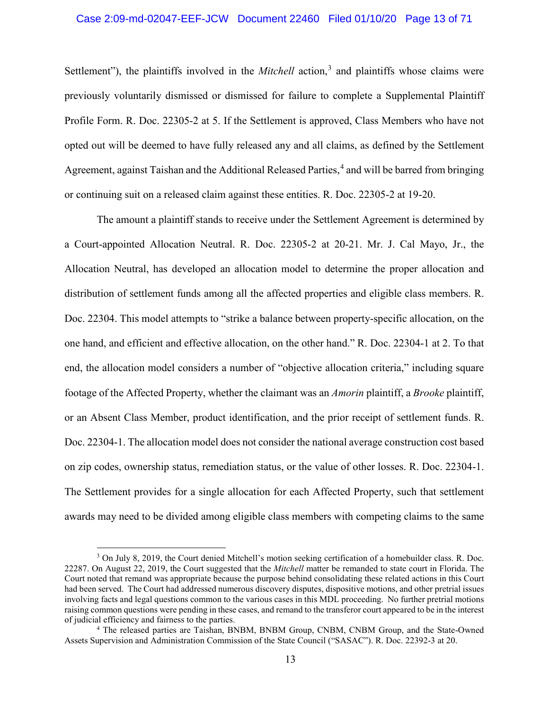# Case 2:09-md-02047-EEF-JCW Document 22460 Filed 01/10/20 Page 13 of 71

Settlement"), the plaintiffs involved in the *Mitchell* action,<sup>3</sup> and plaintiffs whose claims were previously voluntarily dismissed or dismissed for failure to complete a Supplemental Plaintiff Profile Form. R. Doc. 22305-2 at 5. If the Settlement is approved, Class Members who have not opted out will be deemed to have fully released any and all claims, as defined by the Settlement Agreement, against Taishan and the Additional Released Parties,<sup>4</sup> and will be barred from bringing or continuing suit on a released claim against these entities. R. Doc. 22305-2 at 19-20.

The amount a plaintiff stands to receive under the Settlement Agreement is determined by a Court-appointed Allocation Neutral. R. Doc. 22305-2 at 20-21. Mr. J. Cal Mayo, Jr., the Allocation Neutral, has developed an allocation model to determine the proper allocation and distribution of settlement funds among all the affected properties and eligible class members. R. Doc. 22304. This model attempts to "strike a balance between property-specific allocation, on the one hand, and efficient and effective allocation, on the other hand." R. Doc. 22304-1 at 2. To that end, the allocation model considers a number of "objective allocation criteria," including square footage of the Affected Property, whether the claimant was an *Amorin* plaintiff, a *Brooke* plaintiff, or an Absent Class Member, product identification, and the prior receipt of settlement funds. R. Doc. 22304-1. The allocation model does not consider the national average construction cost based on zip codes, ownership status, remediation status, or the value of other losses. R. Doc. 22304-1. The Settlement provides for a single allocation for each Affected Property, such that settlement awards may need to be divided among eligible class members with competing claims to the same

 $\overline{a}$ 

 $3$  On July 8, 2019, the Court denied Mitchell's motion seeking certification of a homebuilder class. R. Doc. 22287. On August 22, 2019, the Court suggested that the *Mitchell* matter be remanded to state court in Florida. The Court noted that remand was appropriate because the purpose behind consolidating these related actions in this Court had been served. The Court had addressed numerous discovery disputes, dispositive motions, and other pretrial issues involving facts and legal questions common to the various cases in this MDL proceeding. No further pretrial motions raising common questions were pending in these cases, and remand to the transferor court appeared to be in the interest of judicial efficiency and fairness to the parties.

<sup>&</sup>lt;sup>4</sup> The released parties are Taishan, BNBM, BNBM Group, CNBM, CNBM Group, and the State-Owned Assets Supervision and Administration Commission of the State Council ("SASAC"). R. Doc. 22392-3 at 20.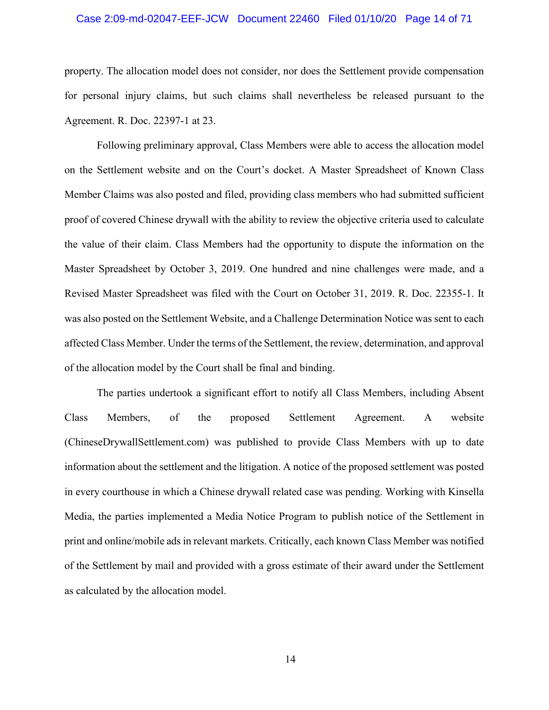#### Case 2:09-md-02047-EEF-JCW Document 22460 Filed 01/10/20 Page 14 of 71

property. The allocation model does not consider, nor does the Settlement provide compensation for personal injury claims, but such claims shall nevertheless be released pursuant to the Agreement. R. Doc. 22397-1 at 23.

Following preliminary approval, Class Members were able to access the allocation model on the Settlement website and on the Court's docket. A Master Spreadsheet of Known Class Member Claims was also posted and filed, providing class members who had submitted sufficient proof of covered Chinese drywall with the ability to review the objective criteria used to calculate the value of their claim. Class Members had the opportunity to dispute the information on the Master Spreadsheet by October 3, 2019. One hundred and nine challenges were made, and a Revised Master Spreadsheet was filed with the Court on October 31, 2019. R. Doc. 22355-1. It was also posted on the Settlement Website, and a Challenge Determination Notice was sent to each affected Class Member. Under the terms of the Settlement, the review, determination, and approval of the allocation model by the Court shall be final and binding.

The parties undertook a significant effort to notify all Class Members, including Absent Class Members, of the proposed Settlement Agreement. A website (ChineseDrywallSettlement.com) was published to provide Class Members with up to date information about the settlement and the litigation. A notice of the proposed settlement was posted in every courthouse in which a Chinese drywall related case was pending. Working with Kinsella Media, the parties implemented a Media Notice Program to publish notice of the Settlement in print and online/mobile ads in relevant markets. Critically, each known Class Member was notified of the Settlement by mail and provided with a gross estimate of their award under the Settlement as calculated by the allocation model.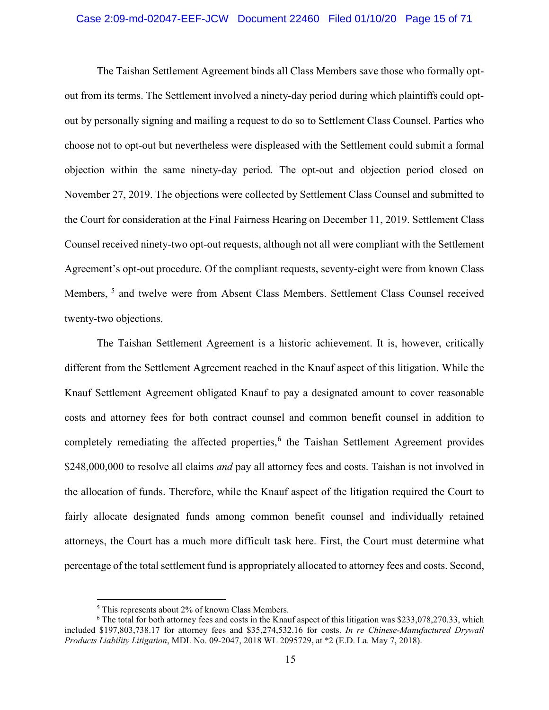## Case 2:09-md-02047-EEF-JCW Document 22460 Filed 01/10/20 Page 15 of 71

The Taishan Settlement Agreement binds all Class Members save those who formally optout from its terms. The Settlement involved a ninety-day period during which plaintiffs could optout by personally signing and mailing a request to do so to Settlement Class Counsel. Parties who choose not to opt-out but nevertheless were displeased with the Settlement could submit a formal objection within the same ninety-day period. The opt-out and objection period closed on November 27, 2019. The objections were collected by Settlement Class Counsel and submitted to the Court for consideration at the Final Fairness Hearing on December 11, 2019. Settlement Class Counsel received ninety-two opt-out requests, although not all were compliant with the Settlement Agreement's opt-out procedure. Of the compliant requests, seventy-eight were from known Class Members, <sup>5</sup> and twelve were from Absent Class Members. Settlement Class Counsel received twenty-two objections.

The Taishan Settlement Agreement is a historic achievement. It is, however, critically different from the Settlement Agreement reached in the Knauf aspect of this litigation. While the Knauf Settlement Agreement obligated Knauf to pay a designated amount to cover reasonable costs and attorney fees for both contract counsel and common benefit counsel in addition to completely remediating the affected properties,<sup>6</sup> the Taishan Settlement Agreement provides \$248,000,000 to resolve all claims *and* pay all attorney fees and costs. Taishan is not involved in the allocation of funds. Therefore, while the Knauf aspect of the litigation required the Court to fairly allocate designated funds among common benefit counsel and individually retained attorneys, the Court has a much more difficult task here. First, the Court must determine what percentage of the total settlement fund is appropriately allocated to attorney fees and costs. Second,

 $\overline{a}$ 

<sup>5</sup> This represents about 2% of known Class Members.

<sup>6</sup> The total for both attorney fees and costs in the Knauf aspect of this litigation was \$233,078,270.33, which included \$197,803,738.17 for attorney fees and \$35,274,532.16 for costs. *In re Chinese-Manufactured Drywall Products Liability Litigation*, MDL No. 09-2047, 2018 WL 2095729, at \*2 (E.D. La. May 7, 2018).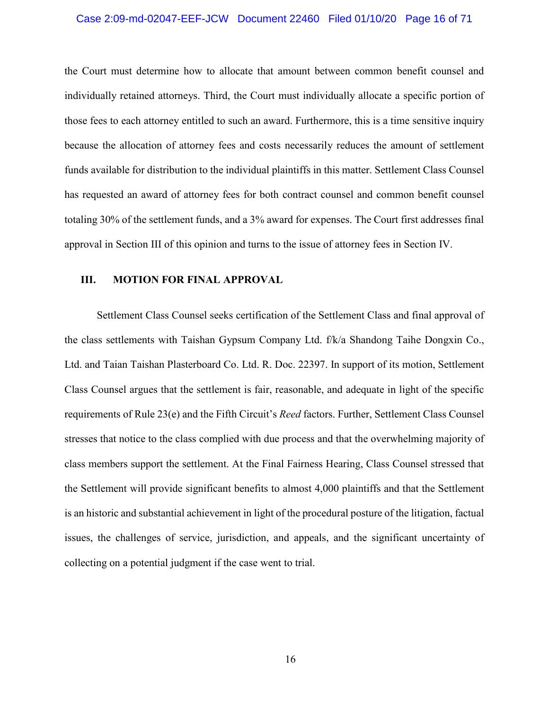## Case 2:09-md-02047-EEF-JCW Document 22460 Filed 01/10/20 Page 16 of 71

the Court must determine how to allocate that amount between common benefit counsel and individually retained attorneys. Third, the Court must individually allocate a specific portion of those fees to each attorney entitled to such an award. Furthermore, this is a time sensitive inquiry because the allocation of attorney fees and costs necessarily reduces the amount of settlement funds available for distribution to the individual plaintiffs in this matter. Settlement Class Counsel has requested an award of attorney fees for both contract counsel and common benefit counsel totaling 30% of the settlement funds, and a 3% award for expenses. The Court first addresses final approval in Section III of this opinion and turns to the issue of attorney fees in Section IV.

## **III. MOTION FOR FINAL APPROVAL**

Settlement Class Counsel seeks certification of the Settlement Class and final approval of the class settlements with Taishan Gypsum Company Ltd. f/k/a Shandong Taihe Dongxin Co., Ltd. and Taian Taishan Plasterboard Co. Ltd. R. Doc. 22397. In support of its motion, Settlement Class Counsel argues that the settlement is fair, reasonable, and adequate in light of the specific requirements of Rule 23(e) and the Fifth Circuit's *Reed* factors. Further, Settlement Class Counsel stresses that notice to the class complied with due process and that the overwhelming majority of class members support the settlement. At the Final Fairness Hearing, Class Counsel stressed that the Settlement will provide significant benefits to almost 4,000 plaintiffs and that the Settlement is an historic and substantial achievement in light of the procedural posture of the litigation, factual issues, the challenges of service, jurisdiction, and appeals, and the significant uncertainty of collecting on a potential judgment if the case went to trial.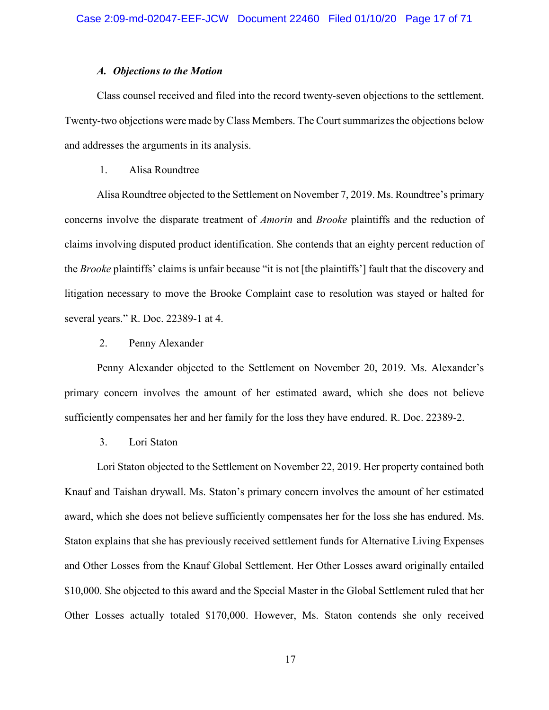## *A. Objections to the Motion*

Class counsel received and filed into the record twenty-seven objections to the settlement. Twenty-two objections were made by Class Members. The Court summarizes the objections below and addresses the arguments in its analysis.

## 1. Alisa Roundtree

Alisa Roundtree objected to the Settlement on November 7, 2019. Ms. Roundtree's primary concerns involve the disparate treatment of *Amorin* and *Brooke* plaintiffs and the reduction of claims involving disputed product identification. She contends that an eighty percent reduction of the *Brooke* plaintiffs' claims is unfair because "it is not [the plaintiffs'] fault that the discovery and litigation necessary to move the Brooke Complaint case to resolution was stayed or halted for several years." R. Doc. 22389-1 at 4.

## 2. Penny Alexander

Penny Alexander objected to the Settlement on November 20, 2019. Ms. Alexander's primary concern involves the amount of her estimated award, which she does not believe sufficiently compensates her and her family for the loss they have endured. R. Doc. 22389-2.

3. Lori Staton

Lori Staton objected to the Settlement on November 22, 2019. Her property contained both Knauf and Taishan drywall. Ms. Staton's primary concern involves the amount of her estimated award, which she does not believe sufficiently compensates her for the loss she has endured. Ms. Staton explains that she has previously received settlement funds for Alternative Living Expenses and Other Losses from the Knauf Global Settlement. Her Other Losses award originally entailed \$10,000. She objected to this award and the Special Master in the Global Settlement ruled that her Other Losses actually totaled \$170,000. However, Ms. Staton contends she only received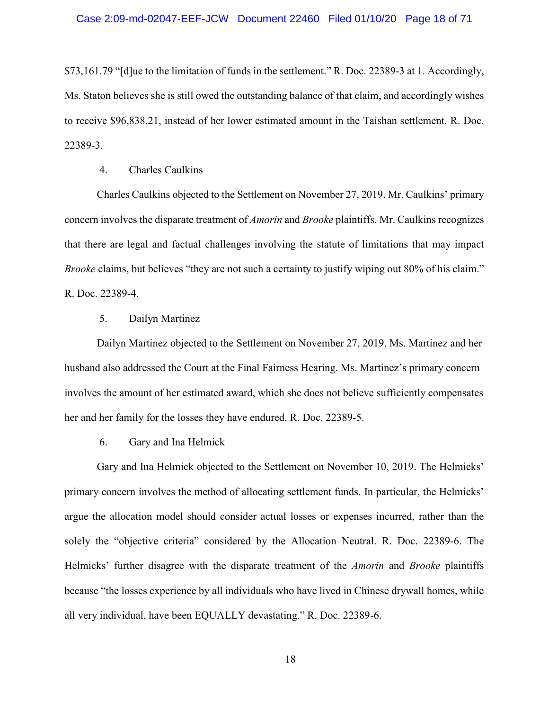\$73,161.79 "[d]ue to the limitation of funds in the settlement." R. Doc. 22389-3 at 1. Accordingly, Ms. Staton believes she is still owed the outstanding balance of that claim, and accordingly wishes to receive \$96,838.21, instead of her lower estimated amount in the Taishan settlement. R. Doc. 22389-3.

## 4. Charles Caulkins

Charles Caulkins objected to the Settlement on November 27, 2019. Mr. Caulkins' primary concern involves the disparate treatment of *Amorin* and *Brooke* plaintiffs. Mr. Caulkins recognizes that there are legal and factual challenges involving the statute of limitations that may impact *Brooke* claims, but believes "they are not such a certainty to justify wiping out 80% of his claim." R. Doc. 22389-4.

## 5. Dailyn Martinez

Dailyn Martinez objected to the Settlement on November 27, 2019. Ms. Martinez and her husband also addressed the Court at the Final Fairness Hearing. Ms. Martinez's primary concern involves the amount of her estimated award, which she does not believe sufficiently compensates her and her family for the losses they have endured. R. Doc. 22389-5.

6. Gary and Ina Helmick

Gary and Ina Helmick objected to the Settlement on November 10, 2019. The Helmicks' primary concern involves the method of allocating settlement funds. In particular, the Helmicks' argue the allocation model should consider actual losses or expenses incurred, rather than the solely the "objective criteria" considered by the Allocation Neutral. R. Doc. 22389-6. The Helmicks' further disagree with the disparate treatment of the *Amorin* and *Brooke* plaintiffs because "the losses experience by all individuals who have lived in Chinese drywall homes, while all very individual, have been EQUALLY devastating." R. Doc. 22389-6.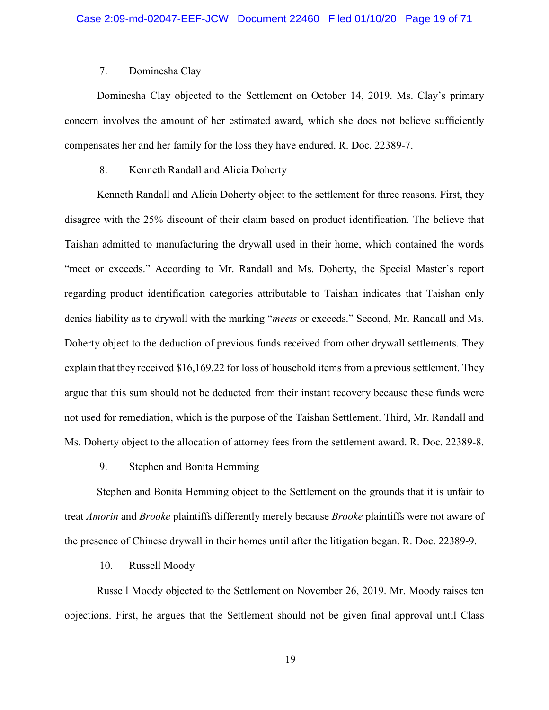## 7. Dominesha Clay

Dominesha Clay objected to the Settlement on October 14, 2019. Ms. Clay's primary concern involves the amount of her estimated award, which she does not believe sufficiently compensates her and her family for the loss they have endured. R. Doc. 22389-7.

## 8. Kenneth Randall and Alicia Doherty

Kenneth Randall and Alicia Doherty object to the settlement for three reasons. First, they disagree with the 25% discount of their claim based on product identification. The believe that Taishan admitted to manufacturing the drywall used in their home, which contained the words "meet or exceeds." According to Mr. Randall and Ms. Doherty, the Special Master's report regarding product identification categories attributable to Taishan indicates that Taishan only denies liability as to drywall with the marking "*meets* or exceeds." Second, Mr. Randall and Ms. Doherty object to the deduction of previous funds received from other drywall settlements. They explain that they received \$16,169.22 for loss of household items from a previous settlement. They argue that this sum should not be deducted from their instant recovery because these funds were not used for remediation, which is the purpose of the Taishan Settlement. Third, Mr. Randall and Ms. Doherty object to the allocation of attorney fees from the settlement award. R. Doc. 22389-8.

## 9. Stephen and Bonita Hemming

Stephen and Bonita Hemming object to the Settlement on the grounds that it is unfair to treat *Amorin* and *Brooke* plaintiffs differently merely because *Brooke* plaintiffs were not aware of the presence of Chinese drywall in their homes until after the litigation began. R. Doc. 22389-9.

## 10. Russell Moody

Russell Moody objected to the Settlement on November 26, 2019. Mr. Moody raises ten objections. First, he argues that the Settlement should not be given final approval until Class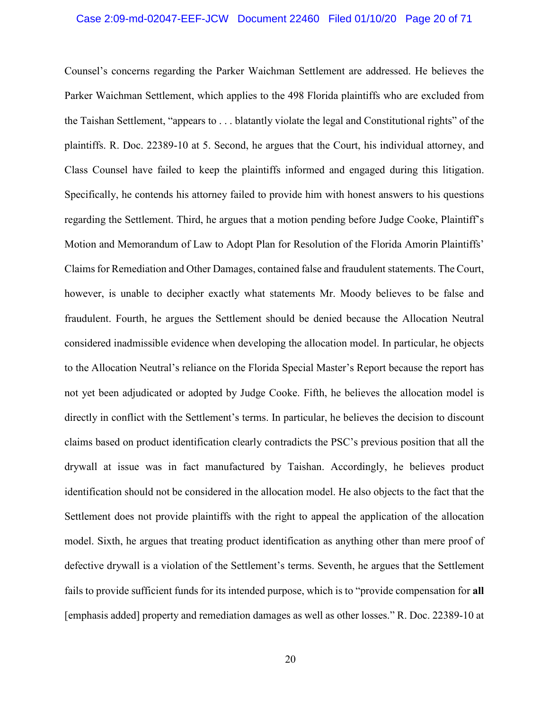#### Case 2:09-md-02047-EEF-JCW Document 22460 Filed 01/10/20 Page 20 of 71

Counsel's concerns regarding the Parker Waichman Settlement are addressed. He believes the Parker Waichman Settlement, which applies to the 498 Florida plaintiffs who are excluded from the Taishan Settlement, "appears to . . . blatantly violate the legal and Constitutional rights" of the plaintiffs. R. Doc. 22389-10 at 5. Second, he argues that the Court, his individual attorney, and Class Counsel have failed to keep the plaintiffs informed and engaged during this litigation. Specifically, he contends his attorney failed to provide him with honest answers to his questions regarding the Settlement. Third, he argues that a motion pending before Judge Cooke, Plaintiff's Motion and Memorandum of Law to Adopt Plan for Resolution of the Florida Amorin Plaintiffs' Claims for Remediation and Other Damages, contained false and fraudulent statements. The Court, however, is unable to decipher exactly what statements Mr. Moody believes to be false and fraudulent. Fourth, he argues the Settlement should be denied because the Allocation Neutral considered inadmissible evidence when developing the allocation model. In particular, he objects to the Allocation Neutral's reliance on the Florida Special Master's Report because the report has not yet been adjudicated or adopted by Judge Cooke. Fifth, he believes the allocation model is directly in conflict with the Settlement's terms. In particular, he believes the decision to discount claims based on product identification clearly contradicts the PSC's previous position that all the drywall at issue was in fact manufactured by Taishan. Accordingly, he believes product identification should not be considered in the allocation model. He also objects to the fact that the Settlement does not provide plaintiffs with the right to appeal the application of the allocation model. Sixth, he argues that treating product identification as anything other than mere proof of defective drywall is a violation of the Settlement's terms. Seventh, he argues that the Settlement fails to provide sufficient funds for its intended purpose, which is to "provide compensation for **all** [emphasis added] property and remediation damages as well as other losses." R. Doc. 22389-10 at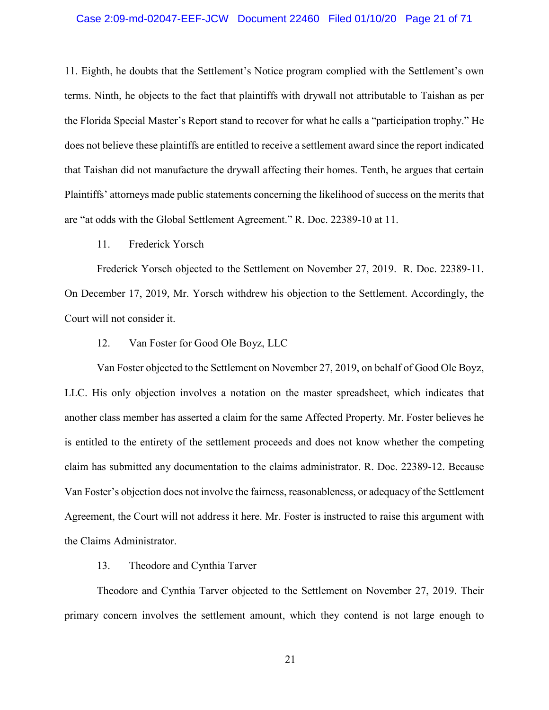## Case 2:09-md-02047-EEF-JCW Document 22460 Filed 01/10/20 Page 21 of 71

11. Eighth, he doubts that the Settlement's Notice program complied with the Settlement's own terms. Ninth, he objects to the fact that plaintiffs with drywall not attributable to Taishan as per the Florida Special Master's Report stand to recover for what he calls a "participation trophy." He does not believe these plaintiffs are entitled to receive a settlement award since the report indicated that Taishan did not manufacture the drywall affecting their homes. Tenth, he argues that certain Plaintiffs' attorneys made public statements concerning the likelihood of success on the merits that are "at odds with the Global Settlement Agreement." R. Doc. 22389-10 at 11.

## 11. Frederick Yorsch

Frederick Yorsch objected to the Settlement on November 27, 2019. R. Doc. 22389-11. On December 17, 2019, Mr. Yorsch withdrew his objection to the Settlement. Accordingly, the Court will not consider it.

## 12. Van Foster for Good Ole Boyz, LLC

Van Foster objected to the Settlement on November 27, 2019, on behalf of Good Ole Boyz, LLC. His only objection involves a notation on the master spreadsheet, which indicates that another class member has asserted a claim for the same Affected Property. Mr. Foster believes he is entitled to the entirety of the settlement proceeds and does not know whether the competing claim has submitted any documentation to the claims administrator. R. Doc. 22389-12. Because Van Foster's objection does not involve the fairness, reasonableness, or adequacy of the Settlement Agreement, the Court will not address it here. Mr. Foster is instructed to raise this argument with the Claims Administrator.

### 13. Theodore and Cynthia Tarver

Theodore and Cynthia Tarver objected to the Settlement on November 27, 2019. Their primary concern involves the settlement amount, which they contend is not large enough to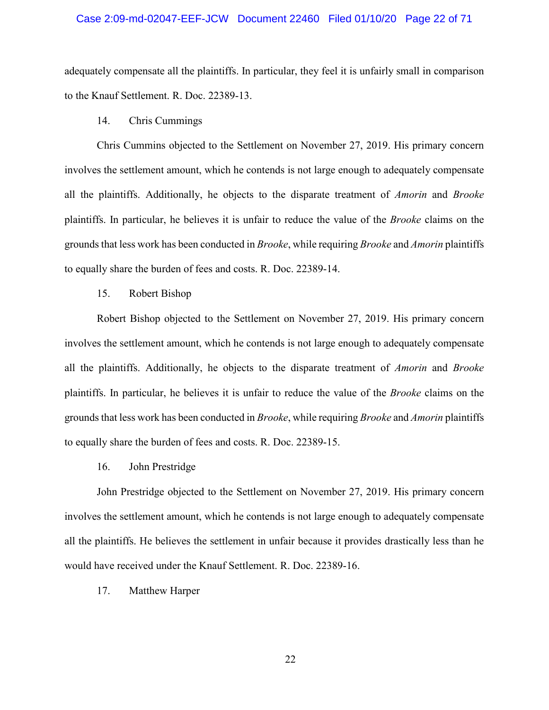#### Case 2:09-md-02047-EEF-JCW Document 22460 Filed 01/10/20 Page 22 of 71

adequately compensate all the plaintiffs. In particular, they feel it is unfairly small in comparison to the Knauf Settlement. R. Doc. 22389-13.

## 14. Chris Cummings

Chris Cummins objected to the Settlement on November 27, 2019. His primary concern involves the settlement amount, which he contends is not large enough to adequately compensate all the plaintiffs. Additionally, he objects to the disparate treatment of *Amorin* and *Brooke* plaintiffs. In particular, he believes it is unfair to reduce the value of the *Brooke* claims on the grounds that less work has been conducted in *Brooke*, while requiring *Brooke* and *Amorin* plaintiffs to equally share the burden of fees and costs. R. Doc. 22389-14.

## 15. Robert Bishop

Robert Bishop objected to the Settlement on November 27, 2019. His primary concern involves the settlement amount, which he contends is not large enough to adequately compensate all the plaintiffs. Additionally, he objects to the disparate treatment of *Amorin* and *Brooke* plaintiffs. In particular, he believes it is unfair to reduce the value of the *Brooke* claims on the grounds that less work has been conducted in *Brooke*, while requiring *Brooke* and *Amorin* plaintiffs to equally share the burden of fees and costs. R. Doc. 22389-15.

#### 16. John Prestridge

John Prestridge objected to the Settlement on November 27, 2019. His primary concern involves the settlement amount, which he contends is not large enough to adequately compensate all the plaintiffs. He believes the settlement in unfair because it provides drastically less than he would have received under the Knauf Settlement. R. Doc. 22389-16.

## 17. Matthew Harper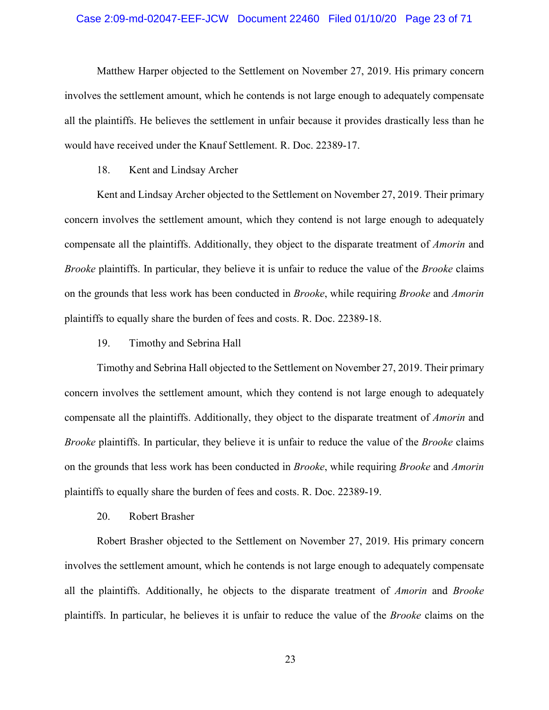## Case 2:09-md-02047-EEF-JCW Document 22460 Filed 01/10/20 Page 23 of 71

Matthew Harper objected to the Settlement on November 27, 2019. His primary concern involves the settlement amount, which he contends is not large enough to adequately compensate all the plaintiffs. He believes the settlement in unfair because it provides drastically less than he would have received under the Knauf Settlement. R. Doc. 22389-17.

## 18. Kent and Lindsay Archer

Kent and Lindsay Archer objected to the Settlement on November 27, 2019. Their primary concern involves the settlement amount, which they contend is not large enough to adequately compensate all the plaintiffs. Additionally, they object to the disparate treatment of *Amorin* and *Brooke* plaintiffs. In particular, they believe it is unfair to reduce the value of the *Brooke* claims on the grounds that less work has been conducted in *Brooke*, while requiring *Brooke* and *Amorin* plaintiffs to equally share the burden of fees and costs. R. Doc. 22389-18.

19. Timothy and Sebrina Hall

Timothy and Sebrina Hall objected to the Settlement on November 27, 2019. Their primary concern involves the settlement amount, which they contend is not large enough to adequately compensate all the plaintiffs. Additionally, they object to the disparate treatment of *Amorin* and *Brooke* plaintiffs. In particular, they believe it is unfair to reduce the value of the *Brooke* claims on the grounds that less work has been conducted in *Brooke*, while requiring *Brooke* and *Amorin* plaintiffs to equally share the burden of fees and costs. R. Doc. 22389-19.

20. Robert Brasher

Robert Brasher objected to the Settlement on November 27, 2019. His primary concern involves the settlement amount, which he contends is not large enough to adequately compensate all the plaintiffs. Additionally, he objects to the disparate treatment of *Amorin* and *Brooke* plaintiffs. In particular, he believes it is unfair to reduce the value of the *Brooke* claims on the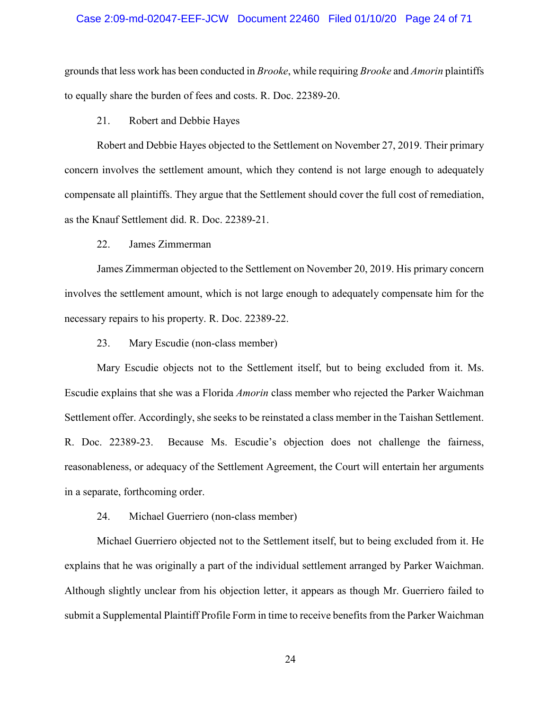# Case 2:09-md-02047-EEF-JCW Document 22460 Filed 01/10/20 Page 24 of 71

grounds that less work has been conducted in *Brooke*, while requiring *Brooke* and *Amorin* plaintiffs to equally share the burden of fees and costs. R. Doc. 22389-20.

21. Robert and Debbie Hayes

Robert and Debbie Hayes objected to the Settlement on November 27, 2019. Their primary concern involves the settlement amount, which they contend is not large enough to adequately compensate all plaintiffs. They argue that the Settlement should cover the full cost of remediation, as the Knauf Settlement did. R. Doc. 22389-21.

22. James Zimmerman

James Zimmerman objected to the Settlement on November 20, 2019. His primary concern involves the settlement amount, which is not large enough to adequately compensate him for the necessary repairs to his property. R. Doc. 22389-22.

23. Mary Escudie (non-class member)

Mary Escudie objects not to the Settlement itself, but to being excluded from it. Ms. Escudie explains that she was a Florida *Amorin* class member who rejected the Parker Waichman Settlement offer. Accordingly, she seeks to be reinstated a class member in the Taishan Settlement. R. Doc. 22389-23. Because Ms. Escudie's objection does not challenge the fairness, reasonableness, or adequacy of the Settlement Agreement, the Court will entertain her arguments in a separate, forthcoming order.

24. Michael Guerriero (non-class member)

Michael Guerriero objected not to the Settlement itself, but to being excluded from it. He explains that he was originally a part of the individual settlement arranged by Parker Waichman. Although slightly unclear from his objection letter, it appears as though Mr. Guerriero failed to submit a Supplemental Plaintiff Profile Form in time to receive benefits from the Parker Waichman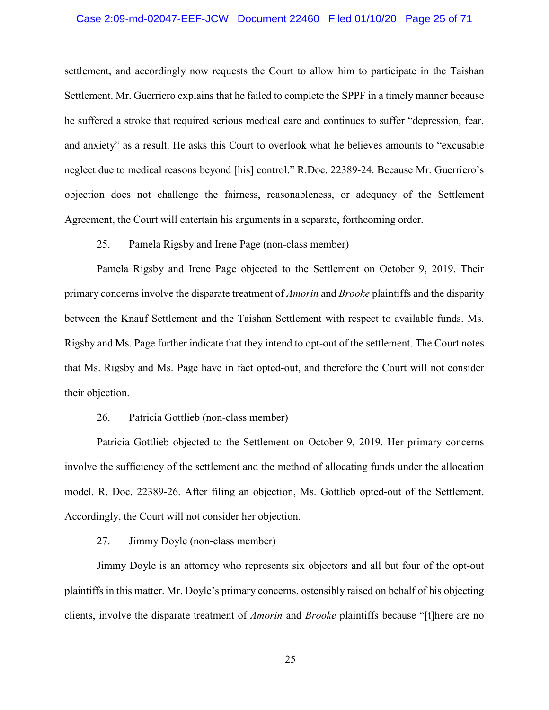## Case 2:09-md-02047-EEF-JCW Document 22460 Filed 01/10/20 Page 25 of 71

settlement, and accordingly now requests the Court to allow him to participate in the Taishan Settlement. Mr. Guerriero explains that he failed to complete the SPPF in a timely manner because he suffered a stroke that required serious medical care and continues to suffer "depression, fear, and anxiety" as a result. He asks this Court to overlook what he believes amounts to "excusable neglect due to medical reasons beyond [his] control." R.Doc. 22389-24. Because Mr. Guerriero's objection does not challenge the fairness, reasonableness, or adequacy of the Settlement Agreement, the Court will entertain his arguments in a separate, forthcoming order.

25. Pamela Rigsby and Irene Page (non-class member)

Pamela Rigsby and Irene Page objected to the Settlement on October 9, 2019. Their primary concerns involve the disparate treatment of *Amorin* and *Brooke* plaintiffs and the disparity between the Knauf Settlement and the Taishan Settlement with respect to available funds. Ms. Rigsby and Ms. Page further indicate that they intend to opt-out of the settlement. The Court notes that Ms. Rigsby and Ms. Page have in fact opted-out, and therefore the Court will not consider their objection.

## 26. Patricia Gottlieb (non-class member)

Patricia Gottlieb objected to the Settlement on October 9, 2019. Her primary concerns involve the sufficiency of the settlement and the method of allocating funds under the allocation model. R. Doc. 22389-26. After filing an objection, Ms. Gottlieb opted-out of the Settlement. Accordingly, the Court will not consider her objection.

27. Jimmy Doyle (non-class member)

Jimmy Doyle is an attorney who represents six objectors and all but four of the opt-out plaintiffs in this matter. Mr. Doyle's primary concerns, ostensibly raised on behalf of his objecting clients, involve the disparate treatment of *Amorin* and *Brooke* plaintiffs because "[t]here are no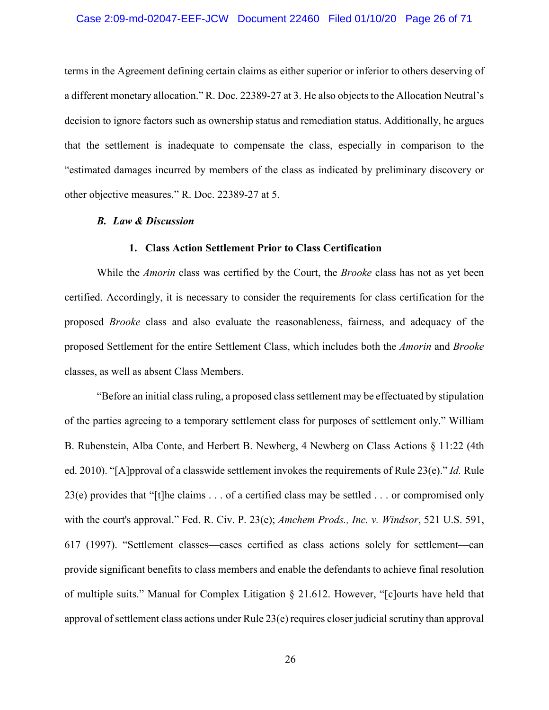## Case 2:09-md-02047-EEF-JCW Document 22460 Filed 01/10/20 Page 26 of 71

terms in the Agreement defining certain claims as either superior or inferior to others deserving of a different monetary allocation." R. Doc. 22389-27 at 3. He also objects to the Allocation Neutral's decision to ignore factors such as ownership status and remediation status. Additionally, he argues that the settlement is inadequate to compensate the class, especially in comparison to the "estimated damages incurred by members of the class as indicated by preliminary discovery or other objective measures." R. Doc. 22389-27 at 5.

#### *B. Law & Discussion*

## **1. Class Action Settlement Prior to Class Certification**

While the *Amorin* class was certified by the Court, the *Brooke* class has not as yet been certified. Accordingly, it is necessary to consider the requirements for class certification for the proposed *Brooke* class and also evaluate the reasonableness, fairness, and adequacy of the proposed Settlement for the entire Settlement Class, which includes both the *Amorin* and *Brooke* classes, as well as absent Class Members.

"Before an initial class ruling, a proposed class settlement may be effectuated by stipulation of the parties agreeing to a temporary settlement class for purposes of settlement only." William B. Rubenstein, Alba Conte, and Herbert B. Newberg, 4 Newberg on Class Actions § 11:22 (4th ed. 2010). "[A]pproval of a classwide settlement invokes the requirements of Rule 23(e)." *Id.* Rule 23(e) provides that "[t]he claims  $\dots$  of a certified class may be settled  $\dots$  or compromised only with the court's approval." Fed. R. Civ. P. 23(e); *Amchem Prods., Inc. v. Windsor*, 521 U.S. 591, 617 (1997). "Settlement classes—cases certified as class actions solely for settlement—can provide significant benefits to class members and enable the defendants to achieve final resolution of multiple suits." Manual for Complex Litigation § 21.612. However, "[c]ourts have held that approval of settlement class actions under Rule 23(e) requires closer judicial scrutiny than approval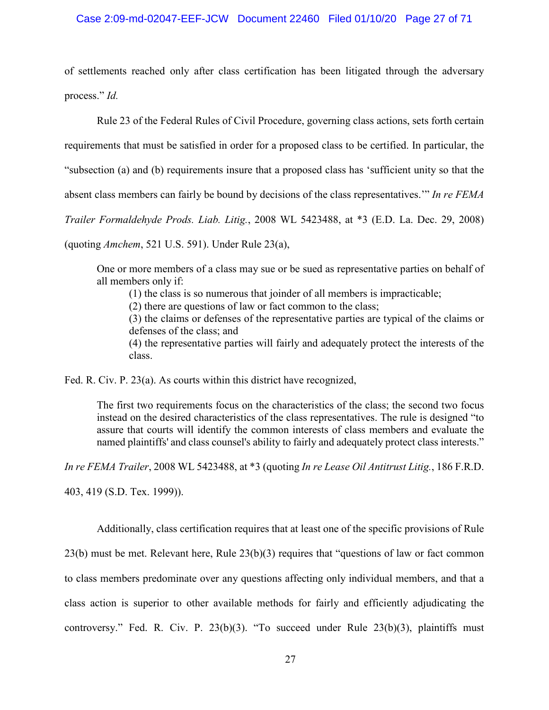## Case 2:09-md-02047-EEF-JCW Document 22460 Filed 01/10/20 Page 27 of 71

of settlements reached only after class certification has been litigated through the adversary process." *Id.*

Rule 23 of the Federal Rules of Civil Procedure, governing class actions, sets forth certain requirements that must be satisfied in order for a proposed class to be certified. In particular, the "subsection (a) and (b) requirements insure that a proposed class has 'sufficient unity so that the absent class members can fairly be bound by decisions of the class representatives.'" *In re FEMA Trailer Formaldehyde Prods. Liab. Litig.*, 2008 WL 5423488, at \*3 (E.D. La. Dec. 29, 2008)

(quoting *Amchem*, 521 U.S. 591). Under Rule 23(a),

One or more members of a class may sue or be sued as representative parties on behalf of all members only if:

(1) the class is so numerous that joinder of all members is impracticable;

(2) there are questions of law or fact common to the class;

(3) the claims or defenses of the representative parties are typical of the claims or defenses of the class; and

(4) the representative parties will fairly and adequately protect the interests of the class.

Fed. R. Civ. P. 23(a). As courts within this district have recognized,

The first two requirements focus on the characteristics of the class; the second two focus instead on the desired characteristics of the class representatives. The rule is designed "to assure that courts will identify the common interests of class members and evaluate the named plaintiffs' and class counsel's ability to fairly and adequately protect class interests."

*In re FEMA Trailer*, 2008 WL 5423488, at \*3 (quoting *In re Lease Oil Antitrust Litig.*, 186 F.R.D.

403, 419 (S.D. Tex. 1999)).

Additionally, class certification requires that at least one of the specific provisions of Rule 23(b) must be met. Relevant here, Rule 23(b)(3) requires that "questions of law or fact common to class members predominate over any questions affecting only individual members, and that a class action is superior to other available methods for fairly and efficiently adjudicating the controversy." Fed. R. Civ. P. 23(b)(3). "To succeed under Rule 23(b)(3), plaintiffs must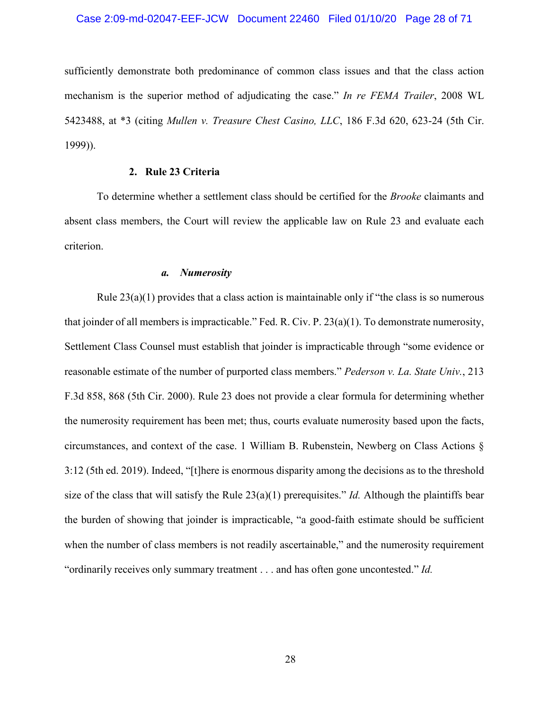## Case 2:09-md-02047-EEF-JCW Document 22460 Filed 01/10/20 Page 28 of 71

sufficiently demonstrate both predominance of common class issues and that the class action mechanism is the superior method of adjudicating the case." *In re FEMA Trailer*, 2008 WL 5423488, at \*3 (citing *Mullen v. Treasure Chest Casino, LLC*, 186 F.3d 620, 623-24 (5th Cir. 1999)).

## **2. Rule 23 Criteria**

To determine whether a settlement class should be certified for the *Brooke* claimants and absent class members, the Court will review the applicable law on Rule 23 and evaluate each criterion.

### *a. Numerosity*

Rule  $23(a)(1)$  provides that a class action is maintainable only if "the class is so numerous" that joinder of all members is impracticable." Fed. R. Civ. P. 23(a)(1). To demonstrate numerosity, Settlement Class Counsel must establish that joinder is impracticable through "some evidence or reasonable estimate of the number of purported class members." *Pederson v. La. State Univ.*, 213 F.3d 858, 868 (5th Cir. 2000). Rule 23 does not provide a clear formula for determining whether the numerosity requirement has been met; thus, courts evaluate numerosity based upon the facts, circumstances, and context of the case. 1 William B. Rubenstein, Newberg on Class Actions § 3:12 (5th ed. 2019). Indeed, "[t]here is enormous disparity among the decisions as to the threshold size of the class that will satisfy the Rule  $23(a)(1)$  prerequisites." *Id.* Although the plaintiffs bear the burden of showing that joinder is impracticable, "a good-faith estimate should be sufficient when the number of class members is not readily ascertainable," and the numerosity requirement "ordinarily receives only summary treatment . . . and has often gone uncontested." *Id.*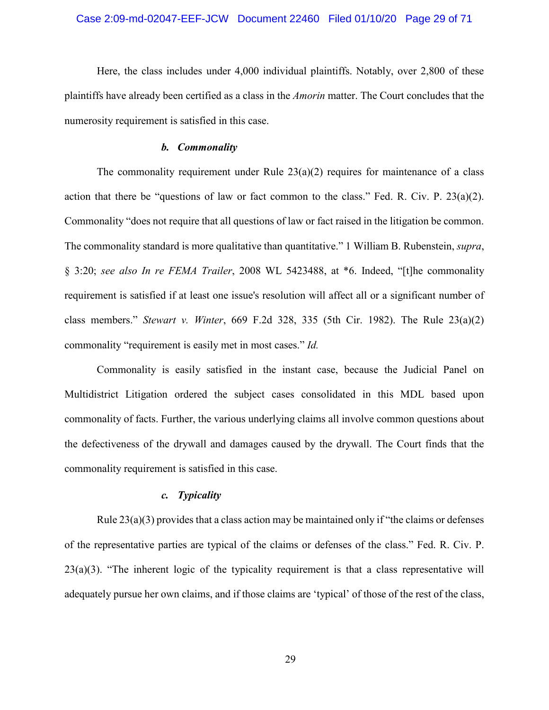## Case 2:09-md-02047-EEF-JCW Document 22460 Filed 01/10/20 Page 29 of 71

Here, the class includes under 4,000 individual plaintiffs. Notably, over 2,800 of these plaintiffs have already been certified as a class in the *Amorin* matter. The Court concludes that the numerosity requirement is satisfied in this case.

#### *b. Commonality*

The commonality requirement under Rule  $23(a)(2)$  requires for maintenance of a class action that there be "questions of law or fact common to the class." Fed. R. Civ. P.  $23(a)(2)$ . Commonality "does not require that all questions of law or fact raised in the litigation be common. The commonality standard is more qualitative than quantitative." 1 William B. Rubenstein, *supra*, § 3:20; *see also In re FEMA Trailer*, 2008 WL 5423488, at \*6. Indeed, "[t]he commonality requirement is satisfied if at least one issue's resolution will affect all or a significant number of class members." *Stewart v. Winter*, 669 F.2d 328, 335 (5th Cir. 1982). The Rule 23(a)(2) commonality "requirement is easily met in most cases." *Id.*

Commonality is easily satisfied in the instant case, because the Judicial Panel on Multidistrict Litigation ordered the subject cases consolidated in this MDL based upon commonality of facts. Further, the various underlying claims all involve common questions about the defectiveness of the drywall and damages caused by the drywall. The Court finds that the commonality requirement is satisfied in this case.

## *c. Typicality*

Rule  $23(a)(3)$  provides that a class action may be maintained only if "the claims or defenses" of the representative parties are typical of the claims or defenses of the class." Fed. R. Civ. P. 23(a)(3). "The inherent logic of the typicality requirement is that a class representative will adequately pursue her own claims, and if those claims are 'typical' of those of the rest of the class,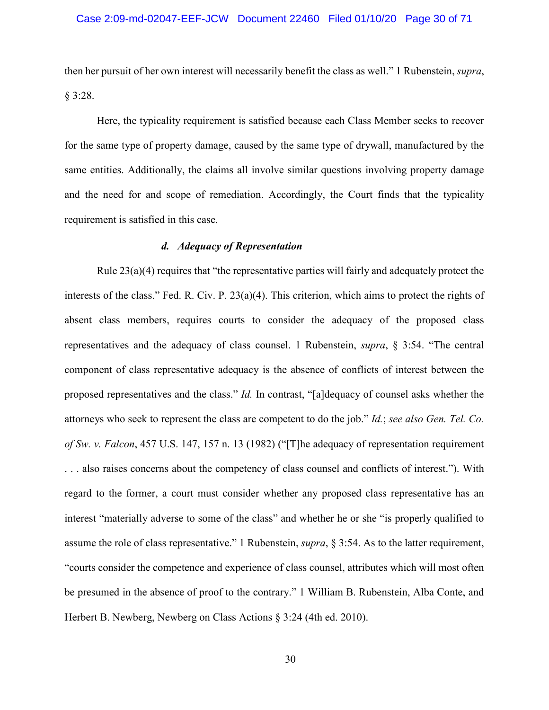## Case 2:09-md-02047-EEF-JCW Document 22460 Filed 01/10/20 Page 30 of 71

then her pursuit of her own interest will necessarily benefit the class as well." 1 Rubenstein, *supra*, § 3:28.

Here, the typicality requirement is satisfied because each Class Member seeks to recover for the same type of property damage, caused by the same type of drywall, manufactured by the same entities. Additionally, the claims all involve similar questions involving property damage and the need for and scope of remediation. Accordingly, the Court finds that the typicality requirement is satisfied in this case.

## *d. Adequacy of Representation*

Rule 23(a)(4) requires that "the representative parties will fairly and adequately protect the interests of the class." Fed. R. Civ. P. 23(a)(4). This criterion, which aims to protect the rights of absent class members, requires courts to consider the adequacy of the proposed class representatives and the adequacy of class counsel. 1 Rubenstein, *supra*, § 3:54. "The central component of class representative adequacy is the absence of conflicts of interest between the proposed representatives and the class." *Id.* In contrast, "[a]dequacy of counsel asks whether the attorneys who seek to represent the class are competent to do the job." *Id.*; *see also Gen. Tel. Co. of Sw. v. Falcon*, 457 U.S. 147, 157 n. 13 (1982) ("[T]he adequacy of representation requirement . . . also raises concerns about the competency of class counsel and conflicts of interest."). With regard to the former, a court must consider whether any proposed class representative has an interest "materially adverse to some of the class" and whether he or she "is properly qualified to assume the role of class representative." 1 Rubenstein, *supra*, § 3:54. As to the latter requirement, "courts consider the competence and experience of class counsel, attributes which will most often be presumed in the absence of proof to the contrary." 1 William B. Rubenstein, Alba Conte, and Herbert B. Newberg, Newberg on Class Actions § 3:24 (4th ed. 2010).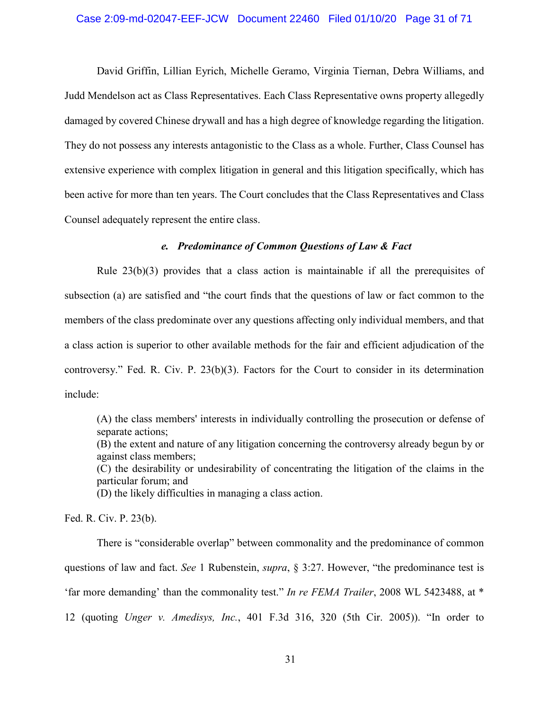## Case 2:09-md-02047-EEF-JCW Document 22460 Filed 01/10/20 Page 31 of 71

David Griffin, Lillian Eyrich, Michelle Geramo, Virginia Tiernan, Debra Williams, and Judd Mendelson act as Class Representatives. Each Class Representative owns property allegedly damaged by covered Chinese drywall and has a high degree of knowledge regarding the litigation. They do not possess any interests antagonistic to the Class as a whole. Further, Class Counsel has extensive experience with complex litigation in general and this litigation specifically, which has been active for more than ten years. The Court concludes that the Class Representatives and Class Counsel adequately represent the entire class.

## *e. Predominance of Common Questions of Law & Fact*

Rule 23(b)(3) provides that a class action is maintainable if all the prerequisites of subsection (a) are satisfied and "the court finds that the questions of law or fact common to the members of the class predominate over any questions affecting only individual members, and that a class action is superior to other available methods for the fair and efficient adjudication of the controversy." Fed. R. Civ. P. 23(b)(3). Factors for the Court to consider in its determination include:

(A) the class members' interests in individually controlling the prosecution or defense of separate actions; (B) the extent and nature of any litigation concerning the controversy already begun by or against class members; (C) the desirability or undesirability of concentrating the litigation of the claims in the particular forum; and (D) the likely difficulties in managing a class action.

Fed. R. Civ. P. 23(b).

There is "considerable overlap" between commonality and the predominance of common questions of law and fact. *See* 1 Rubenstein, *supra*, § 3:27. However, "the predominance test is 'far more demanding' than the commonality test." *In re FEMA Trailer*, 2008 WL 5423488, at \* 12 (quoting *Unger v. Amedisys, Inc.*, 401 F.3d 316, 320 (5th Cir. 2005)). "In order to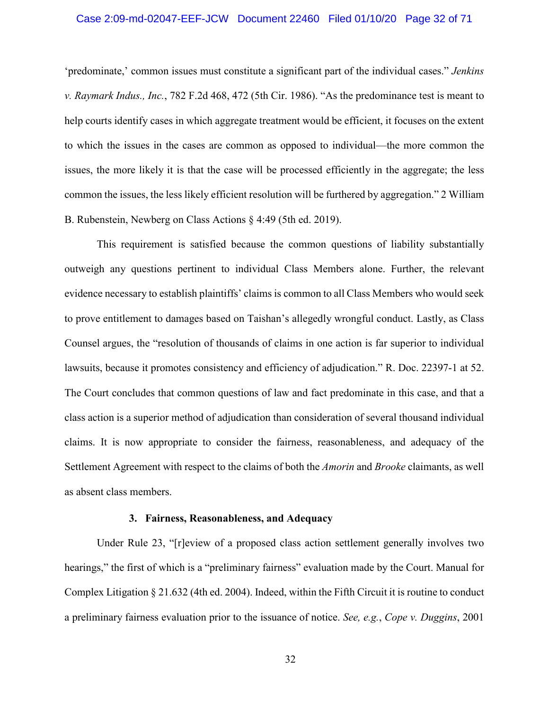## Case 2:09-md-02047-EEF-JCW Document 22460 Filed 01/10/20 Page 32 of 71

'predominate,' common issues must constitute a significant part of the individual cases." *Jenkins v. Raymark Indus., Inc.*, 782 F.2d 468, 472 (5th Cir. 1986). "As the predominance test is meant to help courts identify cases in which aggregate treatment would be efficient, it focuses on the extent to which the issues in the cases are common as opposed to individual—the more common the issues, the more likely it is that the case will be processed efficiently in the aggregate; the less common the issues, the less likely efficient resolution will be furthered by aggregation." 2 William B. Rubenstein, Newberg on Class Actions § 4:49 (5th ed. 2019).

This requirement is satisfied because the common questions of liability substantially outweigh any questions pertinent to individual Class Members alone. Further, the relevant evidence necessary to establish plaintiffs' claims is common to all Class Members who would seek to prove entitlement to damages based on Taishan's allegedly wrongful conduct. Lastly, as Class Counsel argues, the "resolution of thousands of claims in one action is far superior to individual lawsuits, because it promotes consistency and efficiency of adjudication." R. Doc. 22397-1 at 52. The Court concludes that common questions of law and fact predominate in this case, and that a class action is a superior method of adjudication than consideration of several thousand individual claims. It is now appropriate to consider the fairness, reasonableness, and adequacy of the Settlement Agreement with respect to the claims of both the *Amorin* and *Brooke* claimants, as well as absent class members.

#### **3. Fairness, Reasonableness, and Adequacy**

Under Rule 23, "[r]eview of a proposed class action settlement generally involves two hearings," the first of which is a "preliminary fairness" evaluation made by the Court. Manual for Complex Litigation § 21.632 (4th ed. 2004). Indeed, within the Fifth Circuit it is routine to conduct a preliminary fairness evaluation prior to the issuance of notice. *See, e.g.*, *Cope v. Duggins*, 2001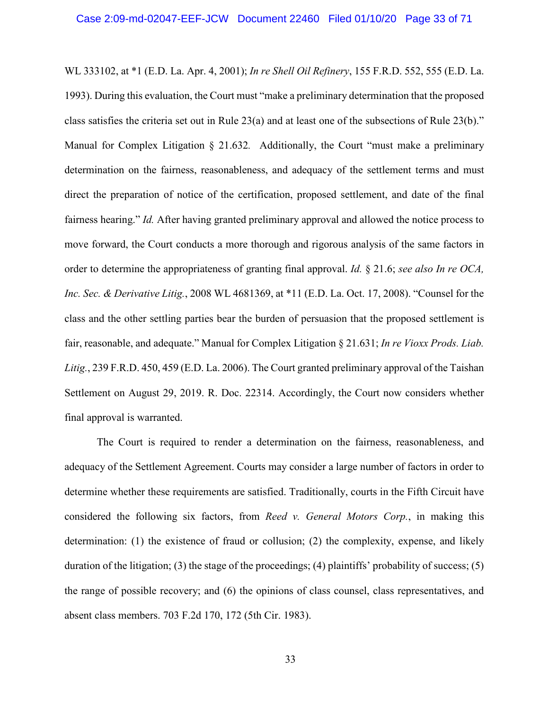WL 333102, at \*1 (E.D. La. Apr. 4, 2001); *In re Shell Oil Refinery*, 155 F.R.D. 552, 555 (E.D. La. 1993). During this evaluation, the Court must "make a preliminary determination that the proposed class satisfies the criteria set out in Rule 23(a) and at least one of the subsections of Rule 23(b)." Manual for Complex Litigation § 21.632*.* Additionally, the Court "must make a preliminary determination on the fairness, reasonableness, and adequacy of the settlement terms and must direct the preparation of notice of the certification, proposed settlement, and date of the final fairness hearing." *Id.* After having granted preliminary approval and allowed the notice process to move forward, the Court conducts a more thorough and rigorous analysis of the same factors in order to determine the appropriateness of granting final approval. *Id.* § 21.6; *see also In re OCA, Inc. Sec. & Derivative Litig.*, 2008 WL 4681369, at \*11 (E.D. La. Oct. 17, 2008). "Counsel for the class and the other settling parties bear the burden of persuasion that the proposed settlement is fair, reasonable, and adequate." Manual for Complex Litigation § 21.631; *In re Vioxx Prods. Liab. Litig.*, 239 F.R.D. 450, 459 (E.D. La. 2006). The Court granted preliminary approval of the Taishan Settlement on August 29, 2019. R. Doc. 22314. Accordingly, the Court now considers whether final approval is warranted.

The Court is required to render a determination on the fairness, reasonableness, and adequacy of the Settlement Agreement. Courts may consider a large number of factors in order to determine whether these requirements are satisfied. Traditionally, courts in the Fifth Circuit have considered the following six factors, from *Reed v. General Motors Corp.*, in making this determination: (1) the existence of fraud or collusion; (2) the complexity, expense, and likely duration of the litigation; (3) the stage of the proceedings; (4) plaintiffs' probability of success; (5) the range of possible recovery; and (6) the opinions of class counsel, class representatives, and absent class members. 703 F.2d 170, 172 (5th Cir. 1983).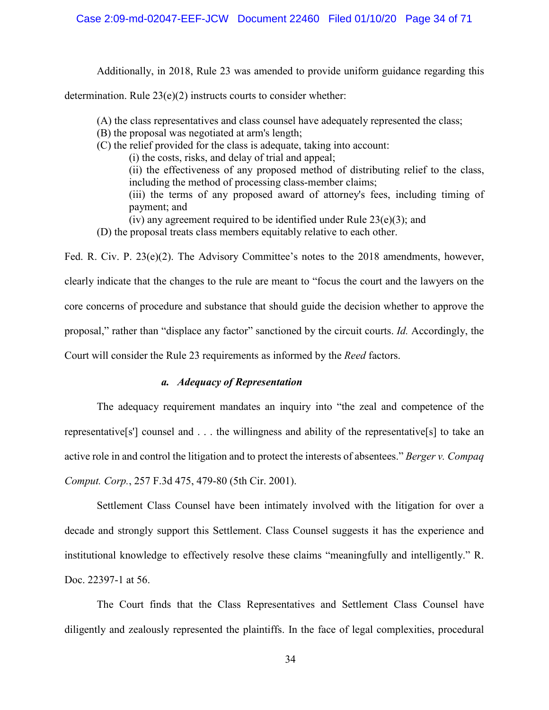Additionally, in 2018, Rule 23 was amended to provide uniform guidance regarding this

determination. Rule 23(e)(2) instructs courts to consider whether:

- (A) the class representatives and class counsel have adequately represented the class;
- (B) the proposal was negotiated at arm's length;
- (C) the relief provided for the class is adequate, taking into account:
	- (i) the costs, risks, and delay of trial and appeal;
	- (ii) the effectiveness of any proposed method of distributing relief to the class, including the method of processing class-member claims; (iii) the terms of any proposed award of attorney's fees, including timing of payment; and
	- (iv) any agreement required to be identified under Rule  $23(e)(3)$ ; and
- (D) the proposal treats class members equitably relative to each other.

Fed. R. Civ. P. 23(e)(2). The Advisory Committee's notes to the 2018 amendments, however, clearly indicate that the changes to the rule are meant to "focus the court and the lawyers on the core concerns of procedure and substance that should guide the decision whether to approve the proposal," rather than "displace any factor" sanctioned by the circuit courts. *Id.* Accordingly, the Court will consider the Rule 23 requirements as informed by the *Reed* factors.

# *a. Adequacy of Representation*

The adequacy requirement mandates an inquiry into "the zeal and competence of the representative[s'] counsel and . . . the willingness and ability of the representative[s] to take an active role in and control the litigation and to protect the interests of absentees." *Berger v. Compaq Comput. Corp.*, 257 F.3d 475, 479-80 (5th Cir. 2001).

Settlement Class Counsel have been intimately involved with the litigation for over a decade and strongly support this Settlement. Class Counsel suggests it has the experience and institutional knowledge to effectively resolve these claims "meaningfully and intelligently." R. Doc. 22397-1 at 56.

The Court finds that the Class Representatives and Settlement Class Counsel have diligently and zealously represented the plaintiffs. In the face of legal complexities, procedural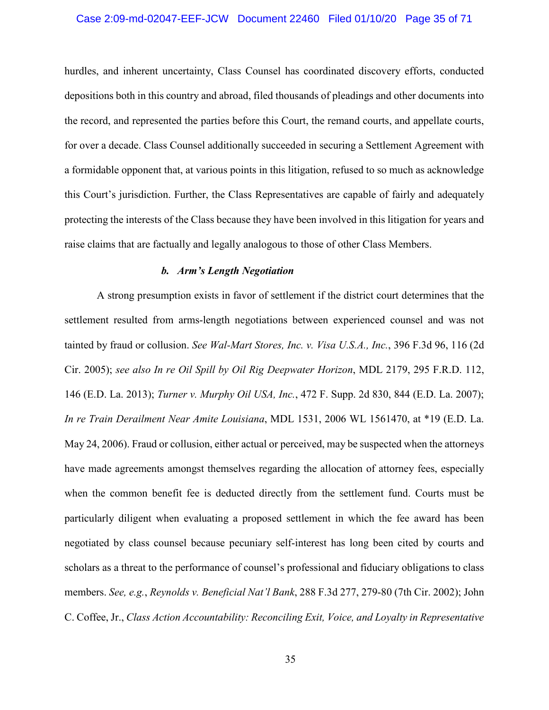## Case 2:09-md-02047-EEF-JCW Document 22460 Filed 01/10/20 Page 35 of 71

hurdles, and inherent uncertainty, Class Counsel has coordinated discovery efforts, conducted depositions both in this country and abroad, filed thousands of pleadings and other documents into the record, and represented the parties before this Court, the remand courts, and appellate courts, for over a decade. Class Counsel additionally succeeded in securing a Settlement Agreement with a formidable opponent that, at various points in this litigation, refused to so much as acknowledge this Court's jurisdiction. Further, the Class Representatives are capable of fairly and adequately protecting the interests of the Class because they have been involved in this litigation for years and raise claims that are factually and legally analogous to those of other Class Members.

## *b. Arm's Length Negotiation*

A strong presumption exists in favor of settlement if the district court determines that the settlement resulted from arms-length negotiations between experienced counsel and was not tainted by fraud or collusion. *See Wal-Mart Stores, Inc. v. Visa U.S.A., Inc.*, 396 F.3d 96, 116 (2d Cir. 2005); *see also In re Oil Spill by Oil Rig Deepwater Horizon*, MDL 2179, 295 F.R.D. 112, 146 (E.D. La. 2013); *Turner v. Murphy Oil USA, Inc.*, 472 F. Supp. 2d 830, 844 (E.D. La. 2007); *In re Train Derailment Near Amite Louisiana*, MDL 1531, 2006 WL 1561470, at \*19 (E.D. La. May 24, 2006). Fraud or collusion, either actual or perceived, may be suspected when the attorneys have made agreements amongst themselves regarding the allocation of attorney fees, especially when the common benefit fee is deducted directly from the settlement fund. Courts must be particularly diligent when evaluating a proposed settlement in which the fee award has been negotiated by class counsel because pecuniary self-interest has long been cited by courts and scholars as a threat to the performance of counsel's professional and fiduciary obligations to class members. *See, e.g.*, *Reynolds v. Beneficial Nat'l Bank*, 288 F.3d 277, 279-80 (7th Cir. 2002); John C. Coffee, Jr., *Class Action Accountability: Reconciling Exit, Voice, and Loyalty in Representative*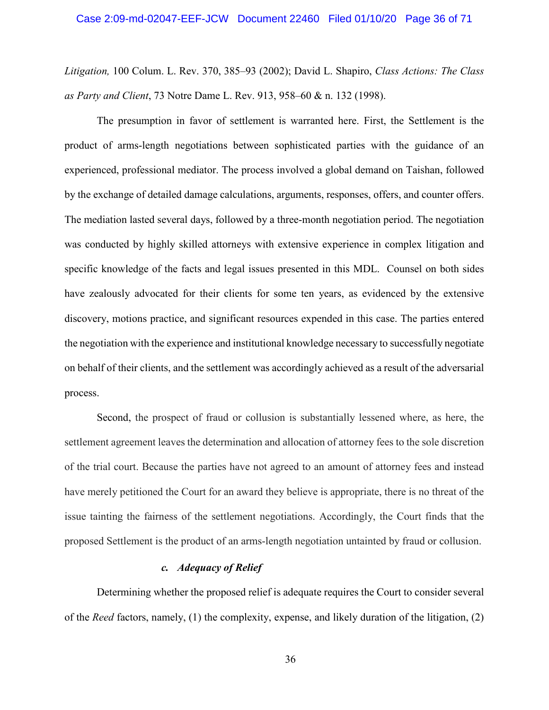*Litigation,* 100 Colum. L. Rev. 370, 385–93 (2002); David L. Shapiro, *Class Actions: The Class as Party and Client*, 73 Notre Dame L. Rev. 913, 958–60 & n. 132 (1998).

The presumption in favor of settlement is warranted here. First, the Settlement is the product of arms-length negotiations between sophisticated parties with the guidance of an experienced, professional mediator. The process involved a global demand on Taishan, followed by the exchange of detailed damage calculations, arguments, responses, offers, and counter offers. The mediation lasted several days, followed by a three-month negotiation period. The negotiation was conducted by highly skilled attorneys with extensive experience in complex litigation and specific knowledge of the facts and legal issues presented in this MDL. Counsel on both sides have zealously advocated for their clients for some ten years, as evidenced by the extensive discovery, motions practice, and significant resources expended in this case. The parties entered the negotiation with the experience and institutional knowledge necessary to successfully negotiate on behalf of their clients, and the settlement was accordingly achieved as a result of the adversarial process.

Second, the prospect of fraud or collusion is substantially lessened where, as here, the settlement agreement leaves the determination and allocation of attorney fees to the sole discretion of the trial court. Because the parties have not agreed to an amount of attorney fees and instead have merely petitioned the Court for an award they believe is appropriate, there is no threat of the issue tainting the fairness of the settlement negotiations. Accordingly, the Court finds that the proposed Settlement is the product of an arms-length negotiation untainted by fraud or collusion.

# *c. Adequacy of Relief*

Determining whether the proposed relief is adequate requires the Court to consider several of the *Reed* factors, namely, (1) the complexity, expense, and likely duration of the litigation, (2)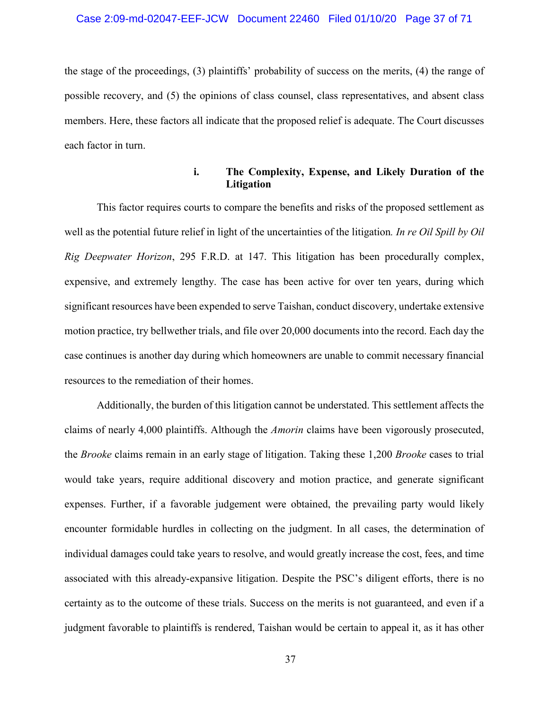## Case 2:09-md-02047-EEF-JCW Document 22460 Filed 01/10/20 Page 37 of 71

the stage of the proceedings, (3) plaintiffs' probability of success on the merits, (4) the range of possible recovery, and (5) the opinions of class counsel, class representatives, and absent class members. Here, these factors all indicate that the proposed relief is adequate. The Court discusses each factor in turn.

## **i. The Complexity, Expense, and Likely Duration of the Litigation**

This factor requires courts to compare the benefits and risks of the proposed settlement as well as the potential future relief in light of the uncertainties of the litigation*. In re Oil Spill by Oil Rig Deepwater Horizon*, 295 F.R.D. at 147. This litigation has been procedurally complex, expensive, and extremely lengthy. The case has been active for over ten years, during which significant resources have been expended to serve Taishan, conduct discovery, undertake extensive motion practice, try bellwether trials, and file over 20,000 documents into the record. Each day the case continues is another day during which homeowners are unable to commit necessary financial resources to the remediation of their homes.

Additionally, the burden of this litigation cannot be understated. This settlement affects the claims of nearly 4,000 plaintiffs. Although the *Amorin* claims have been vigorously prosecuted, the *Brooke* claims remain in an early stage of litigation. Taking these 1,200 *Brooke* cases to trial would take years, require additional discovery and motion practice, and generate significant expenses. Further, if a favorable judgement were obtained, the prevailing party would likely encounter formidable hurdles in collecting on the judgment. In all cases, the determination of individual damages could take years to resolve, and would greatly increase the cost, fees, and time associated with this already-expansive litigation. Despite the PSC's diligent efforts, there is no certainty as to the outcome of these trials. Success on the merits is not guaranteed, and even if a judgment favorable to plaintiffs is rendered, Taishan would be certain to appeal it, as it has other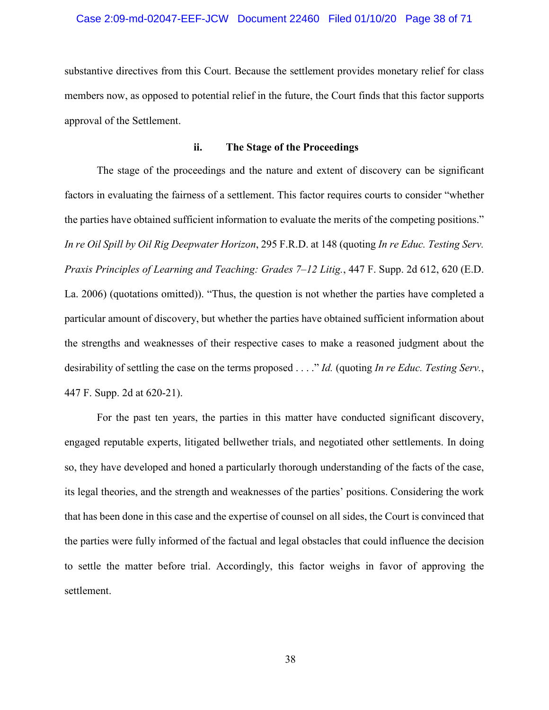# Case 2:09-md-02047-EEF-JCW Document 22460 Filed 01/10/20 Page 38 of 71

substantive directives from this Court. Because the settlement provides monetary relief for class members now, as opposed to potential relief in the future, the Court finds that this factor supports approval of the Settlement.

#### **ii. The Stage of the Proceedings**

The stage of the proceedings and the nature and extent of discovery can be significant factors in evaluating the fairness of a settlement. This factor requires courts to consider "whether the parties have obtained sufficient information to evaluate the merits of the competing positions." *In re Oil Spill by Oil Rig Deepwater Horizon*, 295 F.R.D. at 148 (quoting *In re Educ. Testing Serv. Praxis Principles of Learning and Teaching: Grades 7–12 Litig.*, 447 F. Supp. 2d 612, 620 (E.D. La. 2006) (quotations omitted)). "Thus, the question is not whether the parties have completed a particular amount of discovery, but whether the parties have obtained sufficient information about the strengths and weaknesses of their respective cases to make a reasoned judgment about the desirability of settling the case on the terms proposed . . . ." *Id.* (quoting *In re Educ. Testing Serv.*, 447 F. Supp. 2d at 620-21).

For the past ten years, the parties in this matter have conducted significant discovery, engaged reputable experts, litigated bellwether trials, and negotiated other settlements. In doing so, they have developed and honed a particularly thorough understanding of the facts of the case, its legal theories, and the strength and weaknesses of the parties' positions. Considering the work that has been done in this case and the expertise of counsel on all sides, the Court is convinced that the parties were fully informed of the factual and legal obstacles that could influence the decision to settle the matter before trial. Accordingly, this factor weighs in favor of approving the settlement.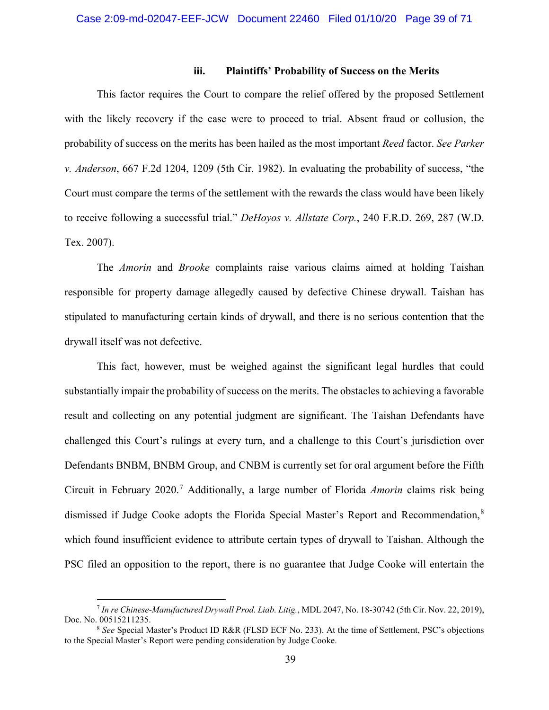### **iii. Plaintiffs' Probability of Success on the Merits**

This factor requires the Court to compare the relief offered by the proposed Settlement with the likely recovery if the case were to proceed to trial. Absent fraud or collusion, the probability of success on the merits has been hailed as the most important *Reed* factor. *See Parker v. Anderson*, 667 F.2d 1204, 1209 (5th Cir. 1982). In evaluating the probability of success, "the Court must compare the terms of the settlement with the rewards the class would have been likely to receive following a successful trial." *DeHoyos v. Allstate Corp.*, 240 F.R.D. 269, 287 (W.D. Tex. 2007).

The *Amorin* and *Brooke* complaints raise various claims aimed at holding Taishan responsible for property damage allegedly caused by defective Chinese drywall. Taishan has stipulated to manufacturing certain kinds of drywall, and there is no serious contention that the drywall itself was not defective.

This fact, however, must be weighed against the significant legal hurdles that could substantially impair the probability of success on the merits. The obstacles to achieving a favorable result and collecting on any potential judgment are significant. The Taishan Defendants have challenged this Court's rulings at every turn, and a challenge to this Court's jurisdiction over Defendants BNBM, BNBM Group, and CNBM is currently set for oral argument before the Fifth Circuit in February 2020.<sup>7</sup> Additionally, a large number of Florida *Amorin* claims risk being dismissed if Judge Cooke adopts the Florida Special Master's Report and Recommendation,<sup>8</sup> which found insufficient evidence to attribute certain types of drywall to Taishan. Although the PSC filed an opposition to the report, there is no guarantee that Judge Cooke will entertain the

 $\overline{a}$ 

<sup>7</sup> *In re Chinese-Manufactured Drywall Prod. Liab. Litig.*, MDL 2047, No. 18-30742 (5th Cir. Nov. 22, 2019), Doc. No. 00515211235.

<sup>8</sup> *See* Special Master's Product ID R&R (FLSD ECF No. 233). At the time of Settlement, PSC's objections to the Special Master's Report were pending consideration by Judge Cooke.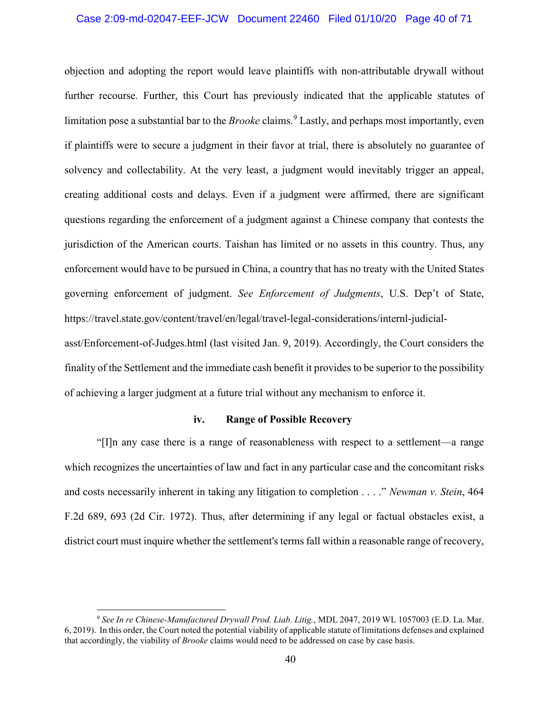#### Case 2:09-md-02047-EEF-JCW Document 22460 Filed 01/10/20 Page 40 of 71

objection and adopting the report would leave plaintiffs with non-attributable drywall without further recourse. Further, this Court has previously indicated that the applicable statutes of limitation pose a substantial bar to the *Brooke* claims.<sup>9</sup> Lastly, and perhaps most importantly, even if plaintiffs were to secure a judgment in their favor at trial, there is absolutely no guarantee of solvency and collectability. At the very least, a judgment would inevitably trigger an appeal, creating additional costs and delays. Even if a judgment were affirmed, there are significant questions regarding the enforcement of a judgment against a Chinese company that contests the jurisdiction of the American courts. Taishan has limited or no assets in this country. Thus, any enforcement would have to be pursued in China, a country that has no treaty with the United States governing enforcement of judgment. *See Enforcement of Judgments*, U.S. Dep't of State, https://travel.state.gov/content/travel/en/legal/travel-legal-considerations/internl-judicialasst/Enforcement-of-Judges.html (last visited Jan. 9, 2019). Accordingly, the Court considers the finality of the Settlement and the immediate cash benefit it provides to be superior to the possibility

of achieving a larger judgment at a future trial without any mechanism to enforce it.

# **iv. Range of Possible Recovery**

"[I]n any case there is a range of reasonableness with respect to a settlement—a range which recognizes the uncertainties of law and fact in any particular case and the concomitant risks and costs necessarily inherent in taking any litigation to completion . . . ." *Newman v. Stein*, 464 F.2d 689, 693 (2d Cir. 1972). Thus, after determining if any legal or factual obstacles exist, a district court must inquire whether the settlement's terms fall within a reasonable range of recovery,

 $\overline{a}$ 

<sup>9</sup> *See In re Chinese-Manufactured Drywall Prod. Liab. Litig.*, MDL 2047, 2019 WL 1057003 (E.D. La. Mar. 6, 2019). In this order, the Court noted the potential viability of applicable statute of limitations defenses and explained that accordingly, the viability of *Brooke* claims would need to be addressed on case by case basis.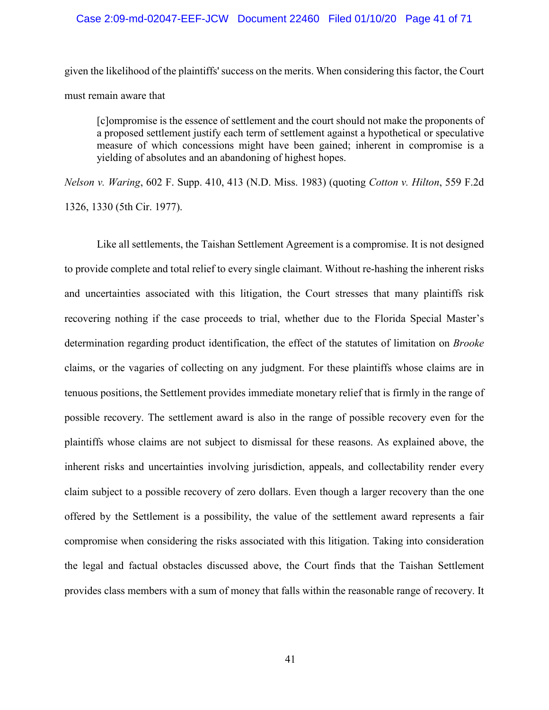### Case 2:09-md-02047-EEF-JCW Document 22460 Filed 01/10/20 Page 41 of 71

given the likelihood of the plaintiffs' success on the merits. When considering this factor, the Court must remain aware that

[c]ompromise is the essence of settlement and the court should not make the proponents of a proposed settlement justify each term of settlement against a hypothetical or speculative measure of which concessions might have been gained; inherent in compromise is a yielding of absolutes and an abandoning of highest hopes.

*Nelson v. Waring*, 602 F. Supp. 410, 413 (N.D. Miss. 1983) (quoting *Cotton v. Hilton*, 559 F.2d 1326, 1330 (5th Cir. 1977).

Like all settlements, the Taishan Settlement Agreement is a compromise. It is not designed to provide complete and total relief to every single claimant. Without re-hashing the inherent risks and uncertainties associated with this litigation, the Court stresses that many plaintiffs risk recovering nothing if the case proceeds to trial, whether due to the Florida Special Master's determination regarding product identification, the effect of the statutes of limitation on *Brooke* claims, or the vagaries of collecting on any judgment. For these plaintiffs whose claims are in tenuous positions, the Settlement provides immediate monetary relief that is firmly in the range of possible recovery. The settlement award is also in the range of possible recovery even for the plaintiffs whose claims are not subject to dismissal for these reasons. As explained above, the inherent risks and uncertainties involving jurisdiction, appeals, and collectability render every claim subject to a possible recovery of zero dollars. Even though a larger recovery than the one offered by the Settlement is a possibility, the value of the settlement award represents a fair compromise when considering the risks associated with this litigation. Taking into consideration the legal and factual obstacles discussed above, the Court finds that the Taishan Settlement provides class members with a sum of money that falls within the reasonable range of recovery. It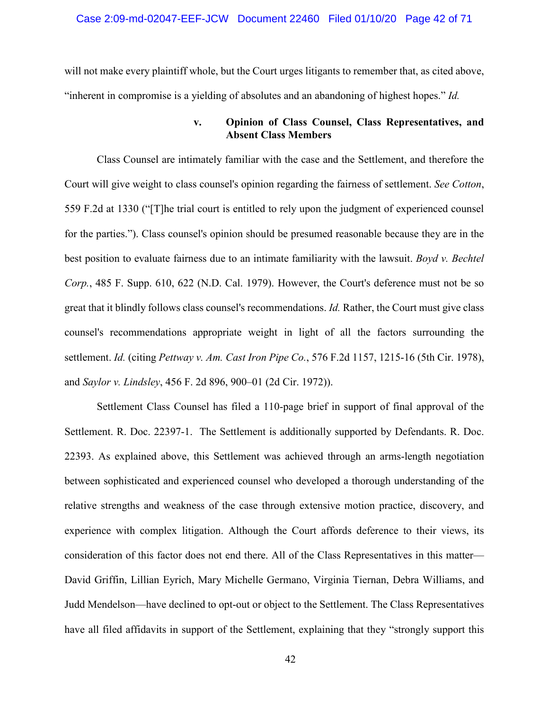will not make every plaintiff whole, but the Court urges litigants to remember that, as cited above, "inherent in compromise is a yielding of absolutes and an abandoning of highest hopes." *Id.*

## **v. Opinion of Class Counsel, Class Representatives, and Absent Class Members**

Class Counsel are intimately familiar with the case and the Settlement, and therefore the Court will give weight to class counsel's opinion regarding the fairness of settlement. *See Cotton*, 559 F.2d at 1330 ("[T]he trial court is entitled to rely upon the judgment of experienced counsel for the parties."). Class counsel's opinion should be presumed reasonable because they are in the best position to evaluate fairness due to an intimate familiarity with the lawsuit. *Boyd v. Bechtel Corp.*, 485 F. Supp. 610, 622 (N.D. Cal. 1979). However, the Court's deference must not be so great that it blindly follows class counsel's recommendations. *Id.* Rather, the Court must give class counsel's recommendations appropriate weight in light of all the factors surrounding the settlement. *Id.* (citing *Pettway v. Am. Cast Iron Pipe Co.*, 576 F.2d 1157, 1215-16 (5th Cir. 1978), and *Saylor v. Lindsley*, 456 F. 2d 896, 900–01 (2d Cir. 1972)).

Settlement Class Counsel has filed a 110-page brief in support of final approval of the Settlement. R. Doc. 22397-1. The Settlement is additionally supported by Defendants. R. Doc. 22393. As explained above, this Settlement was achieved through an arms-length negotiation between sophisticated and experienced counsel who developed a thorough understanding of the relative strengths and weakness of the case through extensive motion practice, discovery, and experience with complex litigation. Although the Court affords deference to their views, its consideration of this factor does not end there. All of the Class Representatives in this matter— David Griffin, Lillian Eyrich, Mary Michelle Germano, Virginia Tiernan, Debra Williams, and Judd Mendelson—have declined to opt-out or object to the Settlement. The Class Representatives have all filed affidavits in support of the Settlement, explaining that they "strongly support this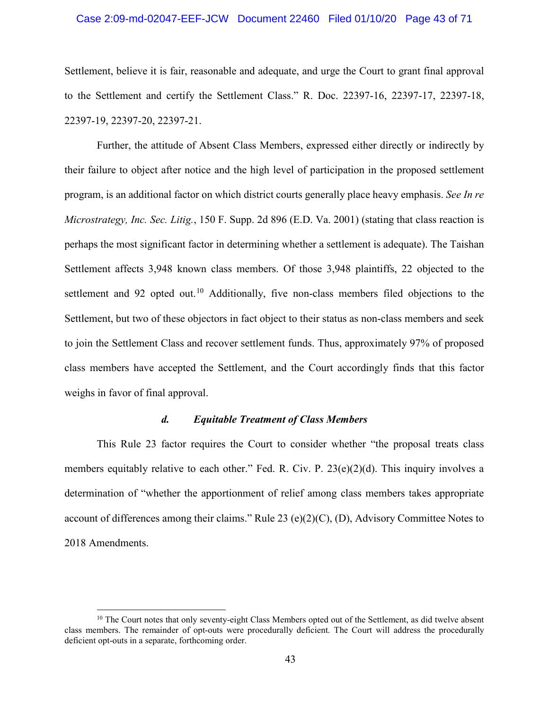## Case 2:09-md-02047-EEF-JCW Document 22460 Filed 01/10/20 Page 43 of 71

Settlement, believe it is fair, reasonable and adequate, and urge the Court to grant final approval to the Settlement and certify the Settlement Class." R. Doc. 22397-16, 22397-17, 22397-18, 22397-19, 22397-20, 22397-21.

Further, the attitude of Absent Class Members, expressed either directly or indirectly by their failure to object after notice and the high level of participation in the proposed settlement program, is an additional factor on which district courts generally place heavy emphasis. *See In re Microstrategy, Inc. Sec. Litig.*, 150 F. Supp. 2d 896 (E.D. Va. 2001) (stating that class reaction is perhaps the most significant factor in determining whether a settlement is adequate). The Taishan Settlement affects 3,948 known class members. Of those 3,948 plaintiffs, 22 objected to the settlement and 92 opted out.<sup>10</sup> Additionally, five non-class members filed objections to the Settlement, but two of these objectors in fact object to their status as non-class members and seek to join the Settlement Class and recover settlement funds. Thus, approximately 97% of proposed class members have accepted the Settlement, and the Court accordingly finds that this factor weighs in favor of final approval.

## *d. Equitable Treatment of Class Members*

This Rule 23 factor requires the Court to consider whether "the proposal treats class members equitably relative to each other." Fed. R. Civ. P. 23(e)(2)(d). This inquiry involves a determination of "whether the apportionment of relief among class members takes appropriate account of differences among their claims." Rule 23 (e)(2)(C), (D), Advisory Committee Notes to 2018 Amendments.

 $\overline{a}$ 

 $10$  The Court notes that only seventy-eight Class Members opted out of the Settlement, as did twelve absent class members. The remainder of opt-outs were procedurally deficient. The Court will address the procedurally deficient opt-outs in a separate, forthcoming order.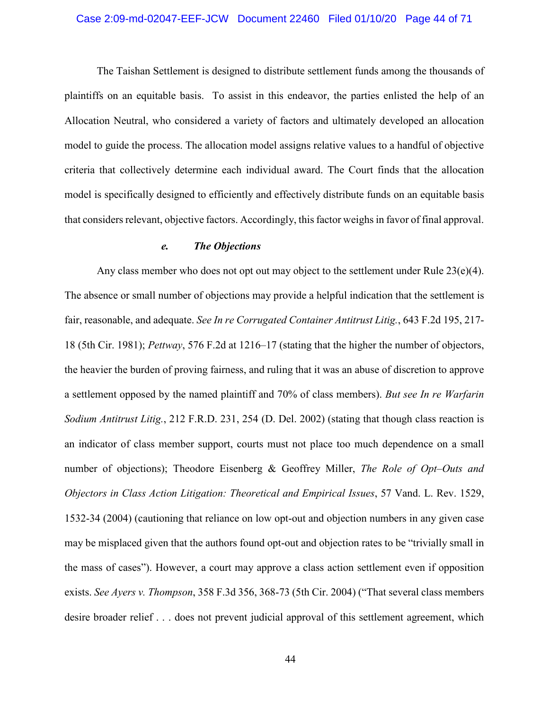## Case 2:09-md-02047-EEF-JCW Document 22460 Filed 01/10/20 Page 44 of 71

The Taishan Settlement is designed to distribute settlement funds among the thousands of plaintiffs on an equitable basis. To assist in this endeavor, the parties enlisted the help of an Allocation Neutral, who considered a variety of factors and ultimately developed an allocation model to guide the process. The allocation model assigns relative values to a handful of objective criteria that collectively determine each individual award. The Court finds that the allocation model is specifically designed to efficiently and effectively distribute funds on an equitable basis that considers relevant, objective factors. Accordingly, this factor weighs in favor of final approval.

## *e. The Objections*

Any class member who does not opt out may object to the settlement under Rule  $23(e)(4)$ . The absence or small number of objections may provide a helpful indication that the settlement is fair, reasonable, and adequate. *See In re Corrugated Container Antitrust Litig.*, 643 F.2d 195, 217- 18 (5th Cir. 1981); *Pettway*, 576 F.2d at 1216–17 (stating that the higher the number of objectors, the heavier the burden of proving fairness, and ruling that it was an abuse of discretion to approve a settlement opposed by the named plaintiff and 70% of class members). *But see In re Warfarin Sodium Antitrust Litig.*, 212 F.R.D. 231, 254 (D. Del. 2002) (stating that though class reaction is an indicator of class member support, courts must not place too much dependence on a small number of objections); Theodore Eisenberg & Geoffrey Miller, *The Role of Opt–Outs and Objectors in Class Action Litigation: Theoretical and Empirical Issues*, 57 Vand. L. Rev. 1529, 1532-34 (2004) (cautioning that reliance on low opt-out and objection numbers in any given case may be misplaced given that the authors found opt-out and objection rates to be "trivially small in the mass of cases"). However, a court may approve a class action settlement even if opposition exists. *See Ayers v. Thompson*, 358 F.3d 356, 368-73 (5th Cir. 2004) ("That several class members desire broader relief . . . does not prevent judicial approval of this settlement agreement, which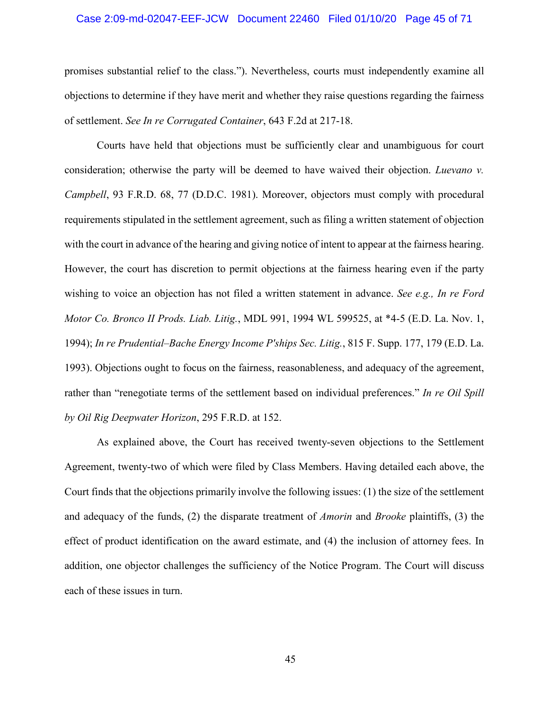## Case 2:09-md-02047-EEF-JCW Document 22460 Filed 01/10/20 Page 45 of 71

promises substantial relief to the class."). Nevertheless, courts must independently examine all objections to determine if they have merit and whether they raise questions regarding the fairness of settlement. *See In re Corrugated Container*, 643 F.2d at 217-18.

Courts have held that objections must be sufficiently clear and unambiguous for court consideration; otherwise the party will be deemed to have waived their objection. *Luevano v. Campbell*, 93 F.R.D. 68, 77 (D.D.C. 1981). Moreover, objectors must comply with procedural requirements stipulated in the settlement agreement, such as filing a written statement of objection with the court in advance of the hearing and giving notice of intent to appear at the fairness hearing. However, the court has discretion to permit objections at the fairness hearing even if the party wishing to voice an objection has not filed a written statement in advance. *See e.g., In re Ford Motor Co. Bronco II Prods. Liab. Litig.*, MDL 991, 1994 WL 599525, at \*4-5 (E.D. La. Nov. 1, 1994); *In re Prudential–Bache Energy Income P'ships Sec. Litig.*, 815 F. Supp. 177, 179 (E.D. La. 1993). Objections ought to focus on the fairness, reasonableness, and adequacy of the agreement, rather than "renegotiate terms of the settlement based on individual preferences." *In re Oil Spill by Oil Rig Deepwater Horizon*, 295 F.R.D. at 152.

As explained above, the Court has received twenty-seven objections to the Settlement Agreement, twenty-two of which were filed by Class Members. Having detailed each above, the Court finds that the objections primarily involve the following issues: (1) the size of the settlement and adequacy of the funds, (2) the disparate treatment of *Amorin* and *Brooke* plaintiffs, (3) the effect of product identification on the award estimate, and (4) the inclusion of attorney fees. In addition, one objector challenges the sufficiency of the Notice Program. The Court will discuss each of these issues in turn.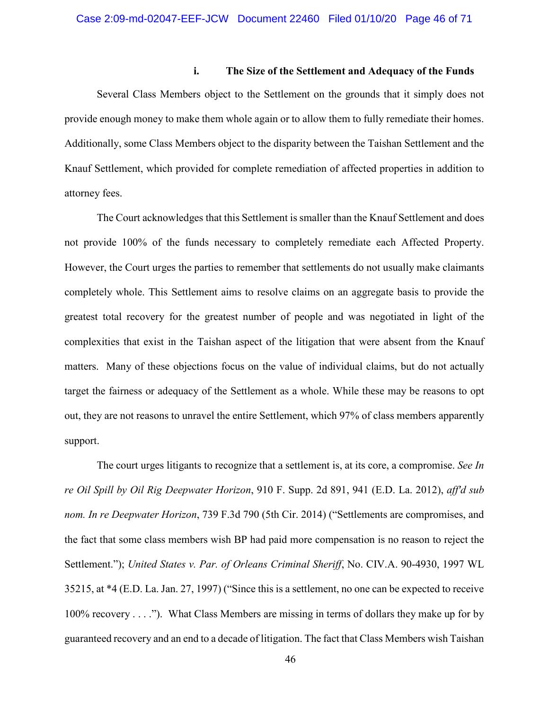## **i. The Size of the Settlement and Adequacy of the Funds**

Several Class Members object to the Settlement on the grounds that it simply does not provide enough money to make them whole again or to allow them to fully remediate their homes. Additionally, some Class Members object to the disparity between the Taishan Settlement and the Knauf Settlement, which provided for complete remediation of affected properties in addition to attorney fees.

The Court acknowledges that this Settlement is smaller than the Knauf Settlement and does not provide 100% of the funds necessary to completely remediate each Affected Property. However, the Court urges the parties to remember that settlements do not usually make claimants completely whole. This Settlement aims to resolve claims on an aggregate basis to provide the greatest total recovery for the greatest number of people and was negotiated in light of the complexities that exist in the Taishan aspect of the litigation that were absent from the Knauf matters. Many of these objections focus on the value of individual claims, but do not actually target the fairness or adequacy of the Settlement as a whole. While these may be reasons to opt out, they are not reasons to unravel the entire Settlement, which 97% of class members apparently support.

The court urges litigants to recognize that a settlement is, at its core, a compromise. *See In re Oil Spill by Oil Rig Deepwater Horizon*, 910 F. Supp. 2d 891, 941 (E.D. La. 2012), *aff'd sub nom. In re Deepwater Horizon*, 739 F.3d 790 (5th Cir. 2014) ("Settlements are compromises, and the fact that some class members wish BP had paid more compensation is no reason to reject the Settlement."); *United States v. Par. of Orleans Criminal Sheriff*, No. CIV.A. 90-4930, 1997 WL 35215, at \*4 (E.D. La. Jan. 27, 1997) ("Since this is a settlement, no one can be expected to receive 100% recovery . . . ."). What Class Members are missing in terms of dollars they make up for by guaranteed recovery and an end to a decade of litigation. The fact that Class Members wish Taishan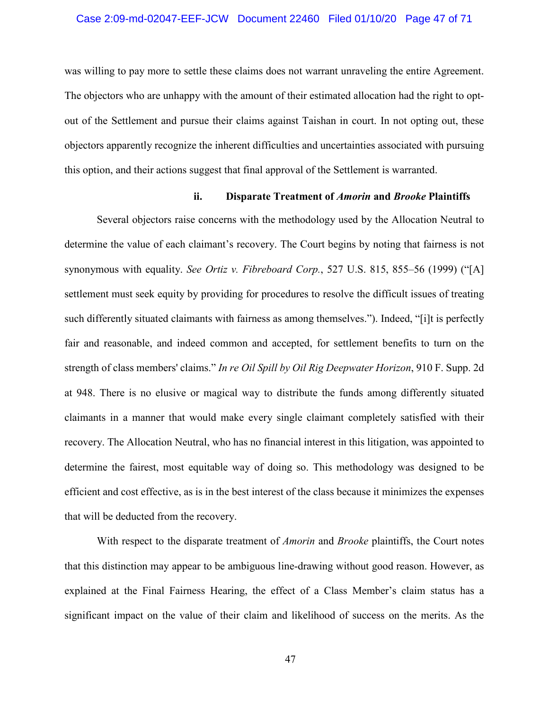## Case 2:09-md-02047-EEF-JCW Document 22460 Filed 01/10/20 Page 47 of 71

was willing to pay more to settle these claims does not warrant unraveling the entire Agreement. The objectors who are unhappy with the amount of their estimated allocation had the right to optout of the Settlement and pursue their claims against Taishan in court. In not opting out, these objectors apparently recognize the inherent difficulties and uncertainties associated with pursuing this option, and their actions suggest that final approval of the Settlement is warranted.

## **ii. Disparate Treatment of** *Amorin* **and** *Brooke* **Plaintiffs**

Several objectors raise concerns with the methodology used by the Allocation Neutral to determine the value of each claimant's recovery. The Court begins by noting that fairness is not synonymous with equality. *See Ortiz v. Fibreboard Corp.*, 527 U.S. 815, 855–56 (1999) ("[A] settlement must seek equity by providing for procedures to resolve the difficult issues of treating such differently situated claimants with fairness as among themselves."). Indeed, "[i]t is perfectly fair and reasonable, and indeed common and accepted, for settlement benefits to turn on the strength of class members' claims." *In re Oil Spill by Oil Rig Deepwater Horizon*, 910 F. Supp. 2d at 948. There is no elusive or magical way to distribute the funds among differently situated claimants in a manner that would make every single claimant completely satisfied with their recovery. The Allocation Neutral, who has no financial interest in this litigation, was appointed to determine the fairest, most equitable way of doing so. This methodology was designed to be efficient and cost effective, as is in the best interest of the class because it minimizes the expenses that will be deducted from the recovery.

With respect to the disparate treatment of *Amorin* and *Brooke* plaintiffs, the Court notes that this distinction may appear to be ambiguous line-drawing without good reason. However, as explained at the Final Fairness Hearing, the effect of a Class Member's claim status has a significant impact on the value of their claim and likelihood of success on the merits. As the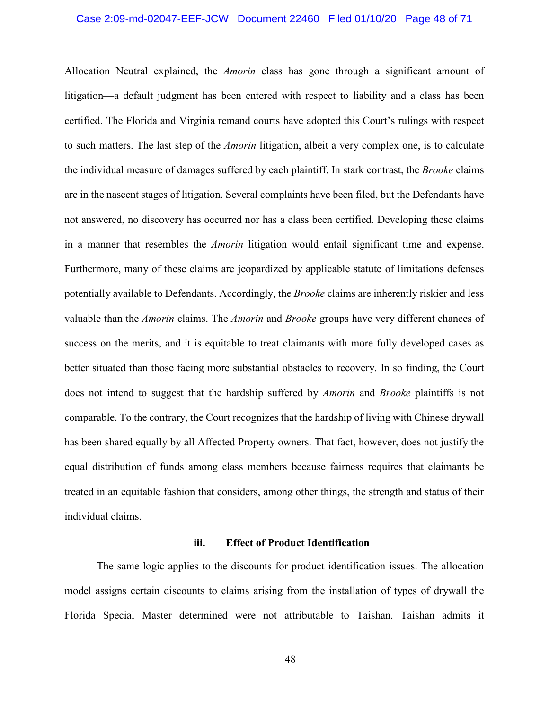# Case 2:09-md-02047-EEF-JCW Document 22460 Filed 01/10/20 Page 48 of 71

Allocation Neutral explained, the *Amorin* class has gone through a significant amount of litigation—a default judgment has been entered with respect to liability and a class has been certified. The Florida and Virginia remand courts have adopted this Court's rulings with respect to such matters. The last step of the *Amorin* litigation, albeit a very complex one, is to calculate the individual measure of damages suffered by each plaintiff. In stark contrast, the *Brooke* claims are in the nascent stages of litigation. Several complaints have been filed, but the Defendants have not answered, no discovery has occurred nor has a class been certified. Developing these claims in a manner that resembles the *Amorin* litigation would entail significant time and expense. Furthermore, many of these claims are jeopardized by applicable statute of limitations defenses potentially available to Defendants. Accordingly, the *Brooke* claims are inherently riskier and less valuable than the *Amorin* claims. The *Amorin* and *Brooke* groups have very different chances of success on the merits, and it is equitable to treat claimants with more fully developed cases as better situated than those facing more substantial obstacles to recovery. In so finding, the Court does not intend to suggest that the hardship suffered by *Amorin* and *Brooke* plaintiffs is not comparable. To the contrary, the Court recognizes that the hardship of living with Chinese drywall has been shared equally by all Affected Property owners. That fact, however, does not justify the equal distribution of funds among class members because fairness requires that claimants be treated in an equitable fashion that considers, among other things, the strength and status of their individual claims.

## **iii. Effect of Product Identification**

The same logic applies to the discounts for product identification issues. The allocation model assigns certain discounts to claims arising from the installation of types of drywall the Florida Special Master determined were not attributable to Taishan. Taishan admits it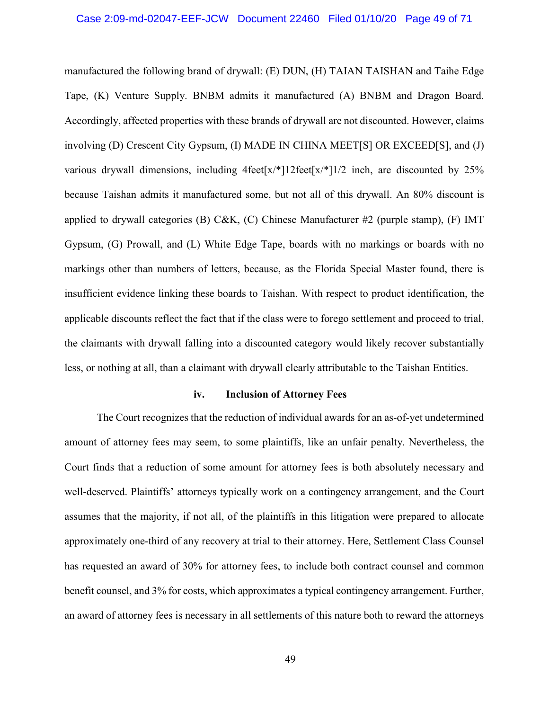## Case 2:09-md-02047-EEF-JCW Document 22460 Filed 01/10/20 Page 49 of 71

manufactured the following brand of drywall: (E) DUN, (H) TAIAN TAISHAN and Taihe Edge Tape, (K) Venture Supply. BNBM admits it manufactured (A) BNBM and Dragon Board. Accordingly, affected properties with these brands of drywall are not discounted. However, claims involving (D) Crescent City Gypsum, (I) MADE IN CHINA MEET[S] OR EXCEED[S], and (J) various drywall dimensions, including  $4 \text{feet}[x/*]12 \text{ feet}[x/*]1/2$  inch, are discounted by 25% because Taishan admits it manufactured some, but not all of this drywall. An 80% discount is applied to drywall categories (B) C&K, (C) Chinese Manufacturer #2 (purple stamp), (F) IMT Gypsum, (G) Prowall, and (L) White Edge Tape, boards with no markings or boards with no markings other than numbers of letters, because, as the Florida Special Master found, there is insufficient evidence linking these boards to Taishan. With respect to product identification, the applicable discounts reflect the fact that if the class were to forego settlement and proceed to trial, the claimants with drywall falling into a discounted category would likely recover substantially less, or nothing at all, than a claimant with drywall clearly attributable to the Taishan Entities.

## **iv. Inclusion of Attorney Fees**

The Court recognizes that the reduction of individual awards for an as-of-yet undetermined amount of attorney fees may seem, to some plaintiffs, like an unfair penalty. Nevertheless, the Court finds that a reduction of some amount for attorney fees is both absolutely necessary and well-deserved. Plaintiffs' attorneys typically work on a contingency arrangement, and the Court assumes that the majority, if not all, of the plaintiffs in this litigation were prepared to allocate approximately one-third of any recovery at trial to their attorney. Here, Settlement Class Counsel has requested an award of 30% for attorney fees, to include both contract counsel and common benefit counsel, and 3% for costs, which approximates a typical contingency arrangement. Further, an award of attorney fees is necessary in all settlements of this nature both to reward the attorneys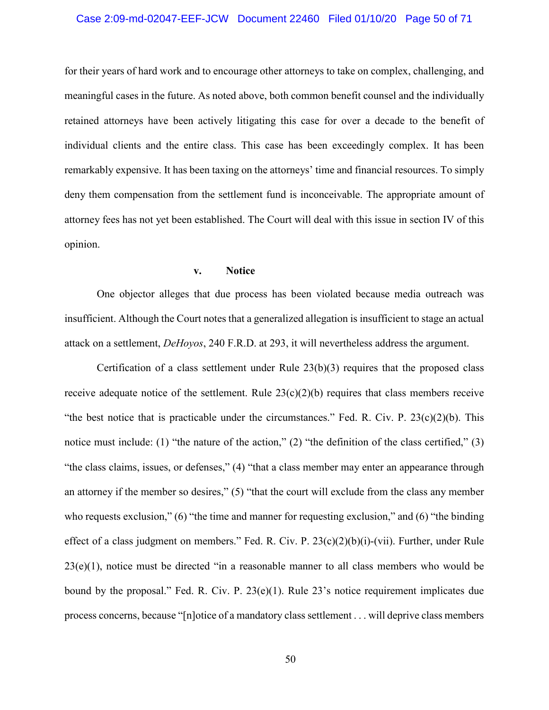## Case 2:09-md-02047-EEF-JCW Document 22460 Filed 01/10/20 Page 50 of 71

for their years of hard work and to encourage other attorneys to take on complex, challenging, and meaningful cases in the future. As noted above, both common benefit counsel and the individually retained attorneys have been actively litigating this case for over a decade to the benefit of individual clients and the entire class. This case has been exceedingly complex. It has been remarkably expensive. It has been taxing on the attorneys' time and financial resources. To simply deny them compensation from the settlement fund is inconceivable. The appropriate amount of attorney fees has not yet been established. The Court will deal with this issue in section IV of this opinion.

#### **v. Notice**

One objector alleges that due process has been violated because media outreach was insufficient. Although the Court notes that a generalized allegation is insufficient to stage an actual attack on a settlement, *DeHoyos*, 240 F.R.D. at 293, it will nevertheless address the argument.

Certification of a class settlement under Rule  $23(b)(3)$  requires that the proposed class receive adequate notice of the settlement. Rule  $23(c)(2)(b)$  requires that class members receive "the best notice that is practicable under the circumstances." Fed. R. Civ. P.  $23(c)(2)(b)$ . This notice must include: (1) "the nature of the action," (2) "the definition of the class certified," (3) "the class claims, issues, or defenses," (4) "that a class member may enter an appearance through an attorney if the member so desires," (5) "that the court will exclude from the class any member who requests exclusion," (6) "the time and manner for requesting exclusion," and (6) "the binding effect of a class judgment on members." Fed. R. Civ. P. 23(c)(2)(b)(i)-(vii). Further, under Rule  $23(e)(1)$ , notice must be directed "in a reasonable manner to all class members who would be bound by the proposal." Fed. R. Civ. P. 23(e)(1). Rule 23's notice requirement implicates due process concerns, because "[n]otice of a mandatory class settlement . . . will deprive class members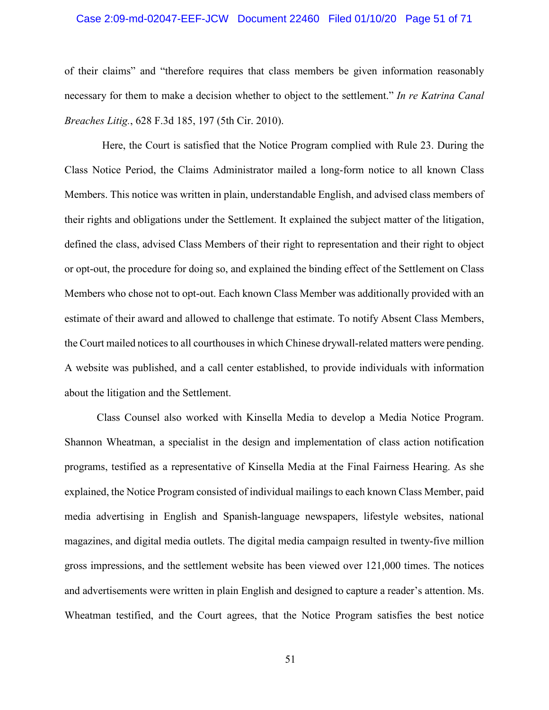## Case 2:09-md-02047-EEF-JCW Document 22460 Filed 01/10/20 Page 51 of 71

of their claims" and "therefore requires that class members be given information reasonably necessary for them to make a decision whether to object to the settlement." *In re Katrina Canal Breaches Litig.*, 628 F.3d 185, 197 (5th Cir. 2010).

 Here, the Court is satisfied that the Notice Program complied with Rule 23. During the Class Notice Period, the Claims Administrator mailed a long-form notice to all known Class Members. This notice was written in plain, understandable English, and advised class members of their rights and obligations under the Settlement. It explained the subject matter of the litigation, defined the class, advised Class Members of their right to representation and their right to object or opt-out, the procedure for doing so, and explained the binding effect of the Settlement on Class Members who chose not to opt-out. Each known Class Member was additionally provided with an estimate of their award and allowed to challenge that estimate. To notify Absent Class Members, the Court mailed notices to all courthouses in which Chinese drywall-related matters were pending. A website was published, and a call center established, to provide individuals with information about the litigation and the Settlement.

Class Counsel also worked with Kinsella Media to develop a Media Notice Program. Shannon Wheatman, a specialist in the design and implementation of class action notification programs, testified as a representative of Kinsella Media at the Final Fairness Hearing. As she explained, the Notice Program consisted of individual mailings to each known Class Member, paid media advertising in English and Spanish-language newspapers, lifestyle websites, national magazines, and digital media outlets. The digital media campaign resulted in twenty-five million gross impressions, and the settlement website has been viewed over 121,000 times. The notices and advertisements were written in plain English and designed to capture a reader's attention. Ms. Wheatman testified, and the Court agrees, that the Notice Program satisfies the best notice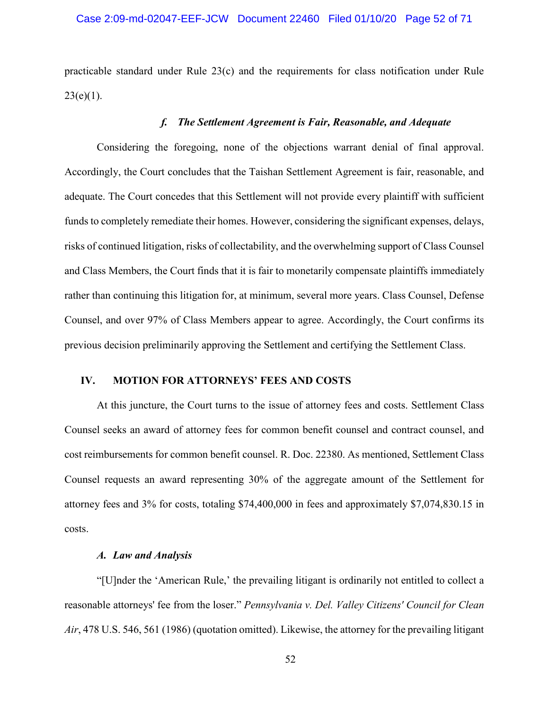practicable standard under Rule 23(c) and the requirements for class notification under Rule  $23(e)(1)$ .

## *f. The Settlement Agreement is Fair, Reasonable, and Adequate*

Considering the foregoing, none of the objections warrant denial of final approval. Accordingly, the Court concludes that the Taishan Settlement Agreement is fair, reasonable, and adequate. The Court concedes that this Settlement will not provide every plaintiff with sufficient funds to completely remediate their homes. However, considering the significant expenses, delays, risks of continued litigation, risks of collectability, and the overwhelming support of Class Counsel and Class Members, the Court finds that it is fair to monetarily compensate plaintiffs immediately rather than continuing this litigation for, at minimum, several more years. Class Counsel, Defense Counsel, and over 97% of Class Members appear to agree. Accordingly, the Court confirms its previous decision preliminarily approving the Settlement and certifying the Settlement Class.

## **IV. MOTION FOR ATTORNEYS' FEES AND COSTS**

At this juncture, the Court turns to the issue of attorney fees and costs. Settlement Class Counsel seeks an award of attorney fees for common benefit counsel and contract counsel, and cost reimbursements for common benefit counsel. R. Doc. 22380. As mentioned, Settlement Class Counsel requests an award representing 30% of the aggregate amount of the Settlement for attorney fees and 3% for costs, totaling \$74,400,000 in fees and approximately \$7,074,830.15 in costs.

## *A. Law and Analysis*

"[U]nder the 'American Rule,' the prevailing litigant is ordinarily not entitled to collect a reasonable attorneys' fee from the loser." *Pennsylvania v. Del. Valley Citizens' Council for Clean Air*, 478 U.S. 546, 561 (1986) (quotation omitted). Likewise, the attorney for the prevailing litigant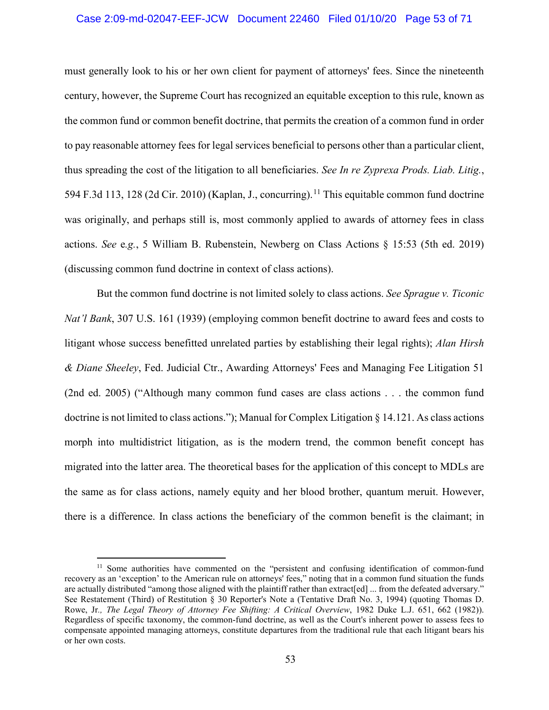## Case 2:09-md-02047-EEF-JCW Document 22460 Filed 01/10/20 Page 53 of 71

must generally look to his or her own client for payment of attorneys' fees. Since the nineteenth century, however, the Supreme Court has recognized an equitable exception to this rule, known as the common fund or common benefit doctrine, that permits the creation of a common fund in order to pay reasonable attorney fees for legal services beneficial to persons other than a particular client, thus spreading the cost of the litigation to all beneficiaries. *See In re Zyprexa Prods. Liab. Litig.*, 594 F.3d 113, 128 (2d Cir. 2010) (Kaplan, J., concurring).<sup>11</sup> This equitable common fund doctrine was originally, and perhaps still is, most commonly applied to awards of attorney fees in class actions. *See* e*.g.*, 5 William B. Rubenstein, Newberg on Class Actions § 15:53 (5th ed. 2019) (discussing common fund doctrine in context of class actions).

But the common fund doctrine is not limited solely to class actions. *See Sprague v. Ticonic Nat'l Bank*, 307 U.S. 161 (1939) (employing common benefit doctrine to award fees and costs to litigant whose success benefitted unrelated parties by establishing their legal rights); *Alan Hirsh & Diane Sheeley*, Fed. Judicial Ctr., Awarding Attorneys' Fees and Managing Fee Litigation 51 (2nd ed. 2005) ("Although many common fund cases are class actions . . . the common fund doctrine is not limited to class actions."); Manual for Complex Litigation § 14.121. As class actions morph into multidistrict litigation, as is the modern trend, the common benefit concept has migrated into the latter area. The theoretical bases for the application of this concept to MDLs are the same as for class actions, namely equity and her blood brother, quantum meruit. However, there is a difference. In class actions the beneficiary of the common benefit is the claimant; in

 $\overline{a}$ 

<sup>&</sup>lt;sup>11</sup> Some authorities have commented on the "persistent and confusing identification of common-fund recovery as an 'exception' to the American rule on attorneys' fees," noting that in a common fund situation the funds are actually distributed "among those aligned with the plaintiff rather than extract[ed] ... from the defeated adversary." See Restatement (Third) of Restitution § 30 Reporter's Note a (Tentative Draft No. 3, 1994) (quoting Thomas D. Rowe, Jr*., The Legal Theory of Attorney Fee Shifting: A Critical Overview*, 1982 Duke L.J. 651, 662 (1982)). Regardless of specific taxonomy, the common-fund doctrine, as well as the Court's inherent power to assess fees to compensate appointed managing attorneys, constitute departures from the traditional rule that each litigant bears his or her own costs.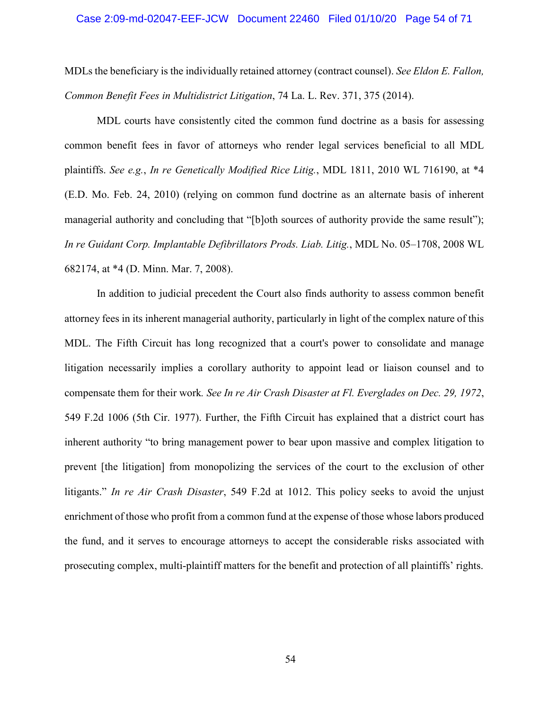# Case 2:09-md-02047-EEF-JCW Document 22460 Filed 01/10/20 Page 54 of 71

MDLs the beneficiary is the individually retained attorney (contract counsel). *See Eldon E. Fallon, Common Benefit Fees in Multidistrict Litigation*, 74 La. L. Rev. 371, 375 (2014).

MDL courts have consistently cited the common fund doctrine as a basis for assessing common benefit fees in favor of attorneys who render legal services beneficial to all MDL plaintiffs. *See e.g.*, *In re Genetically Modified Rice Litig.*, MDL 1811, 2010 WL 716190, at \*4 (E.D. Mo. Feb. 24, 2010) (relying on common fund doctrine as an alternate basis of inherent managerial authority and concluding that "[b]oth sources of authority provide the same result"); *In re Guidant Corp. Implantable Defibrillators Prods. Liab. Litig.*, MDL No. 05–1708, 2008 WL 682174, at \*4 (D. Minn. Mar. 7, 2008).

In addition to judicial precedent the Court also finds authority to assess common benefit attorney fees in its inherent managerial authority, particularly in light of the complex nature of this MDL. The Fifth Circuit has long recognized that a court's power to consolidate and manage litigation necessarily implies a corollary authority to appoint lead or liaison counsel and to compensate them for their work*. See In re Air Crash Disaster at Fl. Everglades on Dec. 29, 1972*, 549 F.2d 1006 (5th Cir. 1977). Further, the Fifth Circuit has explained that a district court has inherent authority "to bring management power to bear upon massive and complex litigation to prevent [the litigation] from monopolizing the services of the court to the exclusion of other litigants." *In re Air Crash Disaster*, 549 F.2d at 1012. This policy seeks to avoid the unjust enrichment of those who profit from a common fund at the expense of those whose labors produced the fund, and it serves to encourage attorneys to accept the considerable risks associated with prosecuting complex, multi-plaintiff matters for the benefit and protection of all plaintiffs' rights.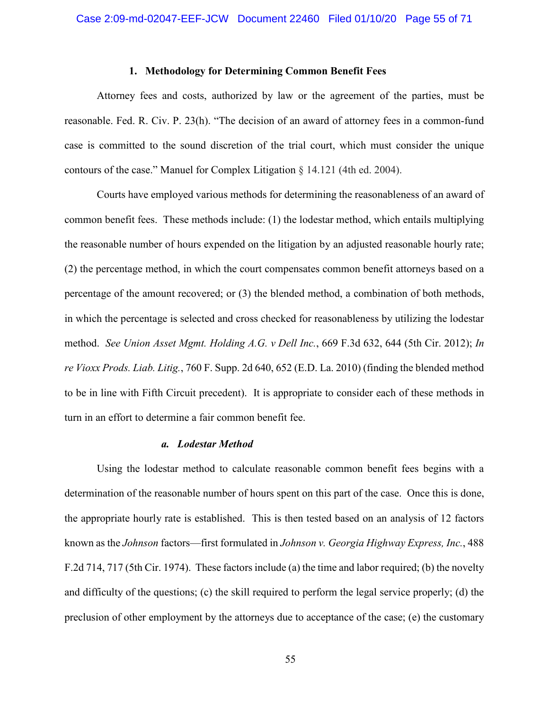## **1. Methodology for Determining Common Benefit Fees**

Attorney fees and costs, authorized by law or the agreement of the parties, must be reasonable. Fed. R. Civ. P. 23(h). "The decision of an award of attorney fees in a common-fund case is committed to the sound discretion of the trial court, which must consider the unique contours of the case." Manuel for Complex Litigation  $\S$  14.121 (4th ed. 2004).

Courts have employed various methods for determining the reasonableness of an award of common benefit fees. These methods include: (1) the lodestar method, which entails multiplying the reasonable number of hours expended on the litigation by an adjusted reasonable hourly rate; (2) the percentage method, in which the court compensates common benefit attorneys based on a percentage of the amount recovered; or (3) the blended method, a combination of both methods, in which the percentage is selected and cross checked for reasonableness by utilizing the lodestar method. *See Union Asset Mgmt. Holding A.G. v Dell Inc.*, 669 F.3d 632, 644 (5th Cir. 2012); *In re Vioxx Prods. Liab. Litig.*, 760 F. Supp. 2d 640, 652 (E.D. La. 2010) (finding the blended method to be in line with Fifth Circuit precedent). It is appropriate to consider each of these methods in turn in an effort to determine a fair common benefit fee.

#### *a. Lodestar Method*

Using the lodestar method to calculate reasonable common benefit fees begins with a determination of the reasonable number of hours spent on this part of the case. Once this is done, the appropriate hourly rate is established. This is then tested based on an analysis of 12 factors known as the *Johnson* factors—first formulated in *Johnson v. Georgia Highway Express, Inc.*, 488 F.2d 714, 717 (5th Cir. 1974). These factors include (a) the time and labor required; (b) the novelty and difficulty of the questions; (c) the skill required to perform the legal service properly; (d) the preclusion of other employment by the attorneys due to acceptance of the case; (e) the customary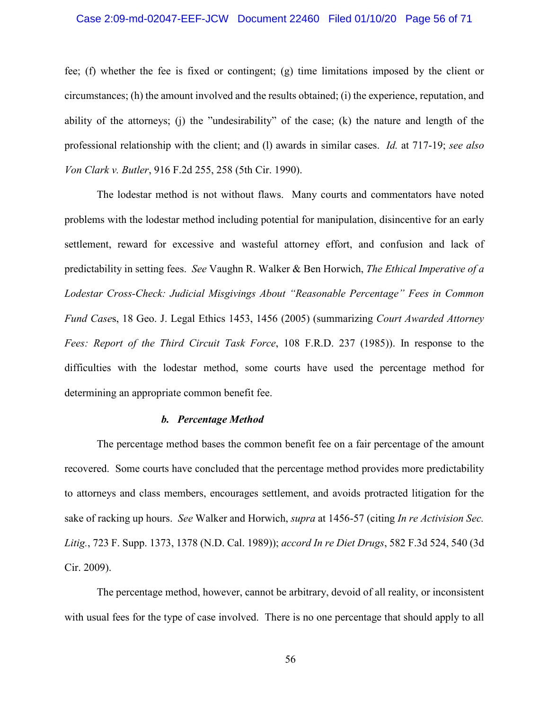## Case 2:09-md-02047-EEF-JCW Document 22460 Filed 01/10/20 Page 56 of 71

fee; (f) whether the fee is fixed or contingent; (g) time limitations imposed by the client or circumstances; (h) the amount involved and the results obtained; (i) the experience, reputation, and ability of the attorneys; (j) the "undesirability" of the case; (k) the nature and length of the professional relationship with the client; and (l) awards in similar cases. *Id.* at 717-19; *see also Von Clark v. Butler*, 916 F.2d 255, 258 (5th Cir. 1990).

The lodestar method is not without flaws. Many courts and commentators have noted problems with the lodestar method including potential for manipulation, disincentive for an early settlement, reward for excessive and wasteful attorney effort, and confusion and lack of predictability in setting fees. *See* Vaughn R. Walker & Ben Horwich, *The Ethical Imperative of a Lodestar Cross-Check: Judicial Misgivings About "Reasonable Percentage" Fees in Common Fund Case*s, 18 Geo. J. Legal Ethics 1453, 1456 (2005) (summarizing *Court Awarded Attorney Fees: Report of the Third Circuit Task Force*, 108 F.R.D. 237 (1985)). In response to the difficulties with the lodestar method, some courts have used the percentage method for determining an appropriate common benefit fee.

## *b. Percentage Method*

The percentage method bases the common benefit fee on a fair percentage of the amount recovered. Some courts have concluded that the percentage method provides more predictability to attorneys and class members, encourages settlement, and avoids protracted litigation for the sake of racking up hours. *See* Walker and Horwich, *supra* at 1456-57 (citing *In re Activision Sec. Litig.*, 723 F. Supp. 1373, 1378 (N.D. Cal. 1989)); *accord In re Diet Drugs*, 582 F.3d 524, 540 (3d Cir. 2009).

The percentage method, however, cannot be arbitrary, devoid of all reality, or inconsistent with usual fees for the type of case involved. There is no one percentage that should apply to all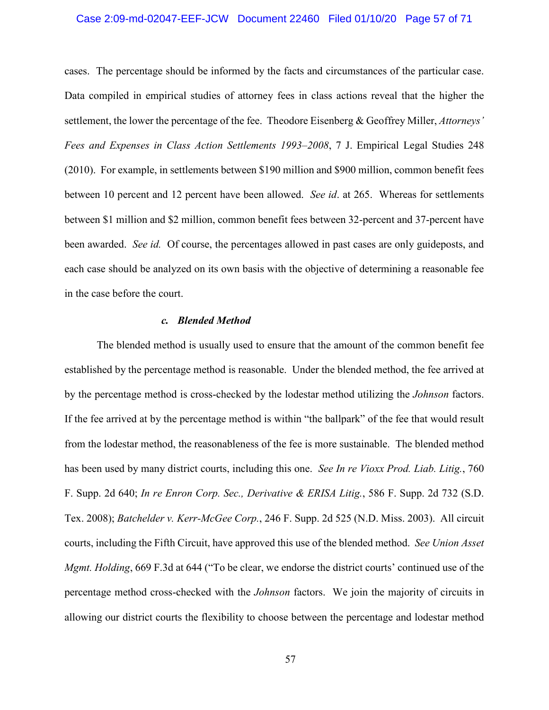## Case 2:09-md-02047-EEF-JCW Document 22460 Filed 01/10/20 Page 57 of 71

cases. The percentage should be informed by the facts and circumstances of the particular case. Data compiled in empirical studies of attorney fees in class actions reveal that the higher the settlement, the lower the percentage of the fee. Theodore Eisenberg & Geoffrey Miller, *Attorneys' Fees and Expenses in Class Action Settlements 1993–2008*, 7 J. Empirical Legal Studies 248 (2010). For example, in settlements between \$190 million and \$900 million, common benefit fees between 10 percent and 12 percent have been allowed. *See id*. at 265. Whereas for settlements between \$1 million and \$2 million, common benefit fees between 32-percent and 37-percent have been awarded. *See id.* Of course, the percentages allowed in past cases are only guideposts, and each case should be analyzed on its own basis with the objective of determining a reasonable fee in the case before the court.

## *c. Blended Method*

The blended method is usually used to ensure that the amount of the common benefit fee established by the percentage method is reasonable. Under the blended method, the fee arrived at by the percentage method is cross-checked by the lodestar method utilizing the *Johnson* factors. If the fee arrived at by the percentage method is within "the ballpark" of the fee that would result from the lodestar method, the reasonableness of the fee is more sustainable. The blended method has been used by many district courts, including this one. *See In re Vioxx Prod. Liab. Litig.*, 760 F. Supp. 2d 640; *In re Enron Corp. Sec., Derivative & ERISA Litig.*, 586 F. Supp. 2d 732 (S.D. Tex. 2008); *Batchelder v. Kerr-McGee Corp.*, 246 F. Supp. 2d 525 (N.D. Miss. 2003). All circuit courts, including the Fifth Circuit, have approved this use of the blended method. *See Union Asset Mgmt. Holding*, 669 F.3d at 644 ("To be clear, we endorse the district courts' continued use of the percentage method cross-checked with the *Johnson* factors. We join the majority of circuits in allowing our district courts the flexibility to choose between the percentage and lodestar method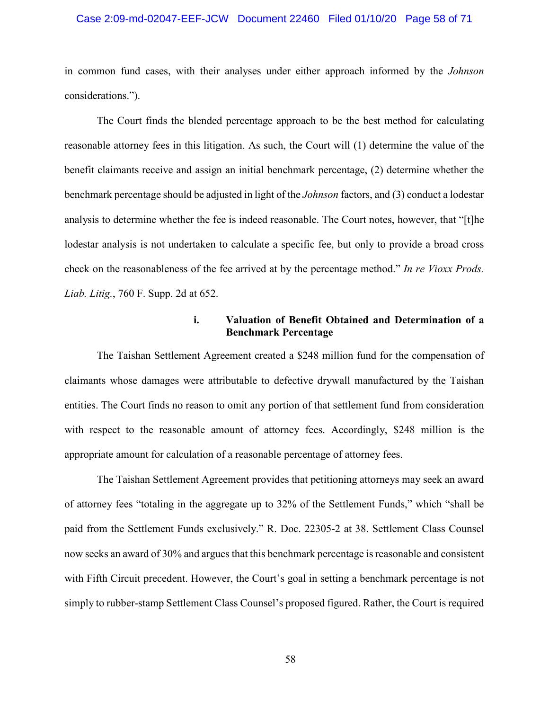## Case 2:09-md-02047-EEF-JCW Document 22460 Filed 01/10/20 Page 58 of 71

in common fund cases, with their analyses under either approach informed by the *Johnson* considerations.").

The Court finds the blended percentage approach to be the best method for calculating reasonable attorney fees in this litigation. As such, the Court will (1) determine the value of the benefit claimants receive and assign an initial benchmark percentage, (2) determine whether the benchmark percentage should be adjusted in light of the *Johnson* factors, and (3) conduct a lodestar analysis to determine whether the fee is indeed reasonable. The Court notes, however, that "[t]he lodestar analysis is not undertaken to calculate a specific fee, but only to provide a broad cross check on the reasonableness of the fee arrived at by the percentage method." *In re Vioxx Prods. Liab. Litig.*, 760 F. Supp. 2d at 652.

## **i. Valuation of Benefit Obtained and Determination of a Benchmark Percentage**

The Taishan Settlement Agreement created a \$248 million fund for the compensation of claimants whose damages were attributable to defective drywall manufactured by the Taishan entities. The Court finds no reason to omit any portion of that settlement fund from consideration with respect to the reasonable amount of attorney fees. Accordingly, \$248 million is the appropriate amount for calculation of a reasonable percentage of attorney fees.

The Taishan Settlement Agreement provides that petitioning attorneys may seek an award of attorney fees "totaling in the aggregate up to 32% of the Settlement Funds," which "shall be paid from the Settlement Funds exclusively." R. Doc. 22305-2 at 38. Settlement Class Counsel now seeks an award of 30% and argues that this benchmark percentage is reasonable and consistent with Fifth Circuit precedent. However, the Court's goal in setting a benchmark percentage is not simply to rubber-stamp Settlement Class Counsel's proposed figured. Rather, the Court is required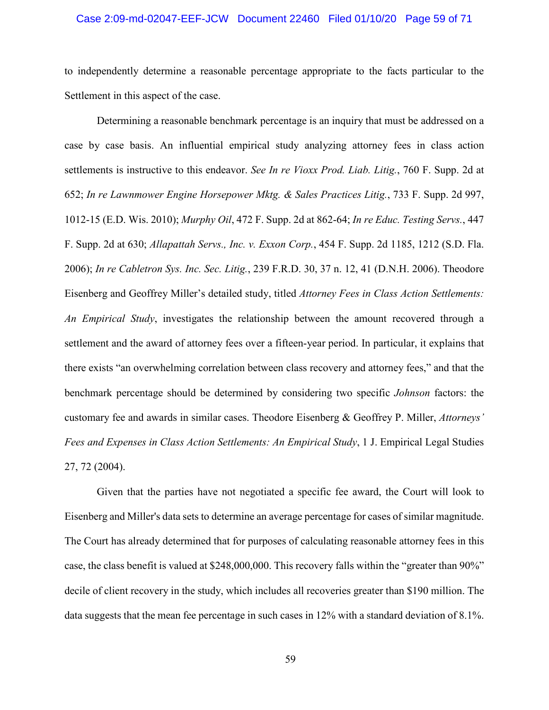## Case 2:09-md-02047-EEF-JCW Document 22460 Filed 01/10/20 Page 59 of 71

to independently determine a reasonable percentage appropriate to the facts particular to the Settlement in this aspect of the case.

Determining a reasonable benchmark percentage is an inquiry that must be addressed on a case by case basis. An influential empirical study analyzing attorney fees in class action settlements is instructive to this endeavor. *See In re Vioxx Prod. Liab. Litig.*, 760 F. Supp. 2d at 652; *In re Lawnmower Engine Horsepower Mktg. & Sales Practices Litig.*, 733 F. Supp. 2d 997, 1012-15 (E.D. Wis. 2010); *Murphy Oil*, 472 F. Supp. 2d at 862-64; *In re Educ. Testing Servs.*, 447 F. Supp. 2d at 630; *Allapattah Servs., Inc. v. Exxon Corp.*, 454 F. Supp. 2d 1185, 1212 (S.D. Fla. 2006); *In re Cabletron Sys. Inc. Sec. Litig.*, 239 F.R.D. 30, 37 n. 12, 41 (D.N.H. 2006). Theodore Eisenberg and Geoffrey Miller's detailed study, titled *Attorney Fees in Class Action Settlements: An Empirical Study*, investigates the relationship between the amount recovered through a settlement and the award of attorney fees over a fifteen-year period. In particular, it explains that there exists "an overwhelming correlation between class recovery and attorney fees," and that the benchmark percentage should be determined by considering two specific *Johnson* factors: the customary fee and awards in similar cases. Theodore Eisenberg & Geoffrey P. Miller, *Attorneys' Fees and Expenses in Class Action Settlements: An Empirical Study*, 1 J. Empirical Legal Studies 27, 72 (2004).

Given that the parties have not negotiated a specific fee award, the Court will look to Eisenberg and Miller's data sets to determine an average percentage for cases of similar magnitude. The Court has already determined that for purposes of calculating reasonable attorney fees in this case, the class benefit is valued at \$248,000,000. This recovery falls within the "greater than 90%" decile of client recovery in the study, which includes all recoveries greater than \$190 million. The data suggests that the mean fee percentage in such cases in 12% with a standard deviation of 8.1%.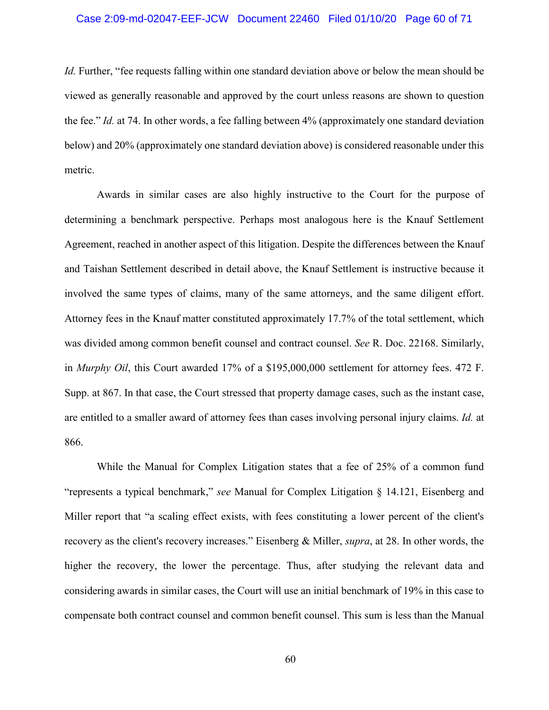## Case 2:09-md-02047-EEF-JCW Document 22460 Filed 01/10/20 Page 60 of 71

*Id.* Further, "fee requests falling within one standard deviation above or below the mean should be viewed as generally reasonable and approved by the court unless reasons are shown to question the fee." *Id.* at 74. In other words, a fee falling between 4% (approximately one standard deviation below) and 20% (approximately one standard deviation above) is considered reasonable under this metric.

Awards in similar cases are also highly instructive to the Court for the purpose of determining a benchmark perspective. Perhaps most analogous here is the Knauf Settlement Agreement, reached in another aspect of this litigation. Despite the differences between the Knauf and Taishan Settlement described in detail above, the Knauf Settlement is instructive because it involved the same types of claims, many of the same attorneys, and the same diligent effort. Attorney fees in the Knauf matter constituted approximately 17.7% of the total settlement, which was divided among common benefit counsel and contract counsel. *See* R. Doc. 22168. Similarly, in *Murphy Oil*, this Court awarded 17% of a \$195,000,000 settlement for attorney fees. 472 F. Supp. at 867. In that case, the Court stressed that property damage cases, such as the instant case, are entitled to a smaller award of attorney fees than cases involving personal injury claims. *Id.* at 866.

While the Manual for Complex Litigation states that a fee of 25% of a common fund "represents a typical benchmark," *see* Manual for Complex Litigation § 14.121, Eisenberg and Miller report that "a scaling effect exists, with fees constituting a lower percent of the client's recovery as the client's recovery increases." Eisenberg & Miller, *supra*, at 28. In other words, the higher the recovery, the lower the percentage. Thus, after studying the relevant data and considering awards in similar cases, the Court will use an initial benchmark of 19% in this case to compensate both contract counsel and common benefit counsel. This sum is less than the Manual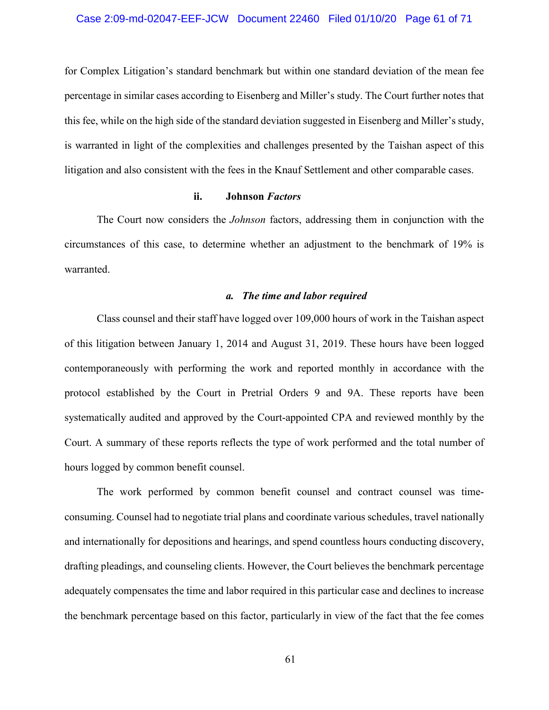for Complex Litigation's standard benchmark but within one standard deviation of the mean fee percentage in similar cases according to Eisenberg and Miller's study. The Court further notes that this fee, while on the high side of the standard deviation suggested in Eisenberg and Miller's study, is warranted in light of the complexities and challenges presented by the Taishan aspect of this litigation and also consistent with the fees in the Knauf Settlement and other comparable cases.

## **ii. Johnson** *Factors*

The Court now considers the *Johnson* factors, addressing them in conjunction with the circumstances of this case, to determine whether an adjustment to the benchmark of 19% is warranted.

## *a. The time and labor required*

Class counsel and their staff have logged over 109,000 hours of work in the Taishan aspect of this litigation between January 1, 2014 and August 31, 2019. These hours have been logged contemporaneously with performing the work and reported monthly in accordance with the protocol established by the Court in Pretrial Orders 9 and 9A. These reports have been systematically audited and approved by the Court-appointed CPA and reviewed monthly by the Court. A summary of these reports reflects the type of work performed and the total number of hours logged by common benefit counsel.

The work performed by common benefit counsel and contract counsel was timeconsuming. Counsel had to negotiate trial plans and coordinate various schedules, travel nationally and internationally for depositions and hearings, and spend countless hours conducting discovery, drafting pleadings, and counseling clients. However, the Court believes the benchmark percentage adequately compensates the time and labor required in this particular case and declines to increase the benchmark percentage based on this factor, particularly in view of the fact that the fee comes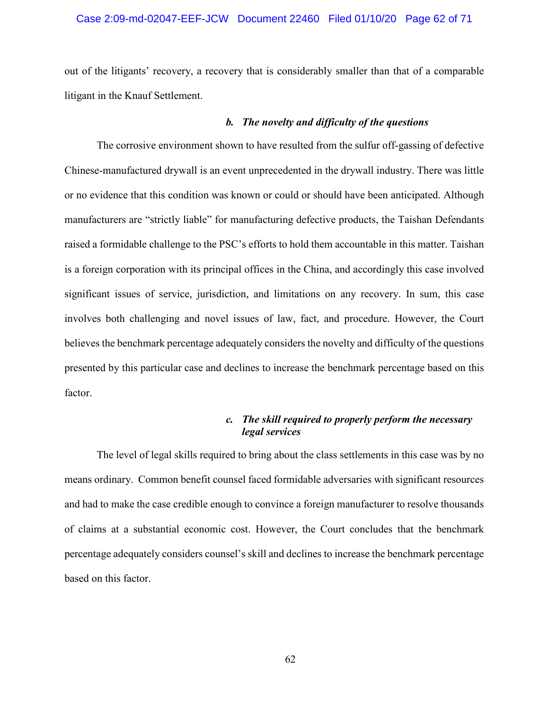## Case 2:09-md-02047-EEF-JCW Document 22460 Filed 01/10/20 Page 62 of 71

out of the litigants' recovery, a recovery that is considerably smaller than that of a comparable litigant in the Knauf Settlement.

#### *b. The novelty and difficulty of the questions*

The corrosive environment shown to have resulted from the sulfur off-gassing of defective Chinese-manufactured drywall is an event unprecedented in the drywall industry. There was little or no evidence that this condition was known or could or should have been anticipated. Although manufacturers are "strictly liable" for manufacturing defective products, the Taishan Defendants raised a formidable challenge to the PSC's efforts to hold them accountable in this matter. Taishan is a foreign corporation with its principal offices in the China, and accordingly this case involved significant issues of service, jurisdiction, and limitations on any recovery. In sum, this case involves both challenging and novel issues of law, fact, and procedure. However, the Court believes the benchmark percentage adequately considers the novelty and difficulty of the questions presented by this particular case and declines to increase the benchmark percentage based on this factor.

# *c. The skill required to properly perform the necessary legal services*

The level of legal skills required to bring about the class settlements in this case was by no means ordinary. Common benefit counsel faced formidable adversaries with significant resources and had to make the case credible enough to convince a foreign manufacturer to resolve thousands of claims at a substantial economic cost. However, the Court concludes that the benchmark percentage adequately considers counsel's skill and declines to increase the benchmark percentage based on this factor.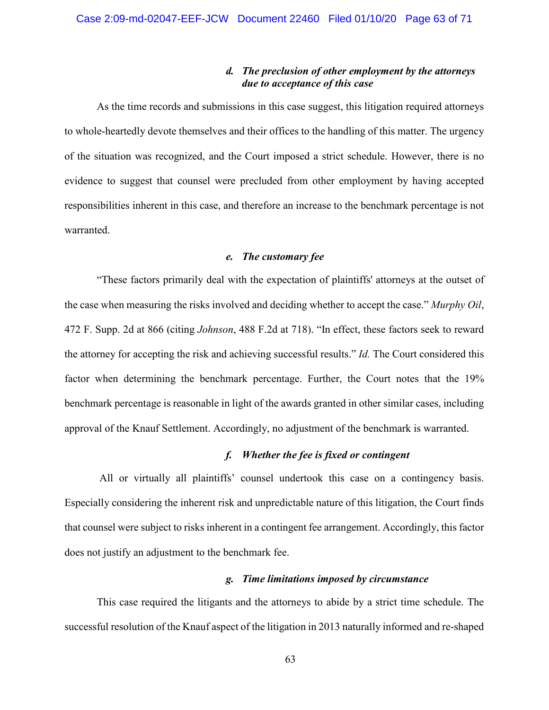# *d. The preclusion of other employment by the attorneys due to acceptance of this case*

As the time records and submissions in this case suggest, this litigation required attorneys to whole-heartedly devote themselves and their offices to the handling of this matter. The urgency of the situation was recognized, and the Court imposed a strict schedule. However, there is no evidence to suggest that counsel were precluded from other employment by having accepted responsibilities inherent in this case, and therefore an increase to the benchmark percentage is not warranted.

# *e. The customary fee*

"These factors primarily deal with the expectation of plaintiffs' attorneys at the outset of the case when measuring the risks involved and deciding whether to accept the case." *Murphy Oil*, 472 F. Supp. 2d at 866 (citing *Johnson*, 488 F.2d at 718). "In effect, these factors seek to reward the attorney for accepting the risk and achieving successful results." *Id.* The Court considered this factor when determining the benchmark percentage. Further, the Court notes that the 19% benchmark percentage is reasonable in light of the awards granted in other similar cases, including approval of the Knauf Settlement. Accordingly, no adjustment of the benchmark is warranted.

# *f. Whether the fee is fixed or contingent*

All or virtually all plaintiffs' counsel undertook this case on a contingency basis. Especially considering the inherent risk and unpredictable nature of this litigation, the Court finds that counsel were subject to risks inherent in a contingent fee arrangement. Accordingly, this factor does not justify an adjustment to the benchmark fee.

## *g. Time limitations imposed by circumstance*

This case required the litigants and the attorneys to abide by a strict time schedule. The successful resolution of the Knauf aspect of the litigation in 2013 naturally informed and re-shaped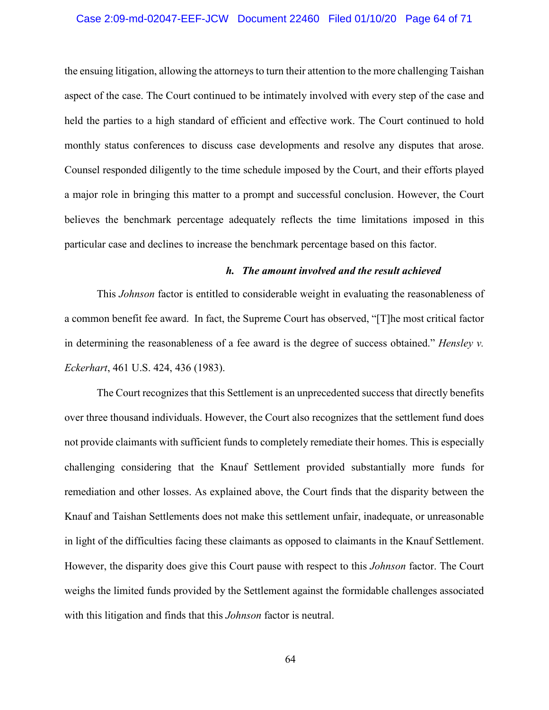# Case 2:09-md-02047-EEF-JCW Document 22460 Filed 01/10/20 Page 64 of 71

the ensuing litigation, allowing the attorneys to turn their attention to the more challenging Taishan aspect of the case. The Court continued to be intimately involved with every step of the case and held the parties to a high standard of efficient and effective work. The Court continued to hold monthly status conferences to discuss case developments and resolve any disputes that arose. Counsel responded diligently to the time schedule imposed by the Court, and their efforts played a major role in bringing this matter to a prompt and successful conclusion. However, the Court believes the benchmark percentage adequately reflects the time limitations imposed in this particular case and declines to increase the benchmark percentage based on this factor.

## *h. The amount involved and the result achieved*

This *Johnson* factor is entitled to considerable weight in evaluating the reasonableness of a common benefit fee award. In fact, the Supreme Court has observed, "[T]he most critical factor in determining the reasonableness of a fee award is the degree of success obtained." *Hensley v. Eckerhart*, 461 U.S. 424, 436 (1983).

The Court recognizes that this Settlement is an unprecedented success that directly benefits over three thousand individuals. However, the Court also recognizes that the settlement fund does not provide claimants with sufficient funds to completely remediate their homes. This is especially challenging considering that the Knauf Settlement provided substantially more funds for remediation and other losses. As explained above, the Court finds that the disparity between the Knauf and Taishan Settlements does not make this settlement unfair, inadequate, or unreasonable in light of the difficulties facing these claimants as opposed to claimants in the Knauf Settlement. However, the disparity does give this Court pause with respect to this *Johnson* factor. The Court weighs the limited funds provided by the Settlement against the formidable challenges associated with this litigation and finds that this *Johnson* factor is neutral.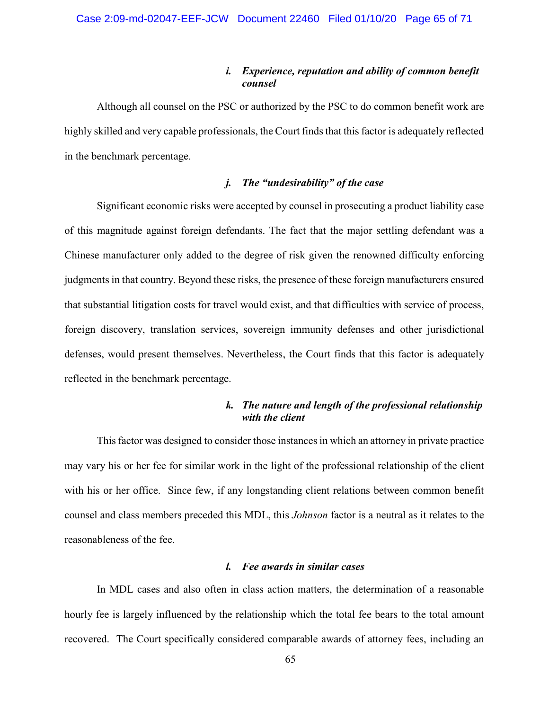## *i. Experience, reputation and ability of common benefit counsel*

Although all counsel on the PSC or authorized by the PSC to do common benefit work are highly skilled and very capable professionals, the Court finds that this factor is adequately reflected in the benchmark percentage.

# *j. The "undesirability" of the case*

Significant economic risks were accepted by counsel in prosecuting a product liability case of this magnitude against foreign defendants. The fact that the major settling defendant was a Chinese manufacturer only added to the degree of risk given the renowned difficulty enforcing judgments in that country. Beyond these risks, the presence of these foreign manufacturers ensured that substantial litigation costs for travel would exist, and that difficulties with service of process, foreign discovery, translation services, sovereign immunity defenses and other jurisdictional defenses, would present themselves. Nevertheless, the Court finds that this factor is adequately reflected in the benchmark percentage.

# *k. The nature and length of the professional relationship with the client*

This factor was designed to consider those instances in which an attorney in private practice may vary his or her fee for similar work in the light of the professional relationship of the client with his or her office. Since few, if any longstanding client relations between common benefit counsel and class members preceded this MDL, this *Johnson* factor is a neutral as it relates to the reasonableness of the fee.

## *l. Fee awards in similar cases*

In MDL cases and also often in class action matters, the determination of a reasonable hourly fee is largely influenced by the relationship which the total fee bears to the total amount recovered. The Court specifically considered comparable awards of attorney fees, including an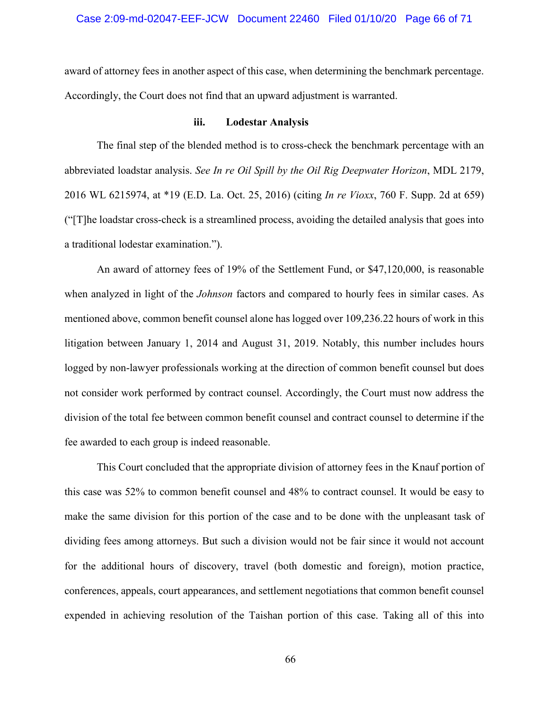## Case 2:09-md-02047-EEF-JCW Document 22460 Filed 01/10/20 Page 66 of 71

award of attorney fees in another aspect of this case, when determining the benchmark percentage. Accordingly, the Court does not find that an upward adjustment is warranted.

## **iii. Lodestar Analysis**

The final step of the blended method is to cross-check the benchmark percentage with an abbreviated loadstar analysis. *See In re Oil Spill by the Oil Rig Deepwater Horizon*, MDL 2179, 2016 WL 6215974, at \*19 (E.D. La. Oct. 25, 2016) (citing *In re Vioxx*, 760 F. Supp. 2d at 659) ("[T]he loadstar cross-check is a streamlined process, avoiding the detailed analysis that goes into a traditional lodestar examination.").

An award of attorney fees of 19% of the Settlement Fund, or \$47,120,000, is reasonable when analyzed in light of the *Johnson* factors and compared to hourly fees in similar cases. As mentioned above, common benefit counsel alone has logged over 109,236.22 hours of work in this litigation between January 1, 2014 and August 31, 2019. Notably, this number includes hours logged by non-lawyer professionals working at the direction of common benefit counsel but does not consider work performed by contract counsel. Accordingly, the Court must now address the division of the total fee between common benefit counsel and contract counsel to determine if the fee awarded to each group is indeed reasonable.

This Court concluded that the appropriate division of attorney fees in the Knauf portion of this case was 52% to common benefit counsel and 48% to contract counsel. It would be easy to make the same division for this portion of the case and to be done with the unpleasant task of dividing fees among attorneys. But such a division would not be fair since it would not account for the additional hours of discovery, travel (both domestic and foreign), motion practice, conferences, appeals, court appearances, and settlement negotiations that common benefit counsel expended in achieving resolution of the Taishan portion of this case. Taking all of this into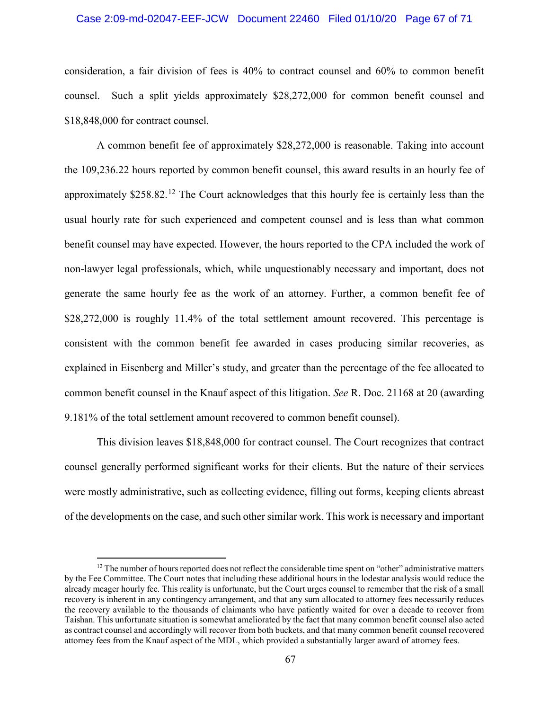#### Case 2:09-md-02047-EEF-JCW Document 22460 Filed 01/10/20 Page 67 of 71

consideration, a fair division of fees is 40% to contract counsel and 60% to common benefit counsel. Such a split yields approximately \$28,272,000 for common benefit counsel and \$18,848,000 for contract counsel.

A common benefit fee of approximately \$28,272,000 is reasonable. Taking into account the 109,236.22 hours reported by common benefit counsel, this award results in an hourly fee of approximately  $$258.82<sup>12</sup>$  The Court acknowledges that this hourly fee is certainly less than the usual hourly rate for such experienced and competent counsel and is less than what common benefit counsel may have expected. However, the hours reported to the CPA included the work of non-lawyer legal professionals, which, while unquestionably necessary and important, does not generate the same hourly fee as the work of an attorney. Further, a common benefit fee of \$28,272,000 is roughly 11.4% of the total settlement amount recovered. This percentage is consistent with the common benefit fee awarded in cases producing similar recoveries, as explained in Eisenberg and Miller's study, and greater than the percentage of the fee allocated to common benefit counsel in the Knauf aspect of this litigation. *See* R. Doc. 21168 at 20 (awarding 9.181% of the total settlement amount recovered to common benefit counsel).

This division leaves \$18,848,000 for contract counsel. The Court recognizes that contract counsel generally performed significant works for their clients. But the nature of their services were mostly administrative, such as collecting evidence, filling out forms, keeping clients abreast of the developments on the case, and such other similar work. This work is necessary and important

 $\overline{a}$ 

 $12$  The number of hours reported does not reflect the considerable time spent on "other" administrative matters by the Fee Committee. The Court notes that including these additional hours in the lodestar analysis would reduce the already meager hourly fee. This reality is unfortunate, but the Court urges counsel to remember that the risk of a small recovery is inherent in any contingency arrangement, and that any sum allocated to attorney fees necessarily reduces the recovery available to the thousands of claimants who have patiently waited for over a decade to recover from Taishan. This unfortunate situation is somewhat ameliorated by the fact that many common benefit counsel also acted as contract counsel and accordingly will recover from both buckets, and that many common benefit counsel recovered attorney fees from the Knauf aspect of the MDL, which provided a substantially larger award of attorney fees.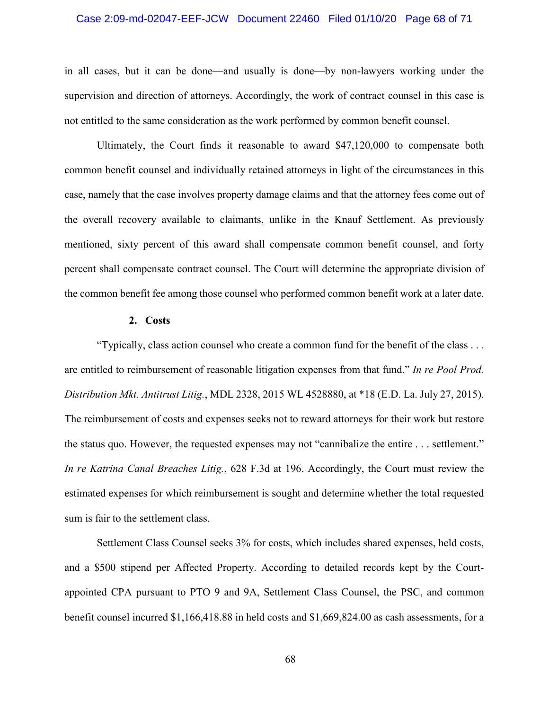## Case 2:09-md-02047-EEF-JCW Document 22460 Filed 01/10/20 Page 68 of 71

in all cases, but it can be done—and usually is done—by non-lawyers working under the supervision and direction of attorneys. Accordingly, the work of contract counsel in this case is not entitled to the same consideration as the work performed by common benefit counsel.

Ultimately, the Court finds it reasonable to award \$47,120,000 to compensate both common benefit counsel and individually retained attorneys in light of the circumstances in this case, namely that the case involves property damage claims and that the attorney fees come out of the overall recovery available to claimants, unlike in the Knauf Settlement. As previously mentioned, sixty percent of this award shall compensate common benefit counsel, and forty percent shall compensate contract counsel. The Court will determine the appropriate division of the common benefit fee among those counsel who performed common benefit work at a later date.

## **2. Costs**

"Typically, class action counsel who create a common fund for the benefit of the class . . . are entitled to reimbursement of reasonable litigation expenses from that fund." *In re Pool Prod. Distribution Mkt. Antitrust Litig.*, MDL 2328, 2015 WL 4528880, at \*18 (E.D. La. July 27, 2015). The reimbursement of costs and expenses seeks not to reward attorneys for their work but restore the status quo. However, the requested expenses may not "cannibalize the entire . . . settlement." *In re Katrina Canal Breaches Litig.*, 628 F.3d at 196. Accordingly, the Court must review the estimated expenses for which reimbursement is sought and determine whether the total requested sum is fair to the settlement class.

Settlement Class Counsel seeks 3% for costs, which includes shared expenses, held costs, and a \$500 stipend per Affected Property. According to detailed records kept by the Courtappointed CPA pursuant to PTO 9 and 9A, Settlement Class Counsel, the PSC, and common benefit counsel incurred \$1,166,418.88 in held costs and \$1,669,824.00 as cash assessments, for a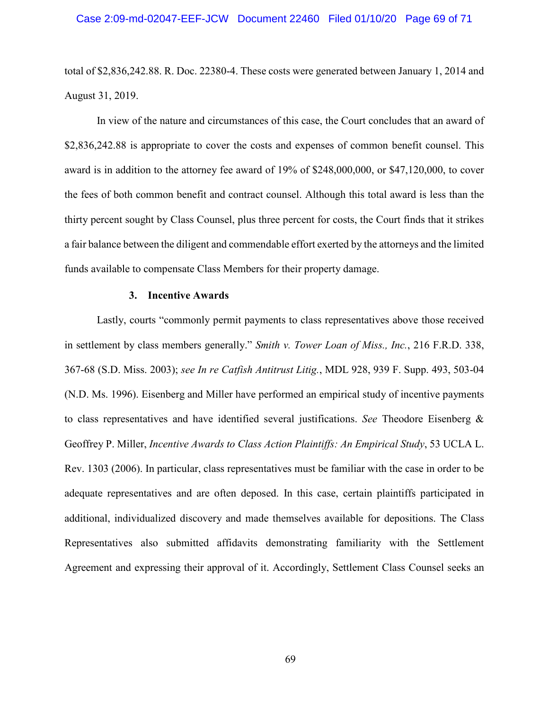total of \$2,836,242.88. R. Doc. 22380-4. These costs were generated between January 1, 2014 and August 31, 2019.

In view of the nature and circumstances of this case, the Court concludes that an award of \$2,836,242.88 is appropriate to cover the costs and expenses of common benefit counsel. This award is in addition to the attorney fee award of 19% of \$248,000,000, or \$47,120,000, to cover the fees of both common benefit and contract counsel. Although this total award is less than the thirty percent sought by Class Counsel, plus three percent for costs, the Court finds that it strikes a fair balance between the diligent and commendable effort exerted by the attorneys and the limited funds available to compensate Class Members for their property damage.

## **3. Incentive Awards**

Lastly, courts "commonly permit payments to class representatives above those received in settlement by class members generally." *Smith v. Tower Loan of Miss., Inc.*, 216 F.R.D. 338, 367-68 (S.D. Miss. 2003); *see In re Catfish Antitrust Litig.*, MDL 928, 939 F. Supp. 493, 503-04 (N.D. Ms. 1996). Eisenberg and Miller have performed an empirical study of incentive payments to class representatives and have identified several justifications. *See* Theodore Eisenberg & Geoffrey P. Miller, *Incentive Awards to Class Action Plaintiffs: An Empirical Study*, 53 UCLA L. Rev. 1303 (2006). In particular, class representatives must be familiar with the case in order to be adequate representatives and are often deposed. In this case, certain plaintiffs participated in additional, individualized discovery and made themselves available for depositions. The Class Representatives also submitted affidavits demonstrating familiarity with the Settlement Agreement and expressing their approval of it. Accordingly, Settlement Class Counsel seeks an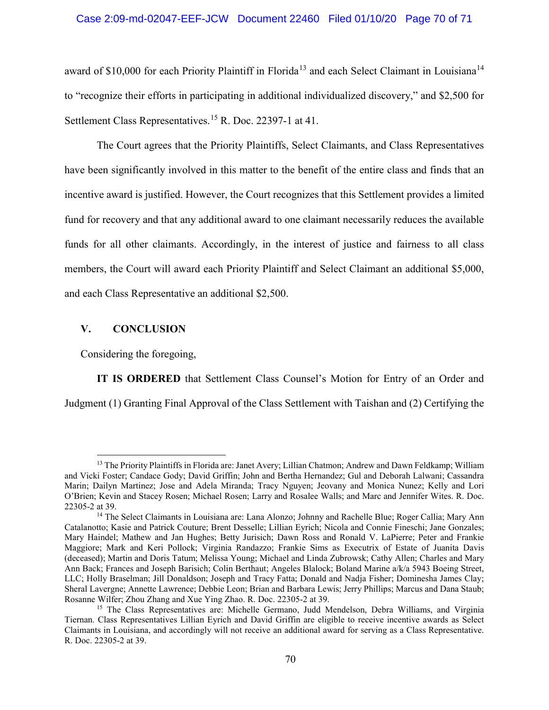## Case 2:09-md-02047-EEF-JCW Document 22460 Filed 01/10/20 Page 70 of 71

award of \$10,000 for each Priority Plaintiff in Florida<sup>13</sup> and each Select Claimant in Louisiana<sup>14</sup> to "recognize their efforts in participating in additional individualized discovery," and \$2,500 for Settlement Class Representatives.<sup>15</sup> R. Doc. 22397-1 at 41.

The Court agrees that the Priority Plaintiffs, Select Claimants, and Class Representatives have been significantly involved in this matter to the benefit of the entire class and finds that an incentive award is justified. However, the Court recognizes that this Settlement provides a limited fund for recovery and that any additional award to one claimant necessarily reduces the available funds for all other claimants. Accordingly, in the interest of justice and fairness to all class members, the Court will award each Priority Plaintiff and Select Claimant an additional \$5,000, and each Class Representative an additional \$2,500.

## **V. CONCLUSION**

 $\overline{a}$ 

Considering the foregoing,

**IT IS ORDERED** that Settlement Class Counsel's Motion for Entry of an Order and Judgment (1) Granting Final Approval of the Class Settlement with Taishan and (2) Certifying the

<sup>&</sup>lt;sup>13</sup> The Priority Plaintiffs in Florida are: Janet Avery; Lillian Chatmon; Andrew and Dawn Feldkamp; William and Vicki Foster; Candace Gody; David Griffin; John and Bertha Hernandez; Gul and Deborah Lalwani; Cassandra Marin; Dailyn Martinez; Jose and Adela Miranda; Tracy Nguyen; Jeovany and Monica Nunez; Kelly and Lori O'Brien; Kevin and Stacey Rosen; Michael Rosen; Larry and Rosalee Walls; and Marc and Jennifer Wites. R. Doc. 22305-2 at 39.

<sup>&</sup>lt;sup>14</sup> The Select Claimants in Louisiana are: Lana Alonzo; Johnny and Rachelle Blue; Roger Callia; Mary Ann Catalanotto; Kasie and Patrick Couture; Brent Desselle; Lillian Eyrich; Nicola and Connie Fineschi; Jane Gonzales; Mary Haindel; Mathew and Jan Hughes; Betty Jurisich; Dawn Ross and Ronald V. LaPierre; Peter and Frankie Maggiore; Mark and Keri Pollock; Virginia Randazzo; Frankie Sims as Executrix of Estate of Juanita Davis (deceased); Martin and Doris Tatum; Melissa Young; Michael and Linda Zubrowsk; Cathy Allen; Charles and Mary Ann Back; Frances and Joseph Barisich; Colin Berthaut; Angeles Blalock; Boland Marine a/k/a 5943 Boeing Street, LLC; Holly Braselman; Jill Donaldson; Joseph and Tracy Fatta; Donald and Nadja Fisher; Dominesha James Clay; Sheral Lavergne; Annette Lawrence; Debbie Leon; Brian and Barbara Lewis; Jerry Phillips; Marcus and Dana Staub; Rosanne Wilfer; Zhou Zhang and Xue Ying Zhao. R. Doc. 22305-2 at 39.

<sup>&</sup>lt;sup>15</sup> The Class Representatives are: Michelle Germano, Judd Mendelson, Debra Williams, and Virginia Tiernan. Class Representatives Lillian Eyrich and David Griffin are eligible to receive incentive awards as Select Claimants in Louisiana, and accordingly will not receive an additional award for serving as a Class Representative. R. Doc. 22305-2 at 39.